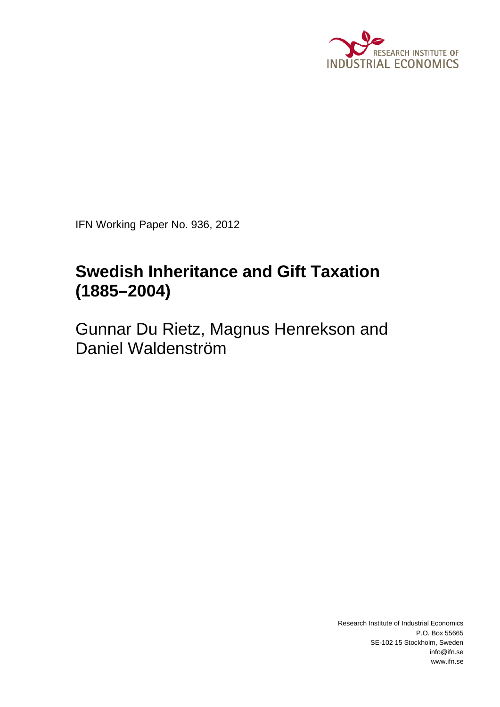

IFN Working Paper No. 936, 2012

# **Swedish Inheritance and Gift Taxation (1885–2004)**

Gunnar Du Rietz, Magnus Henrekson and Daniel Waldenström

> Research Institute of Industrial Economics P.O. Box 55665 SE-102 15 Stockholm, Sweden info@ifn.se www.ifn.se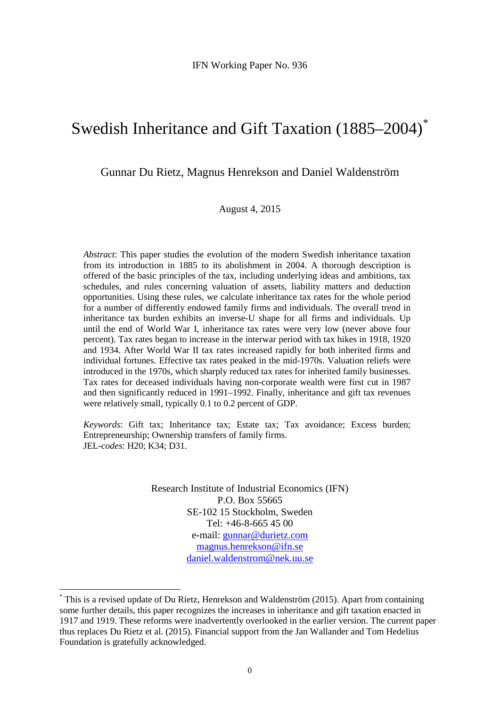# Swedish Inheritance and Gift Taxation (1885–2004) [\\*](#page-1-0)

Gunnar Du Rietz, Magnus Henrekson and Daniel Waldenström

August 4, 2015

*Abstract*: This paper studies the evolution of the modern Swedish inheritance taxation from its introduction in 1885 to its abolishment in 2004. A thorough description is offered of the basic principles of the tax, including underlying ideas and ambitions, tax schedules, and rules concerning valuation of assets, liability matters and deduction opportunities. Using these rules, we calculate inheritance tax rates for the whole period for a number of differently endowed family firms and individuals. The overall trend in inheritance tax burden exhibits an inverse-U shape for all firms and individuals. Up until the end of World War I, inheritance tax rates were very low (never above four percent). Tax rates began to increase in the interwar period with tax hikes in 1918, 1920 and 1934. After World War II tax rates increased rapidly for both inherited firms and individual fortunes. Effective tax rates peaked in the mid-1970s. Valuation reliefs were introduced in the 1970s, which sharply reduced tax rates for inherited family businesses. Tax rates for deceased individuals having non-corporate wealth were first cut in 1987 and then significantly reduced in 1991–1992. Finally, inheritance and gift tax revenues were relatively small, typically 0.1 to 0.2 percent of GDP.

*Keywords*: Gift tax; Inheritance tax; Estate tax; Tax avoidance; Excess burden; Entrepreneurship; Ownership transfers of family firms. JEL-*codes*: H20; K34; D31.

> Research Institute of Industrial Economics (IFN) P.O. Box 55665 SE-102 15 Stockholm, Sweden Tel: +46-8-665 45 00 e-mail: [gunnar@durietz.com](mailto:gunnar@durietz.com) [magnus.henrekson@ifn.se](mailto:magnus.henrekson@ifn.se) [daniel.waldenstrom@nek.uu.se](mailto:daniel.waldenstrom@nek.uu.se)

<span id="page-1-0"></span> <sup>\*</sup> This is a revised update of Du Rietz, Henrekson and Waldenström (2015). Apart from containing some further details, this paper recognizes the increases in inheritance and gift taxation enacted in 1917 and 1919. These reforms were inadvertently overlooked in the earlier version. The current paper thus replaces Du Rietz et al. (2015). Financial support from the Jan Wallander and Tom Hedelius Foundation is gratefully acknowledged.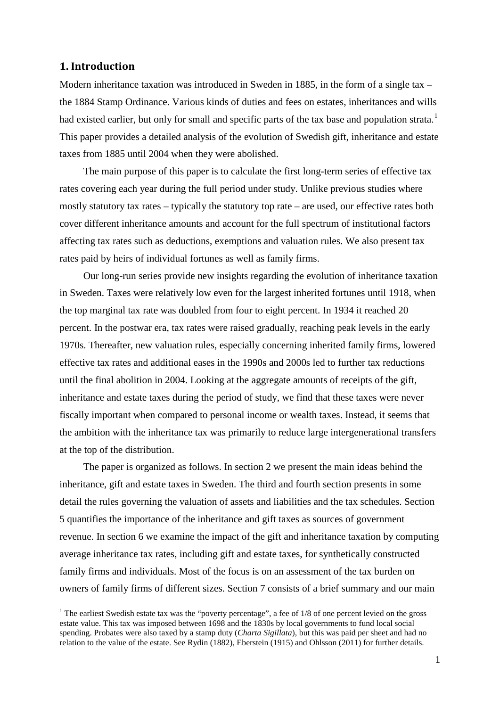# **1. Introduction**

Modern inheritance taxation was introduced in Sweden in 1885, in the form of a single tax – the 1884 Stamp Ordinance. Various kinds of duties and fees on estates, inheritances and wills had existed earlier, but only for small and specific parts of the tax base and population strata.<sup>[1](#page-2-0)</sup> This paper provides a detailed analysis of the evolution of Swedish gift, inheritance and estate taxes from 1885 until 2004 when they were abolished.

The main purpose of this paper is to calculate the first long-term series of effective tax rates covering each year during the full period under study. Unlike previous studies where mostly statutory tax rates – typically the statutory top rate – are used, our effective rates both cover different inheritance amounts and account for the full spectrum of institutional factors affecting tax rates such as deductions, exemptions and valuation rules. We also present tax rates paid by heirs of individual fortunes as well as family firms.

Our long-run series provide new insights regarding the evolution of inheritance taxation in Sweden. Taxes were relatively low even for the largest inherited fortunes until 1918, when the top marginal tax rate was doubled from four to eight percent. In 1934 it reached 20 percent. In the postwar era, tax rates were raised gradually, reaching peak levels in the early 1970s. Thereafter, new valuation rules, especially concerning inherited family firms, lowered effective tax rates and additional eases in the 1990s and 2000s led to further tax reductions until the final abolition in 2004. Looking at the aggregate amounts of receipts of the gift, inheritance and estate taxes during the period of study, we find that these taxes were never fiscally important when compared to personal income or wealth taxes. Instead, it seems that the ambition with the inheritance tax was primarily to reduce large intergenerational transfers at the top of the distribution.

The paper is organized as follows. In section 2 we present the main ideas behind the inheritance, gift and estate taxes in Sweden. The third and fourth section presents in some detail the rules governing the valuation of assets and liabilities and the tax schedules. Section 5 quantifies the importance of the inheritance and gift taxes as sources of government revenue. In section 6 we examine the impact of the gift and inheritance taxation by computing average inheritance tax rates, including gift and estate taxes, for synthetically constructed family firms and individuals. Most of the focus is on an assessment of the tax burden on owners of family firms of different sizes. Section 7 consists of a brief summary and our main

<span id="page-2-0"></span><sup>&</sup>lt;sup>1</sup> The earliest Swedish estate tax was the "poverty percentage", a fee of 1/8 of one percent levied on the gross estate value. This tax was imposed between 1698 and the 1830s by local governments to fund local social spending. Probates were also taxed by a stamp duty (*Charta Sigillata*), but this was paid per sheet and had no relation to the value of the estate. See Rydin (1882), Eberstein (1915) and Ohlsson (2011) for further details.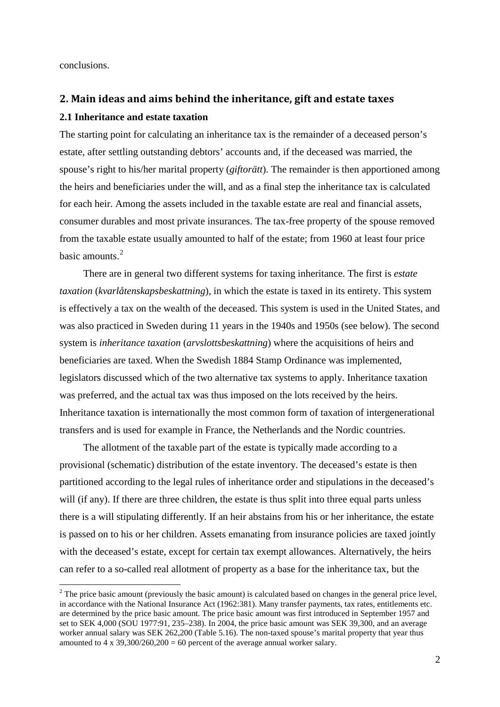conclusions.

# **2. Main ideas and aims behind the inheritance, gift and estate taxes**

## **2.1 Inheritance and estate taxation**

The starting point for calculating an inheritance tax is the remainder of a deceased person's estate, after settling outstanding debtors' accounts and, if the deceased was married, the spouse's right to his/her marital property (*giftorätt*). The remainder is then apportioned among the heirs and beneficiaries under the will, and as a final step the inheritance tax is calculated for each heir. Among the assets included in the taxable estate are real and financial assets, consumer durables and most private insurances. The tax-free property of the spouse removed from the taxable estate usually amounted to half of the estate; from 1960 at least four price basic amounts.[2](#page-3-0)

There are in general two different systems for taxing inheritance. The first is *estate taxation* (*kvarlåtenskapsbeskattning*), in which the estate is taxed in its entirety. This system is effectively a tax on the wealth of the deceased. This system is used in the United States, and was also practiced in Sweden during 11 years in the 1940s and 1950s (see below). The second system is *inheritance taxation* (*arvslottsbeskattning*) where the acquisitions of heirs and beneficiaries are taxed. When the Swedish 1884 Stamp Ordinance was implemented, legislators discussed which of the two alternative tax systems to apply. Inheritance taxation was preferred, and the actual tax was thus imposed on the lots received by the heirs. Inheritance taxation is internationally the most common form of taxation of intergenerational transfers and is used for example in France, the Netherlands and the Nordic countries.

The allotment of the taxable part of the estate is typically made according to a provisional (schematic) distribution of the estate inventory. The deceased's estate is then partitioned according to the legal rules of inheritance order and stipulations in the deceased's will (if any). If there are three children, the estate is thus split into three equal parts unless there is a will stipulating differently. If an heir abstains from his or her inheritance, the estate is passed on to his or her children. Assets emanating from insurance policies are taxed jointly with the deceased's estate, except for certain tax exempt allowances. Alternatively, the heirs can refer to a so-called real allotment of property as a base for the inheritance tax, but the

<span id="page-3-0"></span><sup>&</sup>lt;sup>2</sup> The price basic amount (previously the basic amount) is calculated based on changes in the general price level, in accordance with the National Insurance Act (1962:381). Many transfer payments, tax rates, entitlements etc. are determined by the price basic amount. The price basic amount was first introduced in September 1957 and set to SEK 4,000 (SOU 1977:91, 235–238). In 2004, the price basic amount was SEK 39,300, and an average worker annual salary was SEK 262,200 (Table 5.16). The non-taxed spouse's marital property that year thus amounted to 4 x 39,300/260,200 = 60 percent of the average annual worker salary.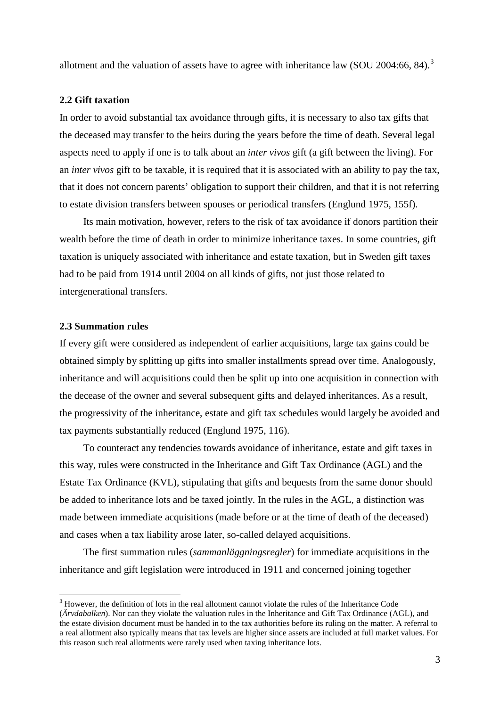allotment and the valuation of assets have to agree with inheritance law (SOU 2004:66, 84).<sup>[3](#page-4-0)</sup>

# **2.2 Gift taxation**

In order to avoid substantial tax avoidance through gifts, it is necessary to also tax gifts that the deceased may transfer to the heirs during the years before the time of death. Several legal aspects need to apply if one is to talk about an *inter vivos* gift (a gift between the living). For an *inter vivos* gift to be taxable, it is required that it is associated with an ability to pay the tax, that it does not concern parents' obligation to support their children, and that it is not referring to estate division transfers between spouses or periodical transfers (Englund 1975, 155f).

Its main motivation, however, refers to the risk of tax avoidance if donors partition their wealth before the time of death in order to minimize inheritance taxes. In some countries, gift taxation is uniquely associated with inheritance and estate taxation, but in Sweden gift taxes had to be paid from 1914 until 2004 on all kinds of gifts, not just those related to intergenerational transfers.

# **2.3 Summation rules**

If every gift were considered as independent of earlier acquisitions, large tax gains could be obtained simply by splitting up gifts into smaller installments spread over time. Analogously, inheritance and will acquisitions could then be split up into one acquisition in connection with the decease of the owner and several subsequent gifts and delayed inheritances. As a result, the progressivity of the inheritance, estate and gift tax schedules would largely be avoided and tax payments substantially reduced (Englund 1975, 116).

To counteract any tendencies towards avoidance of inheritance, estate and gift taxes in this way, rules were constructed in the Inheritance and Gift Tax Ordinance (AGL) and the Estate Tax Ordinance (KVL), stipulating that gifts and bequests from the same donor should be added to inheritance lots and be taxed jointly. In the rules in the AGL, a distinction was made between immediate acquisitions (made before or at the time of death of the deceased) and cases when a tax liability arose later, so-called delayed acquisitions.

The first summation rules (*sammanläggningsregler*) for immediate acquisitions in the inheritance and gift legislation were introduced in 1911 and concerned joining together

<span id="page-4-0"></span> <sup>3</sup> However, the definition of lots in the real allotment cannot violate the rules of the Inheritance Code (*Ärvdabalken*). Nor can they violate the valuation rules in the Inheritance and Gift Tax Ordinance (AGL), and the estate division document must be handed in to the tax authorities before its ruling on the matter. A referral to a real allotment also typically means that tax levels are higher since assets are included at full market values. For this reason such real allotments were rarely used when taxing inheritance lots.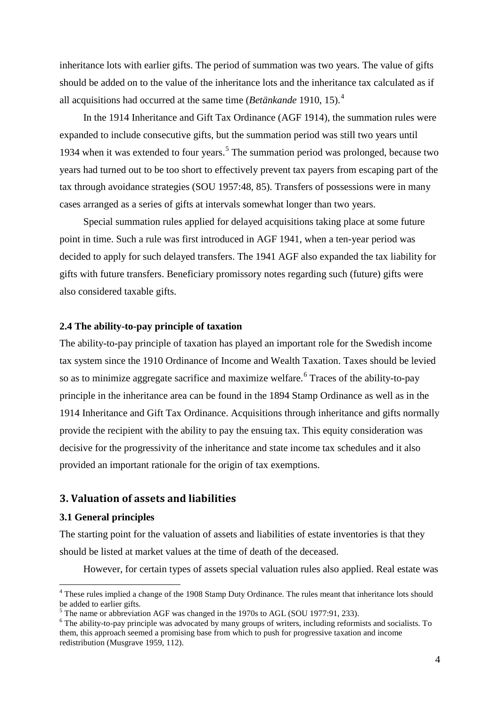inheritance lots with earlier gifts. The period of summation was two years. The value of gifts should be added on to the value of the inheritance lots and the inheritance tax calculated as if all acquisitions had occurred at the same time (*Betänkande* 1910, 15).[4](#page-5-0)

In the 1914 Inheritance and Gift Tax Ordinance (AGF 1914), the summation rules were expanded to include consecutive gifts, but the summation period was still two years until 1934 when it was extended to four years.<sup>[5](#page-5-1)</sup> The summation period was prolonged, because two years had turned out to be too short to effectively prevent tax payers from escaping part of the tax through avoidance strategies (SOU 1957:48, 85). Transfers of possessions were in many cases arranged as a series of gifts at intervals somewhat longer than two years.

Special summation rules applied for delayed acquisitions taking place at some future point in time. Such a rule was first introduced in AGF 1941, when a ten-year period was decided to apply for such delayed transfers. The 1941 AGF also expanded the tax liability for gifts with future transfers. Beneficiary promissory notes regarding such (future) gifts were also considered taxable gifts.

# **2.4 The ability-to-pay principle of taxation**

The ability-to-pay principle of taxation has played an important role for the Swedish income tax system since the 1910 Ordinance of Income and Wealth Taxation. Taxes should be levied so as to minimize aggregate sacrifice and maximize welfare.<sup>[6](#page-5-2)</sup> Traces of the ability-to-pay principle in the inheritance area can be found in the 1894 Stamp Ordinance as well as in the 1914 Inheritance and Gift Tax Ordinance. Acquisitions through inheritance and gifts normally provide the recipient with the ability to pay the ensuing tax. This equity consideration was decisive for the progressivity of the inheritance and state income tax schedules and it also provided an important rationale for the origin of tax exemptions.

# **3. Valuation of assets and liabilities**

# **3.1 General principles**

The starting point for the valuation of assets and liabilities of estate inventories is that they should be listed at market values at the time of death of the deceased.

However, for certain types of assets special valuation rules also applied. Real estate was

<span id="page-5-0"></span> <sup>4</sup> These rules implied a change of the 1908 Stamp Duty Ordinance. The rules meant that inheritance lots should be added to earlier gifts.<br><sup>5</sup> The name or abbreviation AGF was changed in the 1970s to AGL (SOU 1977:91, 233).

<span id="page-5-2"></span><span id="page-5-1"></span> $<sup>6</sup>$  The ability-to-pay principle was advocated by many groups of writers, including reformists and socialists. To</sup> them, this approach seemed a promising base from which to push for progressive taxation and income redistribution (Musgrave 1959, 112).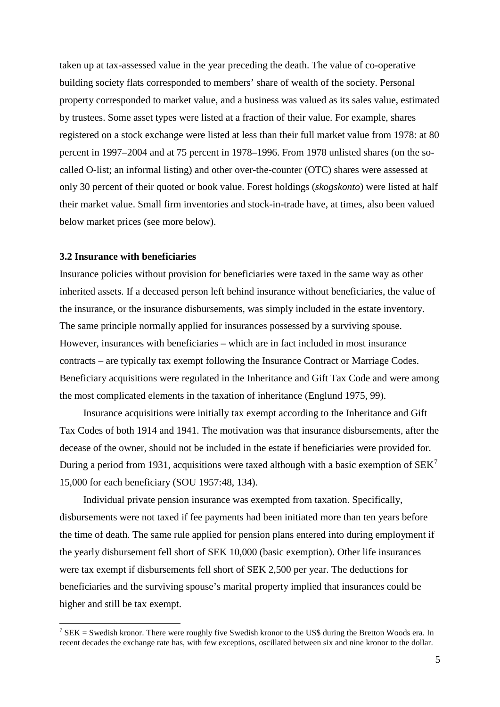taken up at tax-assessed value in the year preceding the death. The value of co-operative building society flats corresponded to members' share of wealth of the society. Personal property corresponded to market value, and a business was valued as its sales value, estimated by trustees. Some asset types were listed at a fraction of their value. For example, shares registered on a stock exchange were listed at less than their full market value from 1978: at 80 percent in 1997–2004 and at 75 percent in 1978–1996. From 1978 unlisted shares (on the socalled O-list; an informal listing) and other over-the-counter (OTC) shares were assessed at only 30 percent of their quoted or book value. Forest holdings (*skogskonto*) were listed at half their market value. Small firm inventories and stock-in-trade have, at times, also been valued below market prices (see more below).

# **3.2 Insurance with beneficiaries**

Insurance policies without provision for beneficiaries were taxed in the same way as other inherited assets. If a deceased person left behind insurance without beneficiaries, the value of the insurance, or the insurance disbursements, was simply included in the estate inventory. The same principle normally applied for insurances possessed by a surviving spouse. However, insurances with beneficiaries – which are in fact included in most insurance contracts – are typically tax exempt following the Insurance Contract or Marriage Codes. Beneficiary acquisitions were regulated in the Inheritance and Gift Tax Code and were among the most complicated elements in the taxation of inheritance (Englund 1975, 99).

Insurance acquisitions were initially tax exempt according to the Inheritance and Gift Tax Codes of both 1914 and 1941. The motivation was that insurance disbursements, after the decease of the owner, should not be included in the estate if beneficiaries were provided for. During a period from 1931, acquisitions were taxed although with a basic exemption of  $SEK<sup>7</sup>$  $SEK<sup>7</sup>$  $SEK<sup>7</sup>$ 15,000 for each beneficiary (SOU 1957:48, 134).

Individual private pension insurance was exempted from taxation. Specifically, disbursements were not taxed if fee payments had been initiated more than ten years before the time of death. The same rule applied for pension plans entered into during employment if the yearly disbursement fell short of SEK 10,000 (basic exemption). Other life insurances were tax exempt if disbursements fell short of SEK 2,500 per year. The deductions for beneficiaries and the surviving spouse's marital property implied that insurances could be higher and still be tax exempt.

<span id="page-6-0"></span><sup>&</sup>lt;sup>7</sup> SEK = Swedish kronor. There were roughly five Swedish kronor to the US\$ during the Bretton Woods era. In recent decades the exchange rate has, with few exceptions, oscillated between six and nine kronor to the dollar.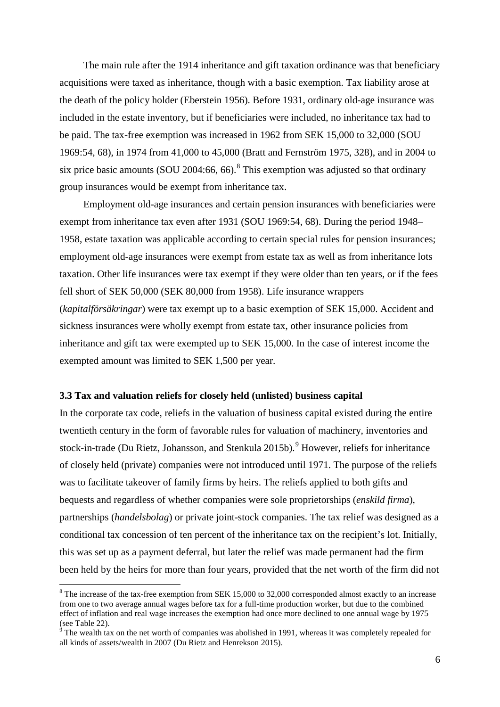The main rule after the 1914 inheritance and gift taxation ordinance was that beneficiary acquisitions were taxed as inheritance, though with a basic exemption. Tax liability arose at the death of the policy holder (Eberstein 1956). Before 1931, ordinary old-age insurance was included in the estate inventory, but if beneficiaries were included, no inheritance tax had to be paid. The tax-free exemption was increased in 1962 from SEK 15,000 to 32,000 (SOU 1969:54, 68), in 1974 from 41,000 to 45,000 (Bratt and Fernström 1975, 328), and in 2004 to six price basic amounts (SOU 2004:66, 66).<sup>[8](#page-7-0)</sup> This exemption was adjusted so that ordinary group insurances would be exempt from inheritance tax.

Employment old-age insurances and certain pension insurances with beneficiaries were exempt from inheritance tax even after 1931 (SOU 1969:54, 68). During the period 1948– 1958, estate taxation was applicable according to certain special rules for pension insurances; employment old-age insurances were exempt from estate tax as well as from inheritance lots taxation. Other life insurances were tax exempt if they were older than ten years, or if the fees fell short of SEK 50,000 (SEK 80,000 from 1958). Life insurance wrappers (*kapitalförsäkringar*) were tax exempt up to a basic exemption of SEK 15,000. Accident and sickness insurances were wholly exempt from estate tax, other insurance policies from inheritance and gift tax were exempted up to SEK 15,000. In the case of interest income the exempted amount was limited to SEK 1,500 per year.

## **3.3 Tax and valuation reliefs for closely held (unlisted) business capital**

In the corporate tax code, reliefs in the valuation of business capital existed during the entire twentieth century in the form of favorable rules for valuation of machinery, inventories and stock-in-trade (Du Rietz, Johansson, and Stenkula  $2015b$ ).<sup>[9](#page-7-1)</sup> However, reliefs for inheritance of closely held (private) companies were not introduced until 1971. The purpose of the reliefs was to facilitate takeover of family firms by heirs. The reliefs applied to both gifts and bequests and regardless of whether companies were sole proprietorships (*enskild firma*), partnerships (*handelsbolag*) or private joint-stock companies. The tax relief was designed as a conditional tax concession of ten percent of the inheritance tax on the recipient's lot. Initially, this was set up as a payment deferral, but later the relief was made permanent had the firm been held by the heirs for more than four years, provided that the net worth of the firm did not

<span id="page-7-0"></span><sup>&</sup>lt;sup>8</sup> The increase of the tax-free exemption from SEK 15,000 to 32,000 corresponded almost exactly to an increase from one to two average annual wages before tax for a full-time production worker, but due to the combined effect of inflation and real wage increases the exemption had once more declined to one annual wage by 1975 (see Table 22).

<span id="page-7-1"></span> $\degree$  The wealth tax on the net worth of companies was abolished in 1991, whereas it was completely repealed for all kinds of assets/wealth in 2007 (Du Rietz and Henrekson 2015).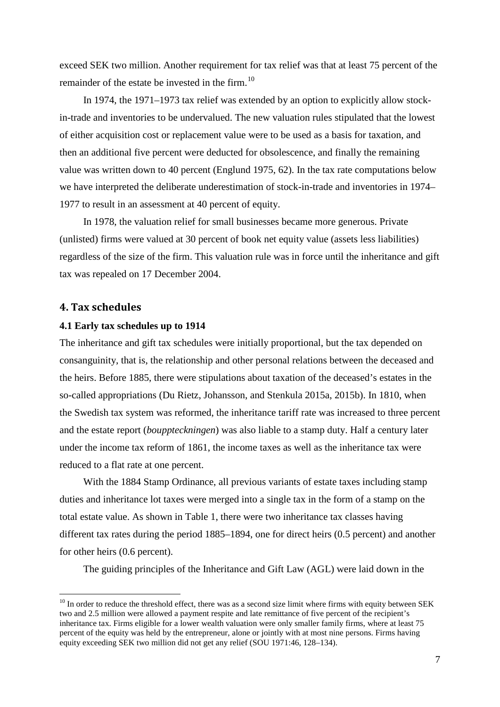exceed SEK two million. Another requirement for tax relief was that at least 75 percent of the remainder of the estate be invested in the firm.<sup>[10](#page-8-0)</sup>

In 1974, the 1971–1973 tax relief was extended by an option to explicitly allow stockin-trade and inventories to be undervalued. The new valuation rules stipulated that the lowest of either acquisition cost or replacement value were to be used as a basis for taxation, and then an additional five percent were deducted for obsolescence, and finally the remaining value was written down to 40 percent (Englund 1975, 62). In the tax rate computations below we have interpreted the deliberate underestimation of stock-in-trade and inventories in 1974– 1977 to result in an assessment at 40 percent of equity.

In 1978, the valuation relief for small businesses became more generous. Private (unlisted) firms were valued at 30 percent of book net equity value (assets less liabilities) regardless of the size of the firm. This valuation rule was in force until the inheritance and gift tax was repealed on 17 December 2004.

## **4. Tax schedules**

# **4.1 Early tax schedules up to 1914**

The inheritance and gift tax schedules were initially proportional, but the tax depended on consanguinity, that is, the relationship and other personal relations between the deceased and the heirs. Before 1885, there were stipulations about taxation of the deceased's estates in the so-called appropriations (Du Rietz, Johansson, and Stenkula 2015a, 2015b). In 1810, when the Swedish tax system was reformed, the inheritance tariff rate was increased to three percent and the estate report (*bouppteckningen*) was also liable to a stamp duty. Half a century later under the income tax reform of 1861, the income taxes as well as the inheritance tax were reduced to a flat rate at one percent.

With the 1884 Stamp Ordinance, all previous variants of estate taxes including stamp duties and inheritance lot taxes were merged into a single tax in the form of a stamp on the total estate value. As shown in Table 1, there were two inheritance tax classes having different tax rates during the period 1885–1894, one for direct heirs (0.5 percent) and another for other heirs (0.6 percent).

The guiding principles of the Inheritance and Gift Law (AGL) were laid down in the

<span id="page-8-0"></span> $10$  In order to reduce the threshold effect, there was as a second size limit where firms with equity between SEK two and 2.5 million were allowed a payment respite and late remittance of five percent of the recipient's inheritance tax. Firms eligible for a lower wealth valuation were only smaller family firms, where at least 75 percent of the equity was held by the entrepreneur, alone or jointly with at most nine persons. Firms having equity exceeding SEK two million did not get any relief (SOU 1971:46, 128–134).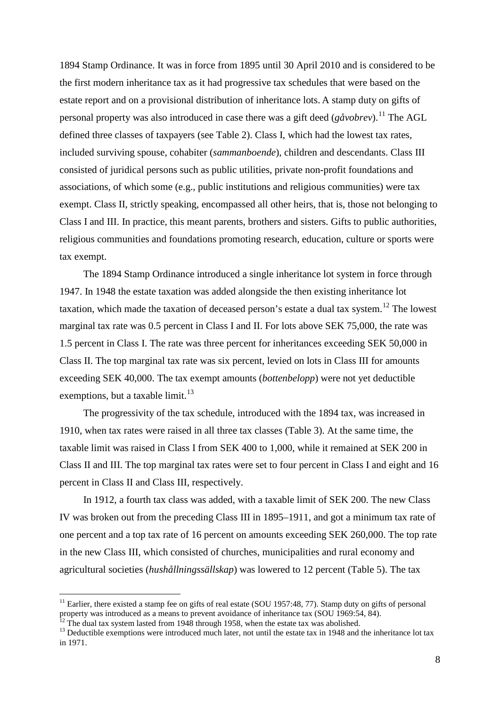1894 Stamp Ordinance. It was in force from 1895 until 30 April 2010 and is considered to be the first modern inheritance tax as it had progressive tax schedules that were based on the estate report and on a provisional distribution of inheritance lots. A stamp duty on gifts of personal property was also introduced in case there was a gift deed ( $g\ddot{a}vobrev$ ).<sup>[11](#page-9-0)</sup> The AGL defined three classes of taxpayers (see Table 2). Class I, which had the lowest tax rates, included surviving spouse, cohabiter (*sammanboende*), children and descendants. Class III consisted of juridical persons such as public utilities, private non-profit foundations and associations, of which some (e.g., public institutions and religious communities) were tax exempt. Class II, strictly speaking, encompassed all other heirs, that is, those not belonging to Class I and III. In practice, this meant parents, brothers and sisters. Gifts to public authorities, religious communities and foundations promoting research, education, culture or sports were tax exempt.

The 1894 Stamp Ordinance introduced a single inheritance lot system in force through 1947. In 1948 the estate taxation was added alongside the then existing inheritance lot taxation, which made the taxation of deceased person's estate a dual tax system.[12](#page-9-1) The lowest marginal tax rate was 0.5 percent in Class I and II. For lots above SEK 75,000, the rate was 1.5 percent in Class I. The rate was three percent for inheritances exceeding SEK 50,000 in Class II. The top marginal tax rate was six percent, levied on lots in Class III for amounts exceeding SEK 40,000. The tax exempt amounts (*bottenbelopp*) were not yet deductible exemptions, but a taxable limit.<sup>[13](#page-9-2)</sup>

The progressivity of the tax schedule, introduced with the 1894 tax, was increased in 1910, when tax rates were raised in all three tax classes (Table 3). At the same time, the taxable limit was raised in Class I from SEK 400 to 1,000, while it remained at SEK 200 in Class II and III. The top marginal tax rates were set to four percent in Class I and eight and 16 percent in Class II and Class III, respectively.

In 1912, a fourth tax class was added, with a taxable limit of SEK 200. The new Class IV was broken out from the preceding Class III in 1895–1911, and got a minimum tax rate of one percent and a top tax rate of 16 percent on amounts exceeding SEK 260,000. The top rate in the new Class III, which consisted of churches, municipalities and rural economy and agricultural societies (*hushållningssällskap*) was lowered to 12 percent (Table 5). The tax

<span id="page-9-0"></span> $11$  Earlier, there existed a stamp fee on gifts of real estate (SOU 1957:48, 77). Stamp duty on gifts of personal property was introduced as a means to prevent avoidance of inheritance tax (SOU 1969:54, 84).<br><sup>12</sup> The dual tax system lasted from 1948 through 1958, when the estate tax was abolished.

<span id="page-9-2"></span><span id="page-9-1"></span> $13$  Deductible exemptions were introduced much later, not until the estate tax in 1948 and the inheritance lot tax in 1971.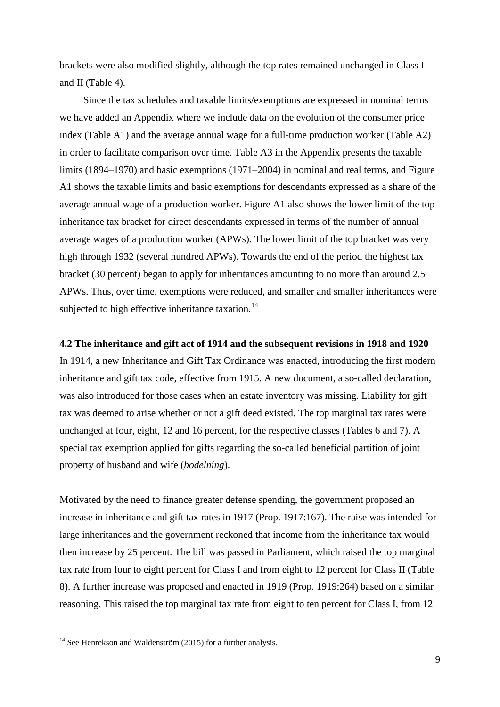brackets were also modified slightly, although the top rates remained unchanged in Class I and II (Table 4).

Since the tax schedules and taxable limits/exemptions are expressed in nominal terms we have added an Appendix where we include data on the evolution of the consumer price index (Table A1) and the average annual wage for a full-time production worker (Table A2) in order to facilitate comparison over time. Table A3 in the Appendix presents the taxable limits (1894–1970) and basic exemptions (1971–2004) in nominal and real terms, and Figure A1 shows the taxable limits and basic exemptions for descendants expressed as a share of the average annual wage of a production worker. Figure A1 also shows the lower limit of the top inheritance tax bracket for direct descendants expressed in terms of the number of annual average wages of a production worker (APWs). The lower limit of the top bracket was very high through 1932 (several hundred APWs). Towards the end of the period the highest tax bracket (30 percent) began to apply for inheritances amounting to no more than around 2.5 APWs. Thus, over time, exemptions were reduced, and smaller and smaller inheritances were subjected to high effective inheritance taxation.<sup>[14](#page-10-0)</sup>

#### **4.2 The inheritance and gift act of 1914 and the subsequent revisions in 1918 and 1920**

In 1914, a new Inheritance and Gift Tax Ordinance was enacted, introducing the first modern inheritance and gift tax code, effective from 1915. A new document, a so-called declaration, was also introduced for those cases when an estate inventory was missing. Liability for gift tax was deemed to arise whether or not a gift deed existed. The top marginal tax rates were unchanged at four, eight, 12 and 16 percent, for the respective classes (Tables 6 and 7). A special tax exemption applied for gifts regarding the so-called beneficial partition of joint property of husband and wife (*bodelning*).

Motivated by the need to finance greater defense spending, the government proposed an increase in inheritance and gift tax rates in 1917 (Prop. 1917:167). The raise was intended for large inheritances and the government reckoned that income from the inheritance tax would then increase by 25 percent. The bill was passed in Parliament, which raised the top marginal tax rate from four to eight percent for Class I and from eight to 12 percent for Class II (Table 8). A further increase was proposed and enacted in 1919 (Prop. 1919:264) based on a similar reasoning. This raised the top marginal tax rate from eight to ten percent for Class I, from 12

<span id="page-10-0"></span> $14$  See Henrekson and Waldenström (2015) for a further analysis.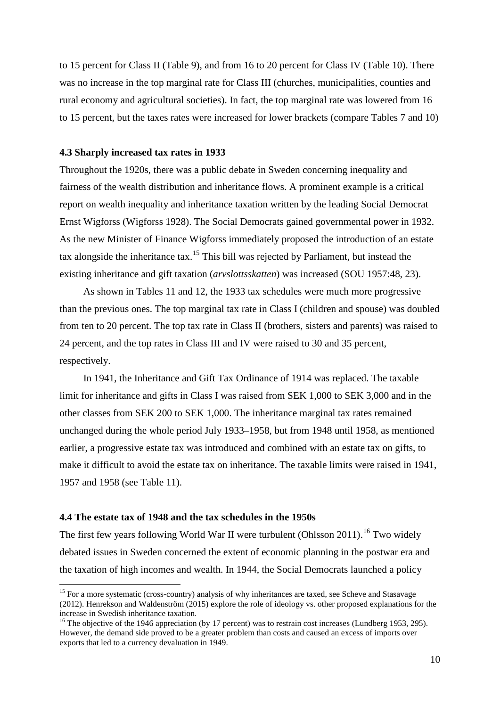to 15 percent for Class II (Table 9), and from 16 to 20 percent for Class IV (Table 10). There was no increase in the top marginal rate for Class III (churches, municipalities, counties and rural economy and agricultural societies). In fact, the top marginal rate was lowered from 16 to 15 percent, but the taxes rates were increased for lower brackets (compare Tables 7 and 10)

## **4.3 Sharply increased tax rates in 1933**

Throughout the 1920s, there was a public debate in Sweden concerning inequality and fairness of the wealth distribution and inheritance flows. A prominent example is a critical report on wealth inequality and inheritance taxation written by the leading Social Democrat Ernst Wigforss (Wigforss 1928). The Social Democrats gained governmental power in 1932. As the new Minister of Finance Wigforss immediately proposed the introduction of an estate tax alongside the inheritance  $\text{tax.}^{15}$  $\text{tax.}^{15}$  $\text{tax.}^{15}$  This bill was rejected by Parliament, but instead the existing inheritance and gift taxation (*arvslottsskatten*) was increased (SOU 1957:48, 23).

As shown in Tables 11 and 12, the 1933 tax schedules were much more progressive than the previous ones. The top marginal tax rate in Class I (children and spouse) was doubled from ten to 20 percent. The top tax rate in Class II (brothers, sisters and parents) was raised to 24 percent, and the top rates in Class III and IV were raised to 30 and 35 percent, respectively.

In 1941, the Inheritance and Gift Tax Ordinance of 1914 was replaced. The taxable limit for inheritance and gifts in Class I was raised from SEK 1,000 to SEK 3,000 and in the other classes from SEK 200 to SEK 1,000. The inheritance marginal tax rates remained unchanged during the whole period July 1933–1958, but from 1948 until 1958, as mentioned earlier, a progressive estate tax was introduced and combined with an estate tax on gifts, to make it difficult to avoid the estate tax on inheritance. The taxable limits were raised in 1941, 1957 and 1958 (see Table 11).

# **4.4 The estate tax of 1948 and the tax schedules in the 1950s**

The first few years following World War II were turbulent (Ohlsson 2011).<sup>[16](#page-11-1)</sup> Two widely debated issues in Sweden concerned the extent of economic planning in the postwar era and the taxation of high incomes and wealth. In 1944, the Social Democrats launched a policy

<span id="page-11-0"></span><sup>&</sup>lt;sup>15</sup> For a more systematic (cross-country) analysis of why inheritances are taxed, see Scheve and Stasavage (2012). Henrekson and Waldenström (2015) explore the role of ideology vs. other proposed explanations for the

<span id="page-11-1"></span><sup>&</sup>lt;sup>16</sup> The objective of the 1946 appreciation (by 17 percent) was to restrain cost increases (Lundberg 1953, 295). However, the demand side proved to be a greater problem than costs and caused an excess of imports over exports that led to a currency devaluation in 1949.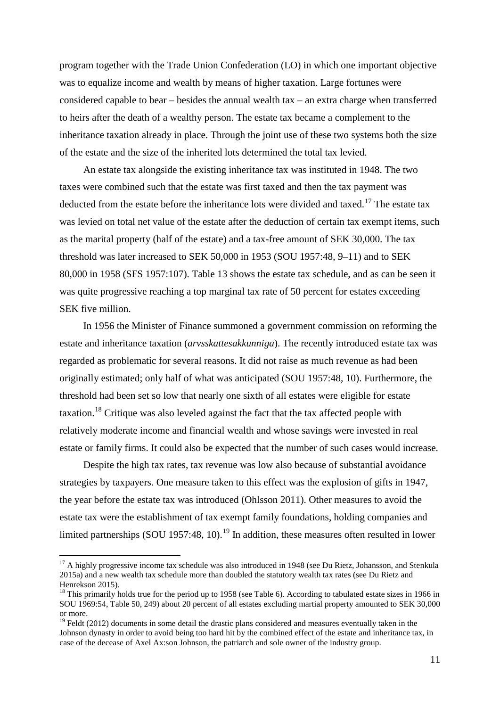program together with the Trade Union Confederation (LO) in which one important objective was to equalize income and wealth by means of higher taxation. Large fortunes were considered capable to bear – besides the annual wealth tax – an extra charge when transferred to heirs after the death of a wealthy person. The estate tax became a complement to the inheritance taxation already in place. Through the joint use of these two systems both the size of the estate and the size of the inherited lots determined the total tax levied.

An estate tax alongside the existing inheritance tax was instituted in 1948. The two taxes were combined such that the estate was first taxed and then the tax payment was deducted from the estate before the inheritance lots were divided and taxed.<sup>[17](#page-12-0)</sup> The estate tax was levied on total net value of the estate after the deduction of certain tax exempt items, such as the marital property (half of the estate) and a tax-free amount of SEK 30,000. The tax threshold was later increased to SEK 50,000 in 1953 (SOU 1957:48, 9–11) and to SEK 80,000 in 1958 (SFS 1957:107). Table 13 shows the estate tax schedule, and as can be seen it was quite progressive reaching a top marginal tax rate of 50 percent for estates exceeding SEK five million.

In 1956 the Minister of Finance summoned a government commission on reforming the estate and inheritance taxation (*arvsskattesakkunniga*). The recently introduced estate tax was regarded as problematic for several reasons. It did not raise as much revenue as had been originally estimated; only half of what was anticipated (SOU 1957:48, 10). Furthermore, the threshold had been set so low that nearly one sixth of all estates were eligible for estate taxation.[18](#page-12-1) Critique was also leveled against the fact that the tax affected people with relatively moderate income and financial wealth and whose savings were invested in real estate or family firms. It could also be expected that the number of such cases would increase.

Despite the high tax rates, tax revenue was low also because of substantial avoidance strategies by taxpayers. One measure taken to this effect was the explosion of gifts in 1947, the year before the estate tax was introduced (Ohlsson 2011). Other measures to avoid the estate tax were the establishment of tax exempt family foundations, holding companies and limited partnerships (SOU [19](#page-12-2)57:48, 10).<sup>19</sup> In addition, these measures often resulted in lower

<span id="page-12-0"></span><sup>&</sup>lt;sup>17</sup> A highly progressive income tax schedule was also introduced in 1948 (see Du Rietz, Johansson, and Stenkula 2015a) and a new wealth tax schedule more than doubled the statutory wealth tax rates (see Du Rietz and Henrekson 2015).

<span id="page-12-1"></span><sup>&</sup>lt;sup>18</sup> This primarily holds true for the period up to 1958 (see Table 6). According to tabulated estate sizes in 1966 in SOU 1969:54, Table 50, 249) about 20 percent of all estates excluding martial property amounted to SEK 30,000 or more.

<span id="page-12-2"></span> $19$  Feldt (2012) documents in some detail the drastic plans considered and measures eventually taken in the Johnson dynasty in order to avoid being too hard hit by the combined effect of the estate and inheritance tax, in case of the decease of Axel Ax:son Johnson, the patriarch and sole owner of the industry group.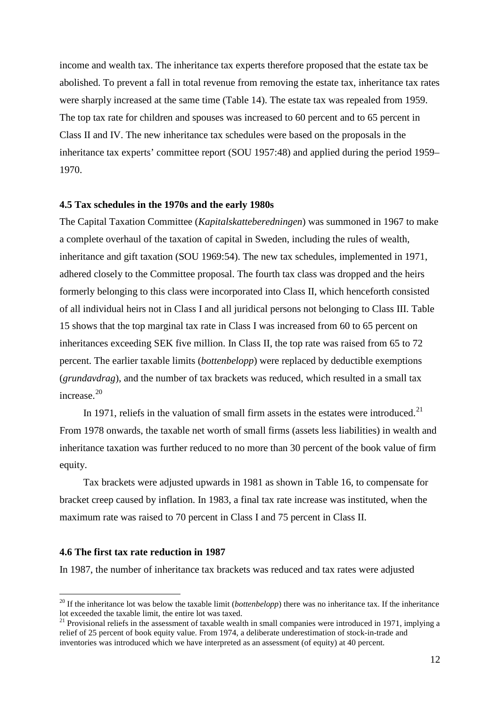income and wealth tax. The inheritance tax experts therefore proposed that the estate tax be abolished. To prevent a fall in total revenue from removing the estate tax, inheritance tax rates were sharply increased at the same time (Table 14). The estate tax was repealed from 1959. The top tax rate for children and spouses was increased to 60 percent and to 65 percent in Class II and IV. The new inheritance tax schedules were based on the proposals in the inheritance tax experts' committee report (SOU 1957:48) and applied during the period 1959– 1970.

#### **4.5 Tax schedules in the 1970s and the early 1980s**

The Capital Taxation Committee (*Kapitalskatteberedningen*) was summoned in 1967 to make a complete overhaul of the taxation of capital in Sweden, including the rules of wealth, inheritance and gift taxation (SOU 1969:54). The new tax schedules, implemented in 1971, adhered closely to the Committee proposal. The fourth tax class was dropped and the heirs formerly belonging to this class were incorporated into Class II, which henceforth consisted of all individual heirs not in Class I and all juridical persons not belonging to Class III. Table 15 shows that the top marginal tax rate in Class I was increased from 60 to 65 percent on inheritances exceeding SEK five million. In Class II, the top rate was raised from 65 to 72 percent. The earlier taxable limits (*bottenbelopp*) were replaced by deductible exemptions (*grundavdrag*), and the number of tax brackets was reduced, which resulted in a small tax increase.[20](#page-13-0)

In 1971, reliefs in the valuation of small firm assets in the estates were introduced.<sup>[21](#page-13-1)</sup> From 1978 onwards, the taxable net worth of small firms (assets less liabilities) in wealth and inheritance taxation was further reduced to no more than 30 percent of the book value of firm equity.

Tax brackets were adjusted upwards in 1981 as shown in Table 16, to compensate for bracket creep caused by inflation. In 1983, a final tax rate increase was instituted, when the maximum rate was raised to 70 percent in Class I and 75 percent in Class II.

#### **4.6 The first tax rate reduction in 1987**

In 1987, the number of inheritance tax brackets was reduced and tax rates were adjusted

<span id="page-13-0"></span><sup>&</sup>lt;sup>20</sup> If the inheritance lot was below the taxable limit (*bottenbelopp*) there was no inheritance tax. If the inheritance lot exceeded the taxable limit, the entire lot was taxed.

<span id="page-13-1"></span> $21$  Provisional reliefs in the assessment of taxable wealth in small companies were introduced in 1971, implying a relief of 25 percent of book equity value. From 1974, a deliberate underestimation of stock-in-trade and inventories was introduced which we have interpreted as an assessment (of equity) at 40 percent.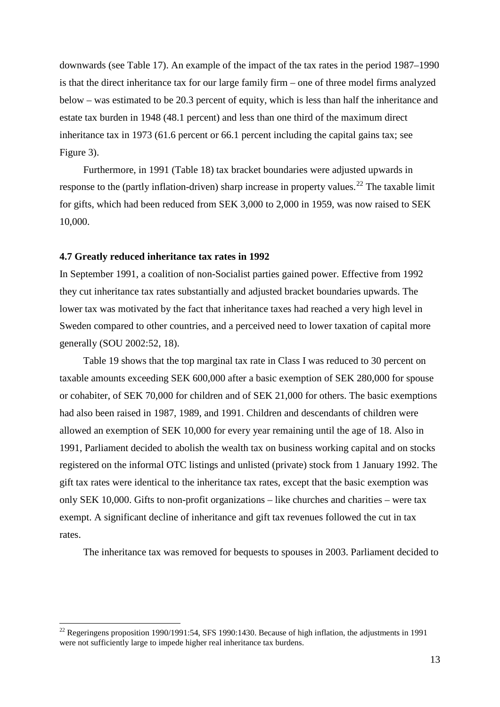downwards (see Table 17). An example of the impact of the tax rates in the period 1987–1990 is that the direct inheritance tax for our large family firm – one of three model firms analyzed below – was estimated to be 20.3 percent of equity, which is less than half the inheritance and estate tax burden in 1948 (48.1 percent) and less than one third of the maximum direct inheritance tax in 1973 (61.6 percent or 66.1 percent including the capital gains tax; see Figure 3).

Furthermore, in 1991 (Table 18) tax bracket boundaries were adjusted upwards in response to the (partly inflation-driven) sharp increase in property values.<sup>[22](#page-14-0)</sup> The taxable limit for gifts, which had been reduced from SEK 3,000 to 2,000 in 1959, was now raised to SEK 10,000.

#### **4.7 Greatly reduced inheritance tax rates in 1992**

In September 1991, a coalition of non-Socialist parties gained power. Effective from 1992 they cut inheritance tax rates substantially and adjusted bracket boundaries upwards. The lower tax was motivated by the fact that inheritance taxes had reached a very high level in Sweden compared to other countries, and a perceived need to lower taxation of capital more generally (SOU 2002:52, 18).

Table 19 shows that the top marginal tax rate in Class I was reduced to 30 percent on taxable amounts exceeding SEK 600,000 after a basic exemption of SEK 280,000 for spouse or cohabiter, of SEK 70,000 for children and of SEK 21,000 for others. The basic exemptions had also been raised in 1987, 1989, and 1991. Children and descendants of children were allowed an exemption of SEK 10,000 for every year remaining until the age of 18. Also in 1991, Parliament decided to abolish the wealth tax on business working capital and on stocks registered on the informal OTC listings and unlisted (private) stock from 1 January 1992. The gift tax rates were identical to the inheritance tax rates, except that the basic exemption was only SEK 10,000. Gifts to non-profit organizations – like churches and charities – were tax exempt. A significant decline of inheritance and gift tax revenues followed the cut in tax rates.

The inheritance tax was removed for bequests to spouses in 2003. Parliament decided to

<span id="page-14-0"></span><sup>&</sup>lt;sup>22</sup> Regeringens proposition 1990/1991:54, SFS 1990:1430. Because of high inflation, the adjustments in 1991 were not sufficiently large to impede higher real inheritance tax burdens.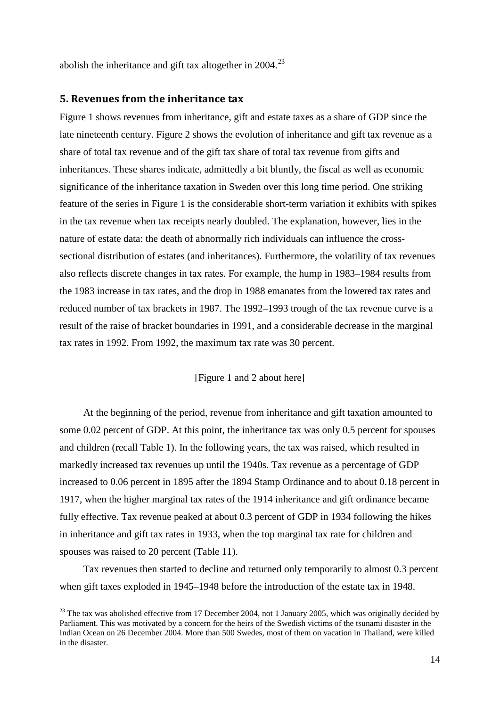abolish the inheritance and gift tax altogether in  $2004$ .<sup>[23](#page-15-0)</sup>

# **5. Revenues from the inheritance tax**

Figure 1 shows revenues from inheritance, gift and estate taxes as a share of GDP since the late nineteenth century. Figure 2 shows the evolution of inheritance and gift tax revenue as a share of total tax revenue and of the gift tax share of total tax revenue from gifts and inheritances. These shares indicate, admittedly a bit bluntly, the fiscal as well as economic significance of the inheritance taxation in Sweden over this long time period. One striking feature of the series in Figure 1 is the considerable short-term variation it exhibits with spikes in the tax revenue when tax receipts nearly doubled. The explanation, however, lies in the nature of estate data: the death of abnormally rich individuals can influence the crosssectional distribution of estates (and inheritances). Furthermore, the volatility of tax revenues also reflects discrete changes in tax rates. For example, the hump in 1983–1984 results from the 1983 increase in tax rates, and the drop in 1988 emanates from the lowered tax rates and reduced number of tax brackets in 1987. The 1992–1993 trough of the tax revenue curve is a result of the raise of bracket boundaries in 1991, and a considerable decrease in the marginal tax rates in 1992. From 1992, the maximum tax rate was 30 percent.

## [Figure 1 and 2 about here]

At the beginning of the period, revenue from inheritance and gift taxation amounted to some 0.02 percent of GDP. At this point, the inheritance tax was only 0.5 percent for spouses and children (recall Table 1). In the following years, the tax was raised, which resulted in markedly increased tax revenues up until the 1940s. Tax revenue as a percentage of GDP increased to 0.06 percent in 1895 after the 1894 Stamp Ordinance and to about 0.18 percent in 1917, when the higher marginal tax rates of the 1914 inheritance and gift ordinance became fully effective. Tax revenue peaked at about 0.3 percent of GDP in 1934 following the hikes in inheritance and gift tax rates in 1933, when the top marginal tax rate for children and spouses was raised to 20 percent (Table 11).

Tax revenues then started to decline and returned only temporarily to almost 0.3 percent when gift taxes exploded in 1945–1948 before the introduction of the estate tax in 1948.

<span id="page-15-0"></span><sup>&</sup>lt;sup>23</sup> The tax was abolished effective from 17 December 2004, not 1 January 2005, which was originally decided by Parliament. This was motivated by a concern for the heirs of the Swedish victims of the tsunami disaster in the Indian Ocean on 26 December 2004. More than 500 Swedes, most of them on vacation in Thailand, were killed in the disaster.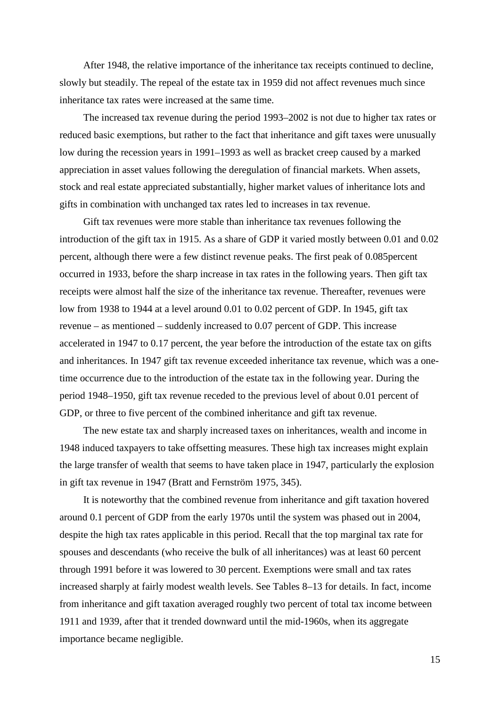After 1948, the relative importance of the inheritance tax receipts continued to decline, slowly but steadily. The repeal of the estate tax in 1959 did not affect revenues much since inheritance tax rates were increased at the same time.

The increased tax revenue during the period 1993–2002 is not due to higher tax rates or reduced basic exemptions, but rather to the fact that inheritance and gift taxes were unusually low during the recession years in 1991–1993 as well as bracket creep caused by a marked appreciation in asset values following the deregulation of financial markets. When assets, stock and real estate appreciated substantially, higher market values of inheritance lots and gifts in combination with unchanged tax rates led to increases in tax revenue.

Gift tax revenues were more stable than inheritance tax revenues following the introduction of the gift tax in 1915. As a share of GDP it varied mostly between 0.01 and 0.02 percent, although there were a few distinct revenue peaks. The first peak of 0.085percent occurred in 1933, before the sharp increase in tax rates in the following years. Then gift tax receipts were almost half the size of the inheritance tax revenue. Thereafter, revenues were low from 1938 to 1944 at a level around 0.01 to 0.02 percent of GDP. In 1945, gift tax revenue – as mentioned – suddenly increased to 0.07 percent of GDP. This increase accelerated in 1947 to 0.17 percent, the year before the introduction of the estate tax on gifts and inheritances. In 1947 gift tax revenue exceeded inheritance tax revenue, which was a onetime occurrence due to the introduction of the estate tax in the following year. During the period 1948–1950, gift tax revenue receded to the previous level of about 0.01 percent of GDP, or three to five percent of the combined inheritance and gift tax revenue.

The new estate tax and sharply increased taxes on inheritances, wealth and income in 1948 induced taxpayers to take offsetting measures. These high tax increases might explain the large transfer of wealth that seems to have taken place in 1947, particularly the explosion in gift tax revenue in 1947 (Bratt and Fernström 1975, 345).

It is noteworthy that the combined revenue from inheritance and gift taxation hovered around 0.1 percent of GDP from the early 1970s until the system was phased out in 2004, despite the high tax rates applicable in this period. Recall that the top marginal tax rate for spouses and descendants (who receive the bulk of all inheritances) was at least 60 percent through 1991 before it was lowered to 30 percent. Exemptions were small and tax rates increased sharply at fairly modest wealth levels. See Tables 8–13 for details. In fact, income from inheritance and gift taxation averaged roughly two percent of total tax income between 1911 and 1939, after that it trended downward until the mid-1960s, when its aggregate importance became negligible.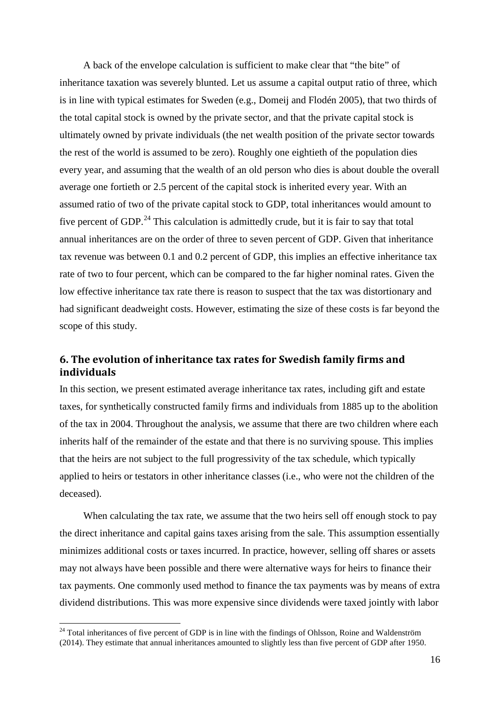A back of the envelope calculation is sufficient to make clear that "the bite" of inheritance taxation was severely blunted. Let us assume a capital output ratio of three, which is in line with typical estimates for Sweden (e.g., Domeij and Flodén 2005), that two thirds of the total capital stock is owned by the private sector, and that the private capital stock is ultimately owned by private individuals (the net wealth position of the private sector towards the rest of the world is assumed to be zero). Roughly one eightieth of the population dies every year, and assuming that the wealth of an old person who dies is about double the overall average one fortieth or 2.5 percent of the capital stock is inherited every year. With an assumed ratio of two of the private capital stock to GDP, total inheritances would amount to five percent of GDP.<sup>[24](#page-17-0)</sup> This calculation is admittedly crude, but it is fair to say that total annual inheritances are on the order of three to seven percent of GDP. Given that inheritance tax revenue was between 0.1 and 0.2 percent of GDP, this implies an effective inheritance tax rate of two to four percent, which can be compared to the far higher nominal rates. Given the low effective inheritance tax rate there is reason to suspect that the tax was distortionary and had significant deadweight costs. However, estimating the size of these costs is far beyond the scope of this study.

# **6. The evolution of inheritance tax rates for Swedish family firms and individuals**

In this section, we present estimated average inheritance tax rates, including gift and estate taxes, for synthetically constructed family firms and individuals from 1885 up to the abolition of the tax in 2004. Throughout the analysis, we assume that there are two children where each inherits half of the remainder of the estate and that there is no surviving spouse. This implies that the heirs are not subject to the full progressivity of the tax schedule, which typically applied to heirs or testators in other inheritance classes (i.e., who were not the children of the deceased).

When calculating the tax rate, we assume that the two heirs sell off enough stock to pay the direct inheritance and capital gains taxes arising from the sale. This assumption essentially minimizes additional costs or taxes incurred. In practice, however, selling off shares or assets may not always have been possible and there were alternative ways for heirs to finance their tax payments. One commonly used method to finance the tax payments was by means of extra dividend distributions. This was more expensive since dividends were taxed jointly with labor

<span id="page-17-0"></span><sup>&</sup>lt;sup>24</sup> Total inheritances of five percent of GDP is in line with the findings of Ohlsson, Roine and Waldenström (2014). They estimate that annual inheritances amounted to slightly less than five percent of GDP after 1950.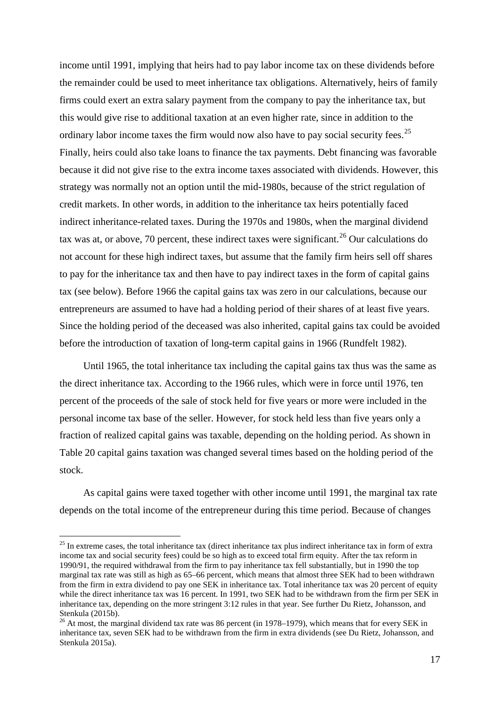income until 1991, implying that heirs had to pay labor income tax on these dividends before the remainder could be used to meet inheritance tax obligations. Alternatively, heirs of family firms could exert an extra salary payment from the company to pay the inheritance tax, but this would give rise to additional taxation at an even higher rate, since in addition to the ordinary labor income taxes the firm would now also have to pay social security fees.<sup>[25](#page-18-0)</sup> Finally, heirs could also take loans to finance the tax payments. Debt financing was favorable because it did not give rise to the extra income taxes associated with dividends. However, this strategy was normally not an option until the mid-1980s, because of the strict regulation of credit markets. In other words, in addition to the inheritance tax heirs potentially faced indirect inheritance-related taxes. During the 1970s and 1980s, when the marginal dividend tax was at, or above, 70 percent, these indirect taxes were significant.<sup>[26](#page-18-1)</sup> Our calculations do not account for these high indirect taxes, but assume that the family firm heirs sell off shares to pay for the inheritance tax and then have to pay indirect taxes in the form of capital gains tax (see below). Before 1966 the capital gains tax was zero in our calculations, because our entrepreneurs are assumed to have had a holding period of their shares of at least five years. Since the holding period of the deceased was also inherited, capital gains tax could be avoided before the introduction of taxation of long-term capital gains in 1966 (Rundfelt 1982).

Until 1965, the total inheritance tax including the capital gains tax thus was the same as the direct inheritance tax. According to the 1966 rules, which were in force until 1976, ten percent of the proceeds of the sale of stock held for five years or more were included in the personal income tax base of the seller. However, for stock held less than five years only a fraction of realized capital gains was taxable, depending on the holding period. As shown in Table 20 capital gains taxation was changed several times based on the holding period of the stock.

As capital gains were taxed together with other income until 1991, the marginal tax rate depends on the total income of the entrepreneur during this time period. Because of changes

<span id="page-18-0"></span> $25$  In extreme cases, the total inheritance tax (direct inheritance tax plus indirect inheritance tax in form of extra income tax and social security fees) could be so high as to exceed total firm equity. After the tax reform in 1990/91, the required withdrawal from the firm to pay inheritance tax fell substantially, but in 1990 the top marginal tax rate was still as high as 65–66 percent, which means that almost three SEK had to been withdrawn from the firm in extra dividend to pay one SEK in inheritance tax. Total inheritance tax was 20 percent of equity while the direct inheritance tax was 16 percent. In 1991, two SEK had to be withdrawn from the firm per SEK in inheritance tax, depending on the more stringent 3:12 rules in that year. See further Du Rietz, Johansson, and Stenkula (2015b).<br><sup>26</sup> At most, the marginal dividend tax rate was 86 percent (in 1978–1979), which means that for every SEK in

<span id="page-18-1"></span>inheritance tax, seven SEK had to be withdrawn from the firm in extra dividends (see Du Rietz, Johansson, and Stenkula 2015a).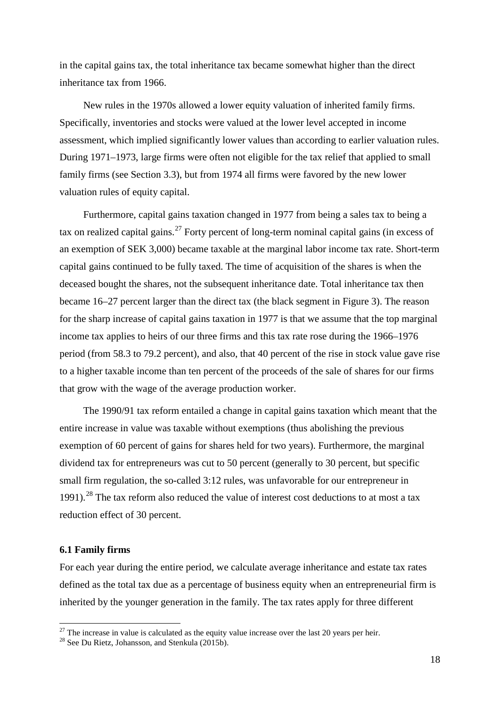in the capital gains tax, the total inheritance tax became somewhat higher than the direct inheritance tax from 1966.

New rules in the 1970s allowed a lower equity valuation of inherited family firms. Specifically, inventories and stocks were valued at the lower level accepted in income assessment, which implied significantly lower values than according to earlier valuation rules. During 1971–1973, large firms were often not eligible for the tax relief that applied to small family firms (see Section 3.3), but from 1974 all firms were favored by the new lower valuation rules of equity capital.

Furthermore, capital gains taxation changed in 1977 from being a sales tax to being a tax on realized capital gains.<sup>[27](#page-19-0)</sup> Forty percent of long-term nominal capital gains (in excess of an exemption of SEK 3,000) became taxable at the marginal labor income tax rate. Short-term capital gains continued to be fully taxed. The time of acquisition of the shares is when the deceased bought the shares, not the subsequent inheritance date. Total inheritance tax then became 16–27 percent larger than the direct tax (the black segment in Figure 3). The reason for the sharp increase of capital gains taxation in 1977 is that we assume that the top marginal income tax applies to heirs of our three firms and this tax rate rose during the 1966–1976 period (from 58.3 to 79.2 percent), and also, that 40 percent of the rise in stock value gave rise to a higher taxable income than ten percent of the proceeds of the sale of shares for our firms that grow with the wage of the average production worker.

The 1990/91 tax reform entailed a change in capital gains taxation which meant that the entire increase in value was taxable without exemptions (thus abolishing the previous exemption of 60 percent of gains for shares held for two years). Furthermore, the marginal dividend tax for entrepreneurs was cut to 50 percent (generally to 30 percent, but specific small firm regulation, the so-called 3:12 rules, was unfavorable for our entrepreneur in 1991).[28](#page-19-1) The tax reform also reduced the value of interest cost deductions to at most a tax reduction effect of 30 percent.

#### **6.1 Family firms**

For each year during the entire period, we calculate average inheritance and estate tax rates defined as the total tax due as a percentage of business equity when an entrepreneurial firm is inherited by the younger generation in the family. The tax rates apply for three different

<span id="page-19-1"></span><span id="page-19-0"></span><sup>&</sup>lt;sup>27</sup> The increase in value is calculated as the equity value increase over the last 20 years per heir. <sup>28</sup> See Du Rietz, Johansson, and Stenkula (2015b).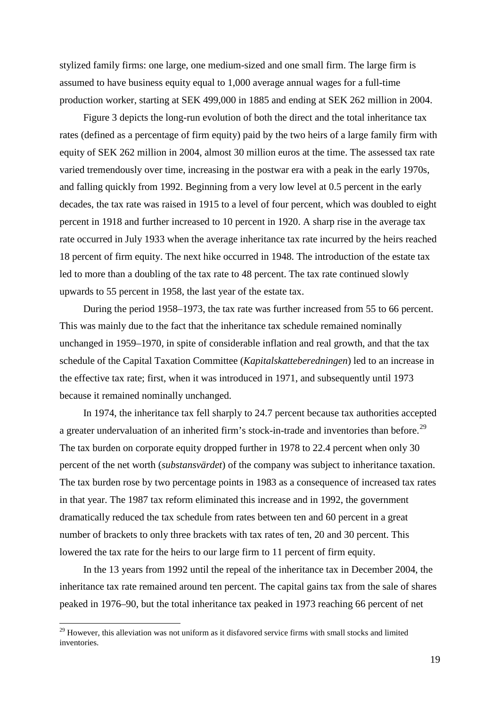stylized family firms: one large, one medium-sized and one small firm. The large firm is assumed to have business equity equal to 1,000 average annual wages for a full-time production worker, starting at SEK 499,000 in 1885 and ending at SEK 262 million in 2004.

Figure 3 depicts the long-run evolution of both the direct and the total inheritance tax rates (defined as a percentage of firm equity) paid by the two heirs of a large family firm with equity of SEK 262 million in 2004, almost 30 million euros at the time. The assessed tax rate varied tremendously over time, increasing in the postwar era with a peak in the early 1970s, and falling quickly from 1992. Beginning from a very low level at 0.5 percent in the early decades, the tax rate was raised in 1915 to a level of four percent, which was doubled to eight percent in 1918 and further increased to 10 percent in 1920. A sharp rise in the average tax rate occurred in July 1933 when the average inheritance tax rate incurred by the heirs reached 18 percent of firm equity. The next hike occurred in 1948. The introduction of the estate tax led to more than a doubling of the tax rate to 48 percent. The tax rate continued slowly upwards to 55 percent in 1958, the last year of the estate tax.

During the period 1958–1973, the tax rate was further increased from 55 to 66 percent. This was mainly due to the fact that the inheritance tax schedule remained nominally unchanged in 1959–1970, in spite of considerable inflation and real growth, and that the tax schedule of the Capital Taxation Committee (*Kapitalskatteberedningen*) led to an increase in the effective tax rate; first, when it was introduced in 1971, and subsequently until 1973 because it remained nominally unchanged.

In 1974, the inheritance tax fell sharply to 24.7 percent because tax authorities accepted a greater undervaluation of an inherited firm's stock-in-trade and inventories than before.<sup>[29](#page-20-0)</sup> The tax burden on corporate equity dropped further in 1978 to 22.4 percent when only 30 percent of the net worth (*substansvärdet*) of the company was subject to inheritance taxation. The tax burden rose by two percentage points in 1983 as a consequence of increased tax rates in that year. The 1987 tax reform eliminated this increase and in 1992, the government dramatically reduced the tax schedule from rates between ten and 60 percent in a great number of brackets to only three brackets with tax rates of ten, 20 and 30 percent. This lowered the tax rate for the heirs to our large firm to 11 percent of firm equity.

In the 13 years from 1992 until the repeal of the inheritance tax in December 2004, the inheritance tax rate remained around ten percent. The capital gains tax from the sale of shares peaked in 1976–90, but the total inheritance tax peaked in 1973 reaching 66 percent of net

<span id="page-20-0"></span><sup>&</sup>lt;sup>29</sup> However, this alleviation was not uniform as it disfavored service firms with small stocks and limited inventories.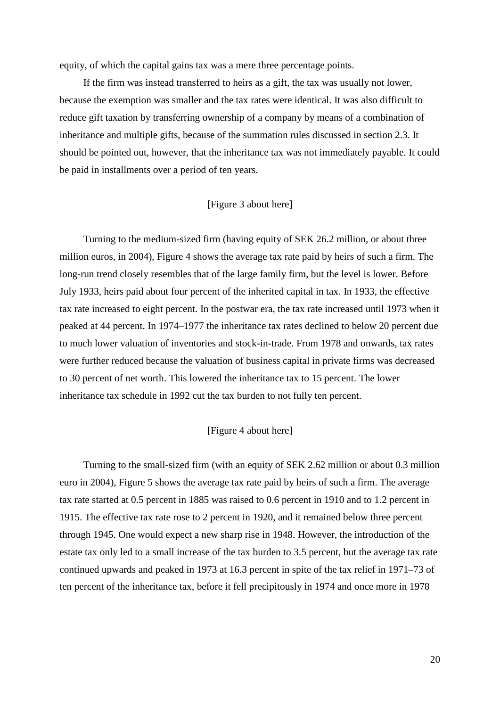equity, of which the capital gains tax was a mere three percentage points.

If the firm was instead transferred to heirs as a gift, the tax was usually not lower, because the exemption was smaller and the tax rates were identical. It was also difficult to reduce gift taxation by transferring ownership of a company by means of a combination of inheritance and multiple gifts, because of the summation rules discussed in section 2.3. It should be pointed out, however, that the inheritance tax was not immediately payable. It could be paid in installments over a period of ten years.

## [Figure 3 about here]

Turning to the medium-sized firm (having equity of SEK 26.2 million, or about three million euros, in 2004), Figure 4 shows the average tax rate paid by heirs of such a firm. The long-run trend closely resembles that of the large family firm, but the level is lower. Before July 1933, heirs paid about four percent of the inherited capital in tax. In 1933, the effective tax rate increased to eight percent. In the postwar era, the tax rate increased until 1973 when it peaked at 44 percent. In 1974–1977 the inheritance tax rates declined to below 20 percent due to much lower valuation of inventories and stock-in-trade. From 1978 and onwards, tax rates were further reduced because the valuation of business capital in private firms was decreased to 30 percent of net worth. This lowered the inheritance tax to 15 percent. The lower inheritance tax schedule in 1992 cut the tax burden to not fully ten percent.

### [Figure 4 about here]

Turning to the small-sized firm (with an equity of SEK 2.62 million or about 0.3 million euro in 2004), Figure 5 shows the average tax rate paid by heirs of such a firm. The average tax rate started at 0.5 percent in 1885 was raised to 0.6 percent in 1910 and to 1.2 percent in 1915. The effective tax rate rose to 2 percent in 1920, and it remained below three percent through 1945. One would expect a new sharp rise in 1948. However, the introduction of the estate tax only led to a small increase of the tax burden to 3.5 percent, but the average tax rate continued upwards and peaked in 1973 at 16.3 percent in spite of the tax relief in 1971–73 of ten percent of the inheritance tax, before it fell precipitously in 1974 and once more in 1978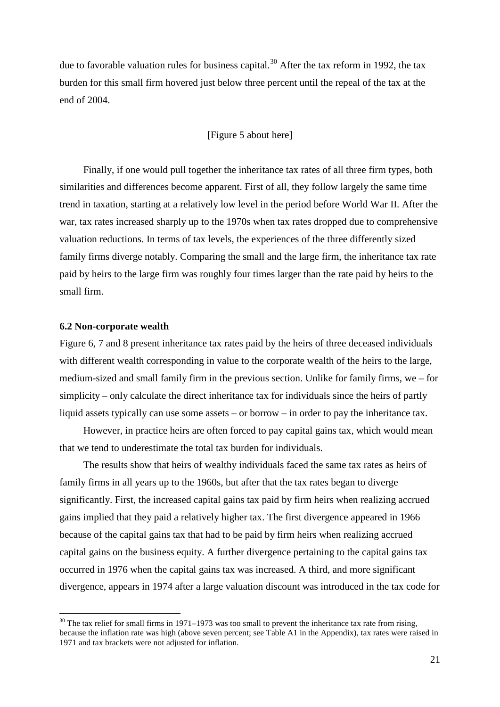due to favorable valuation rules for business capital.<sup>[30](#page-22-0)</sup> After the tax reform in 1992, the tax burden for this small firm hovered just below three percent until the repeal of the tax at the end of 2004.

# [Figure 5 about here]

Finally, if one would pull together the inheritance tax rates of all three firm types, both similarities and differences become apparent. First of all, they follow largely the same time trend in taxation, starting at a relatively low level in the period before World War II. After the war, tax rates increased sharply up to the 1970s when tax rates dropped due to comprehensive valuation reductions. In terms of tax levels, the experiences of the three differently sized family firms diverge notably. Comparing the small and the large firm, the inheritance tax rate paid by heirs to the large firm was roughly four times larger than the rate paid by heirs to the small firm.

# **6.2 Non-corporate wealth**

Figure 6, 7 and 8 present inheritance tax rates paid by the heirs of three deceased individuals with different wealth corresponding in value to the corporate wealth of the heirs to the large, medium-sized and small family firm in the previous section. Unlike for family firms, we – for simplicity – only calculate the direct inheritance tax for individuals since the heirs of partly liquid assets typically can use some assets – or borrow – in order to pay the inheritance tax.

However, in practice heirs are often forced to pay capital gains tax, which would mean that we tend to underestimate the total tax burden for individuals.

The results show that heirs of wealthy individuals faced the same tax rates as heirs of family firms in all years up to the 1960s, but after that the tax rates began to diverge significantly. First, the increased capital gains tax paid by firm heirs when realizing accrued gains implied that they paid a relatively higher tax. The first divergence appeared in 1966 because of the capital gains tax that had to be paid by firm heirs when realizing accrued capital gains on the business equity. A further divergence pertaining to the capital gains tax occurred in 1976 when the capital gains tax was increased. A third, and more significant divergence, appears in 1974 after a large valuation discount was introduced in the tax code for

<span id="page-22-0"></span> $30$  The tax relief for small firms in 1971–1973 was too small to prevent the inheritance tax rate from rising, because the inflation rate was high (above seven percent; see Table A1 in the Appendix), tax rates were raised in 1971 and tax brackets were not adjusted for inflation.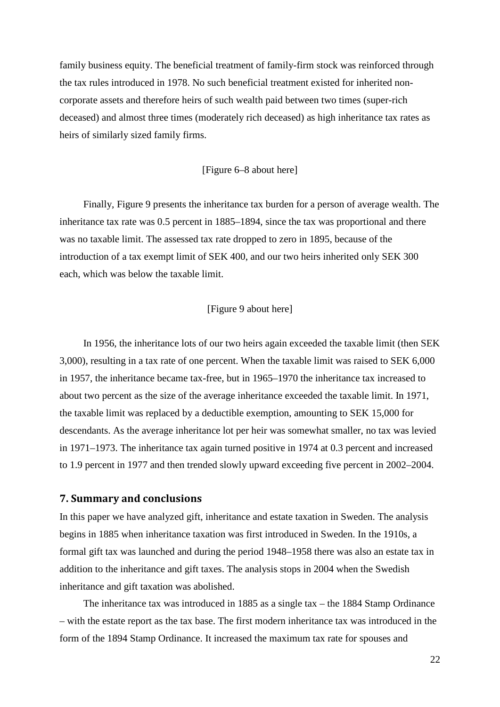family business equity. The beneficial treatment of family-firm stock was reinforced through the tax rules introduced in 1978. No such beneficial treatment existed for inherited noncorporate assets and therefore heirs of such wealth paid between two times (super-rich deceased) and almost three times (moderately rich deceased) as high inheritance tax rates as heirs of similarly sized family firms.

[Figure 6–8 about here]

Finally, Figure 9 presents the inheritance tax burden for a person of average wealth. The inheritance tax rate was 0.5 percent in 1885–1894, since the tax was proportional and there was no taxable limit. The assessed tax rate dropped to zero in 1895, because of the introduction of a tax exempt limit of SEK 400, and our two heirs inherited only SEK 300 each, which was below the taxable limit.

## [Figure 9 about here]

In 1956, the inheritance lots of our two heirs again exceeded the taxable limit (then SEK 3,000), resulting in a tax rate of one percent. When the taxable limit was raised to SEK 6,000 in 1957, the inheritance became tax-free, but in 1965–1970 the inheritance tax increased to about two percent as the size of the average inheritance exceeded the taxable limit. In 1971, the taxable limit was replaced by a deductible exemption, amounting to SEK 15,000 for descendants. As the average inheritance lot per heir was somewhat smaller, no tax was levied in 1971–1973. The inheritance tax again turned positive in 1974 at 0.3 percent and increased to 1.9 percent in 1977 and then trended slowly upward exceeding five percent in 2002–2004.

#### **7. Summary and conclusions**

In this paper we have analyzed gift, inheritance and estate taxation in Sweden. The analysis begins in 1885 when inheritance taxation was first introduced in Sweden. In the 1910s, a formal gift tax was launched and during the period 1948–1958 there was also an estate tax in addition to the inheritance and gift taxes. The analysis stops in 2004 when the Swedish inheritance and gift taxation was abolished.

The inheritance tax was introduced in 1885 as a single tax – the 1884 Stamp Ordinance – with the estate report as the tax base. The first modern inheritance tax was introduced in the form of the 1894 Stamp Ordinance. It increased the maximum tax rate for spouses and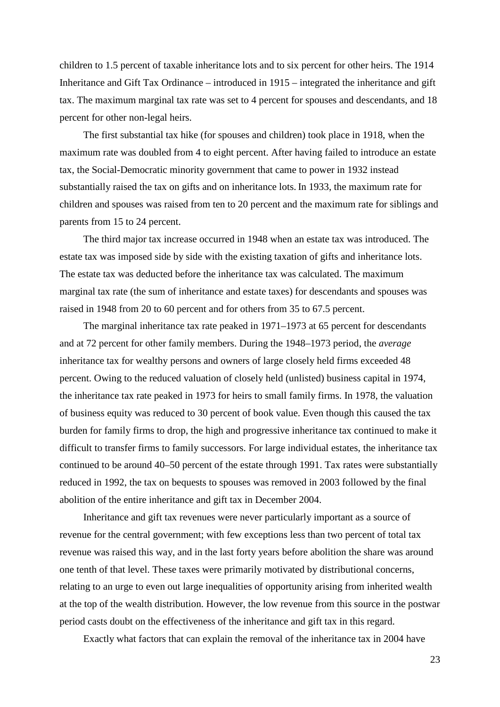children to 1.5 percent of taxable inheritance lots and to six percent for other heirs. The 1914 Inheritance and Gift Tax Ordinance – introduced in 1915 – integrated the inheritance and gift tax. The maximum marginal tax rate was set to 4 percent for spouses and descendants, and 18 percent for other non-legal heirs.

The first substantial tax hike (for spouses and children) took place in 1918, when the maximum rate was doubled from 4 to eight percent. After having failed to introduce an estate tax, the Social-Democratic minority government that came to power in 1932 instead substantially raised the tax on gifts and on inheritance lots. In 1933, the maximum rate for children and spouses was raised from ten to 20 percent and the maximum rate for siblings and parents from 15 to 24 percent.

The third major tax increase occurred in 1948 when an estate tax was introduced. The estate tax was imposed side by side with the existing taxation of gifts and inheritance lots. The estate tax was deducted before the inheritance tax was calculated. The maximum marginal tax rate (the sum of inheritance and estate taxes) for descendants and spouses was raised in 1948 from 20 to 60 percent and for others from 35 to 67.5 percent.

The marginal inheritance tax rate peaked in 1971–1973 at 65 percent for descendants and at 72 percent for other family members. During the 1948–1973 period, the *average* inheritance tax for wealthy persons and owners of large closely held firms exceeded 48 percent. Owing to the reduced valuation of closely held (unlisted) business capital in 1974, the inheritance tax rate peaked in 1973 for heirs to small family firms. In 1978, the valuation of business equity was reduced to 30 percent of book value. Even though this caused the tax burden for family firms to drop, the high and progressive inheritance tax continued to make it difficult to transfer firms to family successors. For large individual estates, the inheritance tax continued to be around 40–50 percent of the estate through 1991. Tax rates were substantially reduced in 1992, the tax on bequests to spouses was removed in 2003 followed by the final abolition of the entire inheritance and gift tax in December 2004.

Inheritance and gift tax revenues were never particularly important as a source of revenue for the central government; with few exceptions less than two percent of total tax revenue was raised this way, and in the last forty years before abolition the share was around one tenth of that level. These taxes were primarily motivated by distributional concerns, relating to an urge to even out large inequalities of opportunity arising from inherited wealth at the top of the wealth distribution. However, the low revenue from this source in the postwar period casts doubt on the effectiveness of the inheritance and gift tax in this regard.

Exactly what factors that can explain the removal of the inheritance tax in 2004 have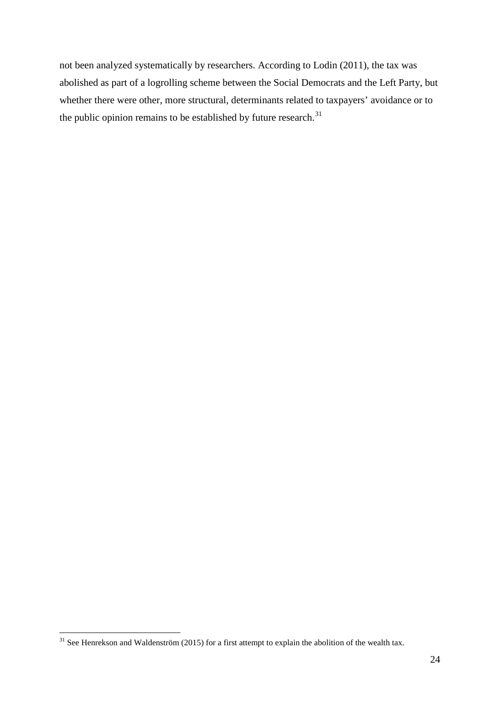not been analyzed systematically by researchers. According to Lodin (2011), the tax was abolished as part of a logrolling scheme between the Social Democrats and the Left Party, but whether there were other, more structural, determinants related to taxpayers' avoidance or to the public opinion remains to be established by future research. $31$ 

<span id="page-25-0"></span> $31$  See Henrekson and Waldenström (2015) for a first attempt to explain the abolition of the wealth tax.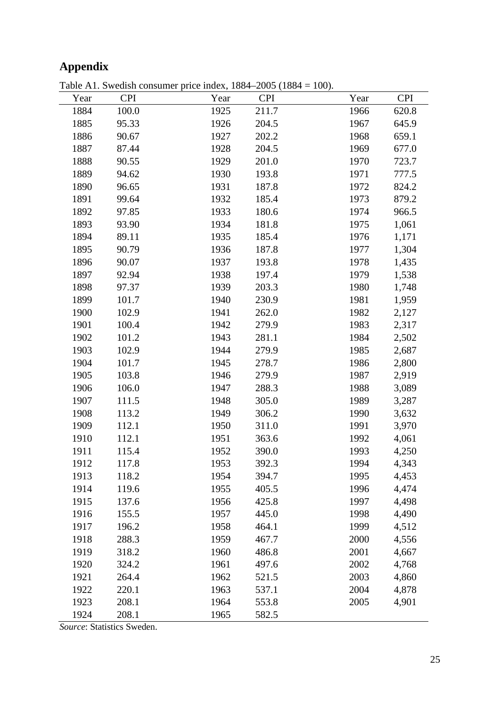# **Appendix**

| Table A1. Swedish consumer price index, $1884-2005$ ( $1884 = 100$ ). |  |  |  |
|-----------------------------------------------------------------------|--|--|--|
|-----------------------------------------------------------------------|--|--|--|

| Year | <b>CPI</b> | Year | <b>CPI</b> | Year | <b>CPI</b> |
|------|------------|------|------------|------|------------|
| 1884 | 100.0      | 1925 | 211.7      | 1966 | 620.8      |
| 1885 | 95.33      | 1926 | 204.5      | 1967 | 645.9      |
| 1886 | 90.67      | 1927 | 202.2      | 1968 | 659.1      |
| 1887 | 87.44      | 1928 | 204.5      | 1969 | 677.0      |
| 1888 | 90.55      | 1929 | 201.0      | 1970 | 723.7      |
| 1889 | 94.62      | 1930 | 193.8      | 1971 | 777.5      |
| 1890 | 96.65      | 1931 | 187.8      | 1972 | 824.2      |
| 1891 | 99.64      | 1932 | 185.4      | 1973 | 879.2      |
| 1892 | 97.85      | 1933 | 180.6      | 1974 | 966.5      |
| 1893 | 93.90      | 1934 | 181.8      | 1975 | 1,061      |
| 1894 | 89.11      | 1935 | 185.4      | 1976 | 1,171      |
| 1895 | 90.79      | 1936 | 187.8      | 1977 | 1,304      |
| 1896 | 90.07      | 1937 | 193.8      | 1978 | 1,435      |
| 1897 | 92.94      | 1938 | 197.4      | 1979 | 1,538      |
| 1898 | 97.37      | 1939 | 203.3      | 1980 | 1,748      |
| 1899 | 101.7      | 1940 | 230.9      | 1981 | 1,959      |
| 1900 | 102.9      | 1941 | 262.0      | 1982 | 2,127      |
| 1901 | 100.4      | 1942 | 279.9      | 1983 | 2,317      |
| 1902 | 101.2      | 1943 | 281.1      | 1984 | 2,502      |
| 1903 | 102.9      | 1944 | 279.9      | 1985 | 2,687      |
| 1904 | 101.7      | 1945 | 278.7      | 1986 | 2,800      |
| 1905 | 103.8      | 1946 | 279.9      | 1987 | 2,919      |
| 1906 | 106.0      | 1947 | 288.3      | 1988 | 3,089      |
| 1907 | 111.5      | 1948 | 305.0      | 1989 | 3,287      |
| 1908 | 113.2      | 1949 | 306.2      | 1990 | 3,632      |
| 1909 | 112.1      | 1950 | 311.0      | 1991 | 3,970      |
| 1910 | 112.1      | 1951 | 363.6      | 1992 | 4,061      |
| 1911 | 115.4      | 1952 | 390.0      | 1993 | 4,250      |
| 1912 | 117.8      | 1953 | 392.3      | 1994 | 4,343      |
| 1913 | 118.2      | 1954 | 394.7      | 1995 | 4,453      |
| 1914 | 119.6      | 1955 | 405.5      | 1996 | 4,474      |
| 1915 | 137.6      | 1956 | 425.8      | 1997 | 4,498      |
| 1916 | 155.5      | 1957 | 445.0      | 1998 | 4,490      |
| 1917 | 196.2      | 1958 | 464.1      | 1999 | 4,512      |
| 1918 | 288.3      | 1959 | 467.7      | 2000 | 4,556      |
| 1919 | 318.2      | 1960 | 486.8      | 2001 | 4,667      |
| 1920 | 324.2      | 1961 | 497.6      | 2002 | 4,768      |
| 1921 | 264.4      | 1962 | 521.5      | 2003 | 4,860      |
| 1922 | 220.1      | 1963 | 537.1      | 2004 | 4,878      |
| 1923 | 208.1      | 1964 | 553.8      | 2005 | 4,901      |
| 1924 | 208.1      | 1965 | 582.5      |      |            |

*Source*: Statistics Sweden.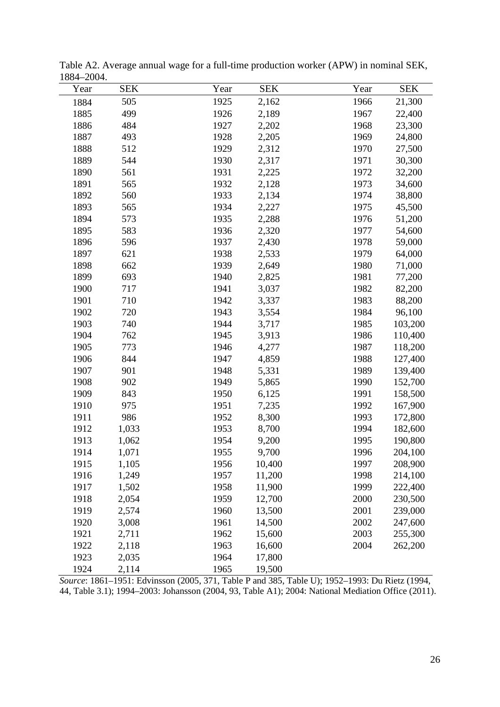| Year | <b>SEK</b> | Year | <b>SEK</b> | Year | <b>SEK</b> |
|------|------------|------|------------|------|------------|
| 1884 | 505        | 1925 | 2,162      | 1966 | 21,300     |
| 1885 | 499        | 1926 | 2,189      | 1967 | 22,400     |
| 1886 | 484        | 1927 | 2,202      | 1968 | 23,300     |
| 1887 | 493        | 1928 | 2,205      | 1969 | 24,800     |
| 1888 | 512        | 1929 | 2,312      | 1970 | 27,500     |
| 1889 | 544        | 1930 | 2,317      | 1971 | 30,300     |
| 1890 | 561        | 1931 | 2,225      | 1972 | 32,200     |
| 1891 | 565        | 1932 | 2,128      | 1973 | 34,600     |
| 1892 | 560        | 1933 | 2,134      | 1974 | 38,800     |
| 1893 | 565        | 1934 | 2,227      | 1975 | 45,500     |
| 1894 | 573        | 1935 | 2,288      | 1976 | 51,200     |
| 1895 | 583        | 1936 | 2,320      | 1977 | 54,600     |
| 1896 | 596        | 1937 | 2,430      | 1978 | 59,000     |
| 1897 | 621        | 1938 | 2,533      | 1979 | 64,000     |
| 1898 | 662        | 1939 | 2,649      | 1980 | 71,000     |
| 1899 | 693        | 1940 | 2,825      | 1981 | 77,200     |
| 1900 | 717        | 1941 | 3,037      | 1982 | 82,200     |
| 1901 | 710        | 1942 | 3,337      | 1983 | 88,200     |
| 1902 | 720        | 1943 | 3,554      | 1984 | 96,100     |
| 1903 | 740        | 1944 | 3,717      | 1985 | 103,200    |
| 1904 | 762        | 1945 | 3,913      | 1986 | 110,400    |
| 1905 | 773        | 1946 | 4,277      | 1987 | 118,200    |
| 1906 | 844        | 1947 | 4,859      | 1988 | 127,400    |
| 1907 | 901        | 1948 | 5,331      | 1989 | 139,400    |
| 1908 | 902        | 1949 | 5,865      | 1990 | 152,700    |
| 1909 | 843        | 1950 | 6,125      | 1991 | 158,500    |
| 1910 | 975        | 1951 | 7,235      | 1992 | 167,900    |
| 1911 | 986        | 1952 | 8,300      | 1993 | 172,800    |
| 1912 | 1,033      | 1953 | 8,700      | 1994 | 182,600    |
| 1913 | 1,062      | 1954 | 9,200      | 1995 | 190,800    |
| 1914 | 1,071      | 1955 | 9,700      | 1996 | 204,100    |
| 1915 | 1,105      | 1956 | 10,400     | 1997 | 208,900    |
| 1916 | 1,249      | 1957 | 11,200     | 1998 | 214,100    |
| 1917 | 1,502      | 1958 | 11,900     | 1999 | 222,400    |
| 1918 | 2,054      | 1959 | 12,700     | 2000 | 230,500    |
| 1919 | 2,574      | 1960 | 13,500     | 2001 | 239,000    |
| 1920 | 3,008      | 1961 | 14,500     | 2002 | 247,600    |
| 1921 | 2,711      | 1962 | 15,600     | 2003 | 255,300    |
| 1922 | 2,118      | 1963 | 16,600     | 2004 | 262,200    |
| 1923 | 2,035      | 1964 | 17,800     |      |            |
| 1924 | 2,114      | 1965 | 19,500     |      |            |

Table A2. Average annual wage for a full-time production worker (APW) in nominal SEK, 1884–2004.

*Source*: 1861–1951: Edvinsson (2005, 371, Table P and 385, Table U); 1952–1993: Du Rietz (1994, 44, Table 3.1); 1994–2003: Johansson (2004, 93, Table A1); 2004: National Mediation Office (2011).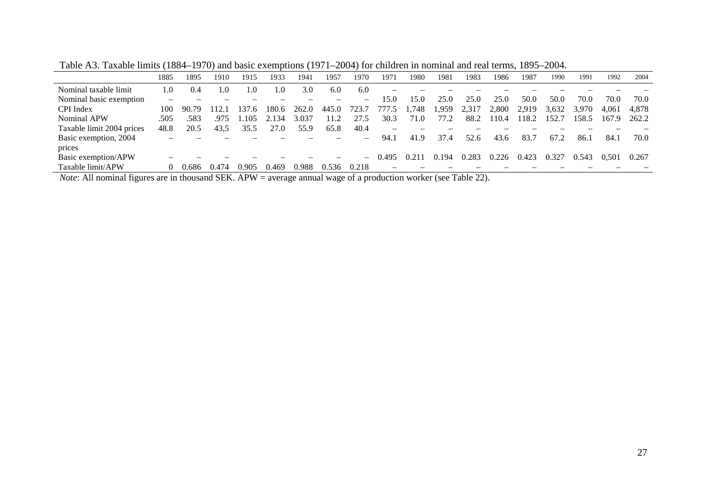|                                                                                                                                                                                                                                                                                                                                                       | 1885     | 1895     | 1910     | 1915                                                                                                                                                                       | 1933  | 1941  | 1957  | 1970                     | 1971   | 1980  | 1981  | 1983     | 1986  | 1987  | 1990  | 1991  | 1992  | 2004  |
|-------------------------------------------------------------------------------------------------------------------------------------------------------------------------------------------------------------------------------------------------------------------------------------------------------------------------------------------------------|----------|----------|----------|----------------------------------------------------------------------------------------------------------------------------------------------------------------------------|-------|-------|-------|--------------------------|--------|-------|-------|----------|-------|-------|-------|-------|-------|-------|
| Nominal taxable limit                                                                                                                                                                                                                                                                                                                                 | $\Omega$ | (0.4)    | $\Omega$ | 0.                                                                                                                                                                         | .0    | 3.0   | 6.0   | 6.0                      |        |       |       |          |       |       |       |       |       |       |
| Nominal basic exemption                                                                                                                                                                                                                                                                                                                               |          |          |          |                                                                                                                                                                            |       |       |       |                          | 15.0   | 15.0  | 25.0  | 25.0     | 25.0  | 50.0  | 50.0  | 70.0  | 70.0  | 70.0  |
| CPI Index                                                                                                                                                                                                                                                                                                                                             | 100      | 90.79    | 112.1    | 37.6                                                                                                                                                                       | 180.6 | 262.0 | 445.0 | 723.7                    | 777.5  | .748  | 959.  | 2,317    | 2,800 | 2,919 | 3,632 | 3.970 | 4.061 | 4,878 |
| Nominal APW                                                                                                                                                                                                                                                                                                                                           | .505     | .583     | .975     | .105                                                                                                                                                                       | .134  | 3.037 | 11.2  | 27.5                     | 30.3   | 71.0  | 77.2  | 88.2     | 110.4 | 118.2 | 152.7 | 158.5 | 167.9 | 262.2 |
| Taxable limit 2004 prices                                                                                                                                                                                                                                                                                                                             | 48.8     | 20.5     | 43,5     | 35.5                                                                                                                                                                       | 27.0  | 55.9  | 65.8  | 40.4                     | -      |       |       |          |       |       |       |       |       |       |
| Basic exemption, 2004                                                                                                                                                                                                                                                                                                                                 |          |          |          |                                                                                                                                                                            |       |       |       | $\overline{\phantom{0}}$ | 94.1   | 41.9  | 37.4  | 52.6     | 43.6  | 83.7  | 67.2  | 86.   | 84.   | 70.0  |
| prices                                                                                                                                                                                                                                                                                                                                                |          |          |          |                                                                                                                                                                            |       |       |       |                          |        |       |       |          |       |       |       |       |       |       |
| Basic exemption/APW                                                                                                                                                                                                                                                                                                                                   |          |          |          |                                                                                                                                                                            |       |       |       | $\sim$                   | 0.495  | 0.211 | 0.194 | 0.283    | 0.226 | 0.423 | 0.327 | 0.543 | 0.501 | 0.267 |
| Taxable limit/APW                                                                                                                                                                                                                                                                                                                                     |          | 0.686    | ).474    | 0.905                                                                                                                                                                      | 0.469 | 0.988 | 0.536 | 0.218                    |        |       |       |          |       |       |       |       |       |       |
| $\cdot$ $\cdot$<br>$\mathbf{r}$ $\mathbf{r}$ $\mathbf{r}$ $\mathbf{r}$ $\mathbf{r}$ $\mathbf{r}$ $\mathbf{r}$ $\mathbf{r}$ $\mathbf{r}$ $\mathbf{r}$ $\mathbf{r}$ $\mathbf{r}$ $\mathbf{r}$ $\mathbf{r}$ $\mathbf{r}$ $\mathbf{r}$ $\mathbf{r}$ $\mathbf{r}$ $\mathbf{r}$ $\mathbf{r}$ $\mathbf{r}$ $\mathbf{r}$ $\mathbf{r}$ $\mathbf{r}$ $\mathbf{$ |          | $\sim$ 1 |          | $1.0$ $\overline{I}$ $\overline{I}$ $\overline{I}$ $\overline{I}$ $\overline{I}$ $\overline{I}$ $\overline{I}$ $\overline{I}$ $\overline{I}$ $\overline{I}$ $\overline{I}$ |       |       |       | $\sim$                   | $\sim$ |       |       | $T = 11$ |       |       |       |       |       |       |

Table A3. Taxable limits (1884–1970) and basic exemptions (1971–2004) for children in nominal and real terms, 1895–2004.

*Note*: All nominal figures are in thousand SEK. APW = average annual wage of a production worker (see Table 22).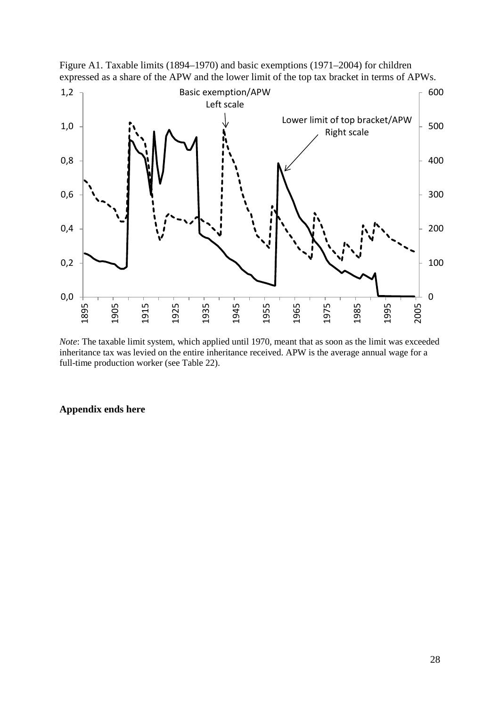



*Note*: The taxable limit system, which applied until 1970, meant that as soon as the limit was exceeded inheritance tax was levied on the entire inheritance received. APW is the average annual wage for a full-time production worker (see Table 22).

# **Appendix ends here**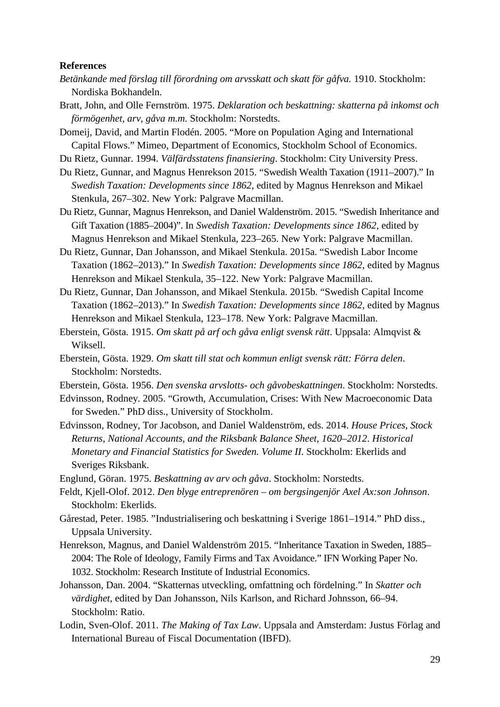#### **References**

- *Betänkande med förslag till förordning om arvsskatt och skatt för gåfva.* 1910. Stockholm: Nordiska Bokhandeln.
- Bratt, John, and Olle Fernström. 1975. *Deklaration och beskattning: skatterna på inkomst och förmögenhet, arv, gåva m.m.* Stockholm: Norstedts.

Domeij, David, and Martin Flodén. 2005. "More on Population Aging and International Capital Flows." Mimeo, Department of Economics, Stockholm School of Economics.

Du Rietz, Gunnar. 1994. *Välfärdsstatens finansiering*. Stockholm: City University Press.

- Du Rietz, Gunnar, and Magnus Henrekson 2015. "Swedish Wealth Taxation (1911–2007)." In *Swedish Taxation: Developments since 1862*, edited by Magnus Henrekson and Mikael Stenkula, 267–302. New York: Palgrave Macmillan.
- Du Rietz, Gunnar, Magnus Henrekson, and Daniel Waldenström. 2015. "Swedish Inheritance and Gift Taxation (1885–2004)". In *Swedish Taxation: Developments since 1862*, edited by Magnus Henrekson and Mikael Stenkula, 223–265. New York: Palgrave Macmillan.
- Du Rietz, Gunnar, Dan Johansson, and Mikael Stenkula. 2015a. "Swedish Labor Income Taxation (1862–2013)." In *Swedish Taxation: Developments since 1862*, edited by Magnus Henrekson and Mikael Stenkula, 35–122. New York: Palgrave Macmillan.
- Du Rietz, Gunnar, Dan Johansson, and Mikael Stenkula. 2015b. "Swedish Capital Income Taxation (1862–2013)." In *Swedish Taxation: Developments since 1862*, edited by Magnus Henrekson and Mikael Stenkula, 123–178. New York: Palgrave Macmillan.
- Eberstein, Gösta. 1915. *Om skatt på arf och gåva enligt svensk rätt*. Uppsala: Almqvist & Wiksell.
- Eberstein, Gösta. 1929. *Om skatt till stat och kommun enligt svensk rätt: Förra delen*. Stockholm: Norstedts.
- Eberstein, Gösta. 1956. *Den svenska arvslotts- och gåvobeskattningen*. Stockholm: Norstedts.
- Edvinsson, Rodney. 2005. "Growth, Accumulation, Crises: With New Macroeconomic Data for Sweden." PhD diss., University of Stockholm.
- Edvinsson, Rodney, Tor Jacobson, and Daniel Waldenström, eds. 2014. *House Prices, Stock Returns, National Accounts, and the Riksbank Balance Sheet, 1620–2012*. *Historical Monetary and Financial Statistics for Sweden. Volume II*. Stockholm: Ekerlids and Sveriges Riksbank.

Englund, Göran. 1975. *Beskattning av arv och gåva*. Stockholm: Norstedts.

- Feldt, Kjell-Olof. 2012. *Den blyge entreprenören – om bergsingenjör Axel Ax:son Johnson*. Stockholm: Ekerlids.
- Gårestad, Peter. 1985. "Industrialisering och beskattning i Sverige 1861–1914." PhD diss., Uppsala University.
- Henrekson, Magnus, and Daniel Waldenström 2015. "Inheritance Taxation in Sweden, 1885– 2004: The Role of Ideology, Family Firms and Tax Avoidance." IFN Working Paper No. 1032. Stockholm: Research Institute of Industrial Economics.
- Johansson, Dan. 2004. "Skatternas utveckling, omfattning och fördelning." In *Skatter och värdighet*, edited by Dan Johansson, Nils Karlson, and Richard Johnsson, 66–94. Stockholm: Ratio.
- Lodin, Sven-Olof. 2011. *The Making of Tax Law*. Uppsala and Amsterdam: Justus Förlag and International Bureau of Fiscal Documentation (IBFD).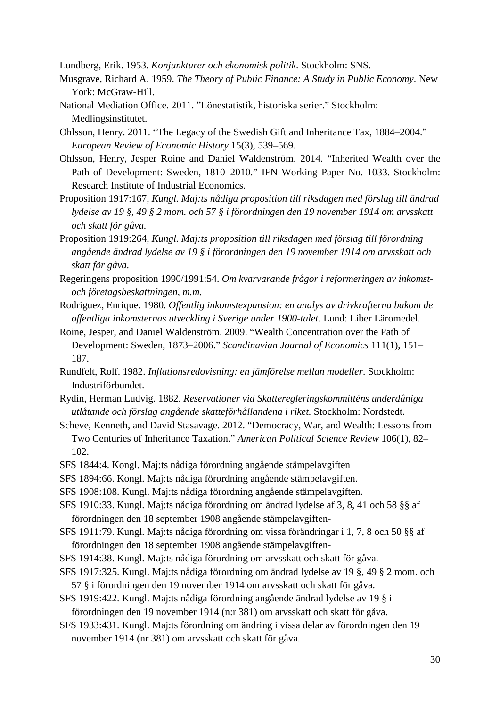Lundberg, Erik. 1953. *Konjunkturer och ekonomisk politik*. Stockholm: SNS.

- Musgrave, Richard A. 1959. *The Theory of Public Finance: A Study in Public Economy*. New York: McGraw-Hill.
- National Mediation Office. 2011. "Lönestatistik, historiska serier." Stockholm: Medlingsinstitutet.
- Ohlsson, Henry. 2011. "The Legacy of the Swedish Gift and Inheritance Tax, 1884–2004." *European Review of Economic History* 15(3), 539–569.
- Ohlsson, Henry, Jesper Roine and Daniel Waldenström. 2014. "Inherited Wealth over the Path of Development: Sweden, 1810–2010." IFN Working Paper No. 1033. Stockholm: Research Institute of Industrial Economics.
- Proposition 1917:167, *Kungl. Maj:ts nådiga proposition till riksdagen med förslag till ändrad lydelse av 19 §, 49 § 2 mom. och 57 § i förordningen den 19 november 1914 om arvsskatt och skatt för gåva.*
- Proposition 1919:264, *Kungl. Maj:ts proposition till riksdagen med förslag till förordning angående ändrad lydelse av 19 § i förordningen den 19 november 1914 om arvsskatt och skatt för gåva.*
- Regeringens proposition 1990/1991:54. *Om kvarvarande frågor i reformeringen av inkomstoch företagsbeskattningen, m.m.*
- Rodriguez, Enrique. 1980. *Offentlig inkomstexpansion: en analys av drivkrafterna bakom de offentliga inkomsternas utveckling i Sverige under 1900-talet*. Lund: Liber Läromedel.
- Roine, Jesper, and Daniel Waldenström. 2009. "Wealth Concentration over the Path of Development: Sweden, 1873–2006." *Scandinavian Journal of Economics* 111(1), 151– 187.
- Rundfelt, Rolf. 1982. *Inflationsredovisning: en jämförelse mellan modeller*. Stockholm: Industriförbundet.
- Rydin, Herman Ludvig. 1882. *Reservationer vid Skatteregleringskommitténs underdåniga utlåtande och förslag angående skatteförhållandena i riket.* Stockholm: Nordstedt.
- Scheve, Kenneth, and David Stasavage. 2012. "Democracy, War, and Wealth: Lessons from Two Centuries of Inheritance Taxation." *American Political Science Review* 106(1), 82– 102.
- SFS 1844:4. Kongl. Maj:ts nådiga förordning angående stämpelavgiften
- SFS 1894:66. Kongl. Maj:ts nådiga förordning angående stämpelavgiften.
- SFS 1908:108. Kungl. Maj:ts nådiga förordning angående stämpelavgiften.
- SFS 1910:33. Kungl. Maj:ts nådiga förordning om ändrad lydelse af 3, 8, 41 och 58 §§ af förordningen den 18 september 1908 angående stämpelavgiften-
- SFS 1911:79. Kungl. Maj:ts nådiga förordning om vissa förändringar i 1, 7, 8 och 50 §§ af förordningen den 18 september 1908 angående stämpelavgiften-
- SFS 1914:38. Kungl. Maj:ts nådiga förordning om arvsskatt och skatt för gåva.
- SFS 1917:325. Kungl. Maj:ts nådiga förordning om ändrad lydelse av 19 §, 49 § 2 mom. och 57 § i förordningen den 19 november 1914 om arvsskatt och skatt för gåva.
- SFS 1919:422. Kungl. Maj:ts nådiga förordning angående ändrad lydelse av 19 § i förordningen den 19 november 1914 (n:r 381) om arvsskatt och skatt för gåva.
- SFS 1933:431. Kungl. Maj:ts förordning om ändring i vissa delar av förordningen den 19 november 1914 (nr 381) om arvsskatt och skatt för gåva.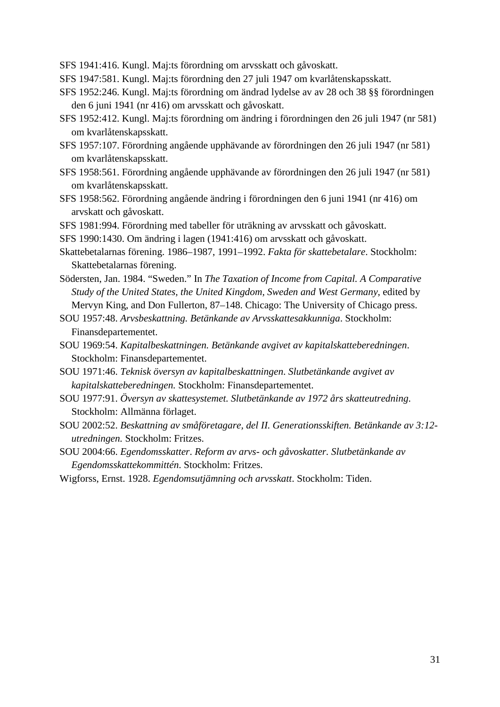SFS 1941:416. Kungl. Maj:ts förordning om arvsskatt och gåvoskatt.

- SFS 1947:581. Kungl. Maj:ts förordning den 27 juli 1947 om kvarlåtenskapsskatt.
- SFS 1952:246. Kungl. Maj:ts förordning om ändrad lydelse av av 28 och 38 §§ förordningen den 6 juni 1941 (nr 416) om arvsskatt och gåvoskatt.
- SFS 1952:412. Kungl. Maj:ts förordning om ändring i förordningen den 26 juli 1947 (nr 581) om kvarlåtenskapsskatt.
- SFS 1957:107. Förordning angående upphävande av förordningen den 26 juli 1947 (nr 581) om kvarlåtenskapsskatt.
- SFS 1958:561. Förordning angående upphävande av förordningen den 26 juli 1947 (nr 581) om kvarlåtenskapsskatt.
- SFS 1958:562. Förordning angående ändring i förordningen den 6 juni 1941 (nr 416) om arvskatt och gåvoskatt.

SFS 1981:994. Förordning med tabeller för uträkning av arvsskatt och gåvoskatt.

SFS 1990:1430. Om ändring i lagen (1941:416) om arvsskatt och gåvoskatt.

- Skattebetalarnas förening. 1986–1987, 1991–1992. *Fakta för skattebetalare*. Stockholm: Skattebetalarnas förening.
- Södersten, Jan. 1984. "Sweden." In *The Taxation of Income from Capital. A Comparative Study of the United States, the United Kingdom, Sweden and West Germany*, edited by Mervyn King, and Don Fullerton, 87–148. Chicago: The University of Chicago press.

SOU 1957:48. *Arvsbeskattning. Betänkande av Arvsskattesakkunniga*. Stockholm: Finansdepartementet.

- SOU 1969:54. *Kapitalbeskattningen. Betänkande avgivet av kapitalskatteberedningen*. Stockholm: Finansdepartementet.
- SOU 1971:46. *Teknisk översyn av kapitalbeskattningen*. *Slutbetänkande avgivet av kapitalskatteberedningen.* Stockholm: Finansdepartementet.
- SOU 1977:91. *Översyn av skattesystemet. Slutbetänkande av 1972 års skatteutredning*. Stockholm: Allmänna förlaget.
- SOU 2002:52. *Beskattning av småföretagare, del II. Generationsskiften. Betänkande av 3:12 utredningen.* Stockholm: Fritzes.

SOU 2004:66. *Egendomsskatter*. *Reform av arvs- och gåvoskatter. Slutbetänkande av Egendomsskattekommittén*. Stockholm: Fritzes.

Wigforss, Ernst. 1928. *Egendomsutjämning och arvsskatt*. Stockholm: Tiden.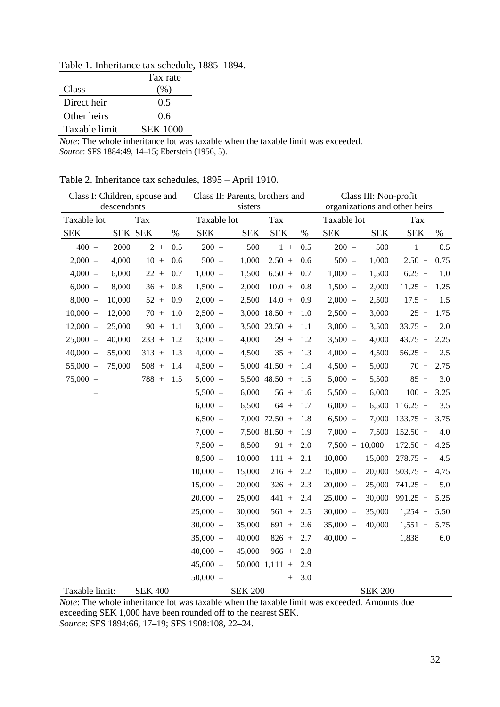Table 1. Inheritance tax schedule, 1885–1894.

|               | Tax rate        |
|---------------|-----------------|
| Class         | (%)             |
| Direct heir   | 0.5             |
| Other heirs   | 0.6             |
| Taxable limit | <b>SEK 1000</b> |

*Note*: The whole inheritance lot was taxable when the taxable limit was exceeded. *Source*: SFS 1884:49, 14–15; Eberstein (1956, 5).

| Table 2. Inheritance tax schedules, 1895 – April 1910. |  |  |  |  |
|--------------------------------------------------------|--|--|--|--|
|--------------------------------------------------------|--|--|--|--|

| Class I: Children, spouse and | descendants |                |      | Class II: Parents, brothers and | sisters        |                   |      | Class III: Non-profit<br>organizations and other heirs |                |            |      |  |
|-------------------------------|-------------|----------------|------|---------------------------------|----------------|-------------------|------|--------------------------------------------------------|----------------|------------|------|--|
| Taxable lot                   |             | Tax            |      | Taxable lot                     |                | Tax               |      | Taxable lot                                            |                | Tax        |      |  |
| <b>SEK</b>                    | SEK SEK     |                | $\%$ | <b>SEK</b>                      | <b>SEK</b>     | <b>SEK</b>        | $\%$ | <b>SEK</b>                                             | <b>SEK</b>     | <b>SEK</b> | $\%$ |  |
| $400 -$                       | 2000        | $2 +$          | 0.5  | $200 -$                         | 500            | $1 +$             | 0.5  | $200 -$                                                | 500            | $1 +$      | 0.5  |  |
| $2,000 -$                     | 4,000       | $10 +$         | 0.6  | $500 -$                         | 1,000          | $2.50 +$          | 0.6  | $500 -$                                                | 1,000          | $2.50 +$   | 0.75 |  |
| $4,000 -$                     | 6,000       | $22 +$         | 0.7  | $1,000 -$                       | 1,500          | $6.50 +$          | 0.7  | $1,000 -$                                              | 1,500          | $6.25 +$   | 1.0  |  |
| $6,000 -$                     | 8,000       | $36 +$         | 0.8  | $1,500 -$                       | 2,000          | $10.0 +$          | 0.8  | $1,500 -$                                              | 2,000          | $11.25 +$  | 1.25 |  |
| $8,000 -$                     | 10,000      | $52 +$         | 0.9  | $2,000 -$                       | 2,500          | $14.0 +$          | 0.9  | $2,000 -$                                              | 2,500          | $17.5 +$   | 1.5  |  |
| $10,000 -$                    | 12,000      | $70 +$         | 1.0  | $2,500 -$                       |                | $3,000$ 18.50 +   | 1.0  | $2,500 -$                                              | 3,000          | $25 +$     | 1.75 |  |
| $12,000 -$                    | 25,000      | $90 +$         | 1.1  | $3,000 -$                       |                | $3,500$ 23.50 +   | 1.1  | $3,000 -$                                              | 3,500          | $33.75 +$  | 2.0  |  |
| $25,000 -$                    | 40,000      | $233 +$        | 1.2  | $3,500 -$                       | 4,000          | $29 +$            | 1.2  | $3,500 -$                                              | 4,000          | $43.75 +$  | 2.25 |  |
| $40,000 -$                    | 55,000      | $313 +$        | 1.3  | $4,000 -$                       | 4,500          | $35 +$            | 1.3  | $4,000 -$                                              | 4,500          | $56.25 +$  | 2.5  |  |
| $55,000 -$                    | 75,000      | $508 +$        | 1.4  | $4,500 -$                       |                | $5,000$ 41.50 +   | 1.4  | $4,500 -$                                              | 5,000          | $70 +$     | 2.75 |  |
| $75,000 -$                    |             | $788 +$        | 1.5  | $5,000 -$                       |                | $5,500$ 48.50 +   | 1.5  | $5,000 -$                                              | 5,500          | $85 +$     | 3.0  |  |
|                               |             |                |      | $5,500 -$                       | 6,000          | $56 +$            | 1.6  | $5,500 -$                                              | 6,000          | $100 +$    | 3.25 |  |
|                               |             |                |      | $6,000 -$                       | 6,500          | $64 +$            | 1.7  | $6,000 -$                                              | 6,500          | $116.25 +$ | 3.5  |  |
|                               |             |                |      | $6,500 -$                       |                | $7,000$ $72.50 +$ | 1.8  | $6,500 -$                                              | 7,000          | $133.75 +$ | 3.75 |  |
|                               |             |                |      | $7,000 -$                       |                | $7,500$ 81.50 +   | 1.9  | $7,000 -$                                              | 7,500          | $152.50 +$ | 4.0  |  |
|                               |             |                |      | $7,500 -$                       | 8,500          | $91 +$            | 2.0  | $7,500 - 10,000$                                       |                | $172.50 +$ | 4.25 |  |
|                               |             |                |      | $8,500 -$                       | 10,000         | $111 +$           | 2.1  | 10,000                                                 | 15,000         | $278.75 +$ | 4.5  |  |
|                               |             |                |      | $10,000 -$                      | 15,000         | $216 +$           | 2.2  | $15,000 -$                                             | 20,000         | $503.75 +$ | 4.75 |  |
|                               |             |                |      | $15,000 -$                      | 20,000         | $326 +$           | 2.3  | $20,000 -$                                             | 25,000         | $741.25 +$ | 5.0  |  |
|                               |             |                |      | $20,000 -$                      | 25,000         | $441 +$           | 2.4  | $25,000 -$                                             | 30,000         | $991.25 +$ | 5.25 |  |
|                               |             |                |      | $25,000 -$                      | 30,000         | $561 +$           | 2.5  | $30,000 -$                                             | 35,000         | $1,254 +$  | 5.50 |  |
|                               |             |                |      | $30,000 -$                      | 35,000         | $691 +$           | 2.6  | $35,000 -$                                             | 40,000         | $1,551 +$  | 5.75 |  |
|                               |             |                |      | $35,000 -$                      | 40,000         | $826 +$           | 2.7  | $40,000 -$                                             |                | 1,838      | 6.0  |  |
|                               |             |                |      | $40,000 -$                      | 45,000         | $966 +$           | 2.8  |                                                        |                |            |      |  |
|                               |             |                |      | $45,000 -$                      |                | $50,000$ 1,111 +  | 2.9  |                                                        |                |            |      |  |
|                               |             |                |      | $50,000 -$                      |                | $^{+}$            | 3.0  |                                                        |                |            |      |  |
| Taxable limit:                |             | <b>SEK 400</b> |      |                                 | <b>SEK 200</b> |                   |      |                                                        | <b>SEK 200</b> |            |      |  |

*Note*: The whole inheritance lot was taxable when the taxable limit was exceeded. Amounts due exceeding SEK 1,000 have been rounded off to the nearest SEK. *Source*: SFS 1894:66, 17–19; SFS 1908:108, 22–24.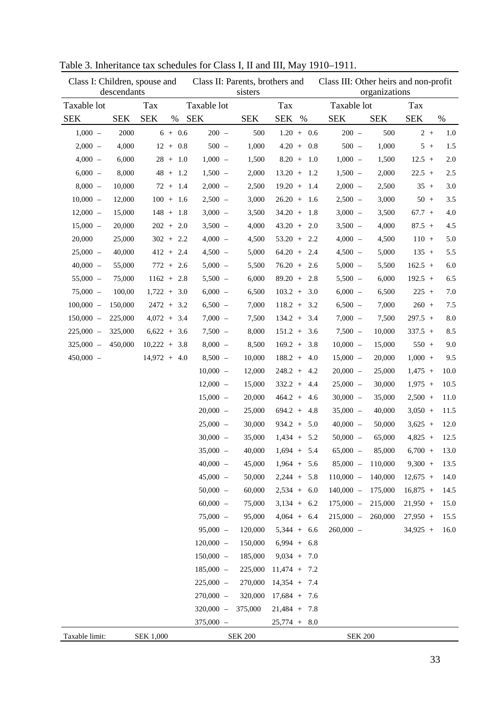|                | Class I: Children, spouse and<br>descendants |                  |   |            |             | Class II: Parents, brothers and<br>sisters |                        |      |     | Class III: Other heirs and non-profit<br>organizations |            |            |  |         |  |
|----------------|----------------------------------------------|------------------|---|------------|-------------|--------------------------------------------|------------------------|------|-----|--------------------------------------------------------|------------|------------|--|---------|--|
| Taxable lot    |                                              | Tax              |   |            | Taxable lot |                                            | Tax                    |      |     | Taxable lot                                            |            | Tax        |  |         |  |
| <b>SEK</b>     | <b>SEK</b>                                   | <b>SEK</b>       | % |            | <b>SEK</b>  | <b>SEK</b>                                 | <b>SEK</b>             | $\%$ |     | <b>SEK</b>                                             | <b>SEK</b> | <b>SEK</b> |  | $\%$    |  |
| $1,000 -$      | 2000                                         |                  |   | $6 + 0.6$  | $200 -$     | 500                                        | $1.20 + 0.6$           |      |     | $200 -$                                                | 500        | $2+$       |  | 1.0     |  |
| $2,000 -$      | 4,000                                        |                  |   | $12 + 0.8$ | $500 -$     | 1,000                                      | $4.20 +$               |      | 0.8 | $500 -$                                                | 1,000      | $5+$       |  | 1.5     |  |
| $4,000 -$      | 6,000                                        |                  |   | $28 + 1.0$ | $1,000 -$   | 1,500                                      | $8.20 +$               |      | 1.0 | $1,000 -$                                              | 1,500      | $12.5 +$   |  | $2.0\,$ |  |
| $6,000 -$      | 8,000                                        |                  |   | $48 + 1.2$ | $1,500 -$   | 2,000                                      | $13.20 +$              |      | 1.2 | $1,500 -$                                              | 2,000      | $22.5 +$   |  | 2.5     |  |
| $8,000 -$      | 10,000                                       |                  |   | $72 + 1.4$ | $2,000 -$   | 2,500                                      | $19.20 +$              |      | 1.4 | $2,000 -$                                              | 2,500      | $35 +$     |  | 3.0     |  |
| $10,000 -$     | 12,000                                       | $100 + 1.6$      |   |            | $2,500 -$   | 3,000                                      | $26.20 +$              |      | 1.6 | $2,500 -$                                              | 3,000      | $50 +$     |  | 3.5     |  |
| $12,000 -$     | 15,000                                       | $148 + 1.8$      |   |            | $3,000 -$   | 3,500                                      | $34.20 +$              |      | 1.8 | $3,000 -$                                              | 3,500      | $67.7 +$   |  | 4.0     |  |
| $15,000 -$     | 20,000                                       | $202 + 2.0$      |   |            | $3,500 -$   | 4,000                                      | $43.20 +$              |      | 2.0 | $3,500 -$                                              | 4,000      | $87.5 +$   |  | 4.5     |  |
| 20,000         | 25,000                                       | $302 + 2.2$      |   |            | $4,000 -$   | 4,500                                      | $53.20 +$              |      | 2.2 | $4,000 -$                                              | 4,500      | $110 +$    |  | 5.0     |  |
| $25,000 -$     | 40,000                                       | $412 + 2.4$      |   |            | $4,500 -$   | 5,000                                      | $64.20 +$              |      | 2.4 | $4,500 -$                                              | 5,000      | $135 +$    |  | 5.5     |  |
| $40,000 -$     | 55,000                                       | $772 + 2.6$      |   |            | $5,000 -$   | 5,500                                      | $76.20 +$              |      | 2.6 | $5,000 -$                                              | 5,500      | $162.5 +$  |  | $6.0\,$ |  |
| $55,000 -$     | 75,000                                       | $1162 + 2.8$     |   |            | $5,500 -$   | 6,000                                      | $89.20 +$              |      | 2.8 | $5,500 -$                                              | 6,000      | $192.5 +$  |  | 6.5     |  |
| $75,000 -$     | 100,00                                       | $1,722 + 3.0$    |   |            | $6,000 -$   | 6,500                                      | $103.2 +$              |      | 3.0 | $6,000 -$                                              | 6,500      | $225 +$    |  | 7.0     |  |
| $100,000 -$    | 150,000                                      | $2472 + 3.2$     |   |            | $6,500 -$   | 7,000                                      | $118.2 +$              |      | 3.2 | $6,500 -$                                              | 7,000      | $260 +$    |  | 7.5     |  |
| $150,000 -$    | 225,000                                      | $4,072 + 3.4$    |   |            | $7,000 -$   | 7,500                                      | $134.2 +$              |      | 3.4 | $7,000 -$                                              | 7,500      | $297.5 +$  |  | $8.0\,$ |  |
| $225,000 -$    | 325,000                                      | $6,622 + 3.6$    |   |            | $7,500 -$   | 8,000                                      | $151.2 +$              |      | 3.6 | $7,500 -$                                              | 10,000     | $337.5 +$  |  | 8.5     |  |
| $325,000 -$    | 450,000                                      | $10,222 + 3.8$   |   |            | $8,000 -$   | 8,500                                      | $169.2 +$              |      | 3.8 | $10,000 -$                                             | 15,000     | $550 +$    |  | 9.0     |  |
| $450,000 -$    |                                              | $14,972 + 4.0$   |   |            | $8,500 -$   | 10,000                                     | $188.2 +$              |      | 4.0 | $15,000 -$                                             | 20,000     | $1,000 +$  |  | 9.5     |  |
|                |                                              |                  |   |            | $10,000 -$  | 12,000                                     | $248.2 +$              |      | 4.2 | $20,000 -$                                             | 25,000     | $1,475 +$  |  | 10.0    |  |
|                |                                              |                  |   |            | $12,000 -$  | 15,000                                     | $332.2 +$              |      | 4.4 | $25,000 -$                                             | 30,000     | $1,975 +$  |  | 10.5    |  |
|                |                                              |                  |   |            | $15,000 -$  | 20,000                                     | $464.2 +$              |      | 4.6 | $30,000 -$                                             | 35,000     | $2,500 +$  |  | 11.0    |  |
|                |                                              |                  |   |            | $20,000 -$  | 25,000                                     | $694.2 +$              |      | 4.8 | $35,000 -$                                             | 40,000     | $3,050 +$  |  | 11.5    |  |
|                |                                              |                  |   |            | $25,000 -$  | 30,000                                     | $934.2 +$              |      | 5.0 | $40,000 -$                                             | 50,000     | $3,625 +$  |  | 12.0    |  |
|                |                                              |                  |   |            | $30,000 -$  | 35,000                                     | $1,434 +$              |      | 5.2 | $50,000 -$                                             | 65,000     | $4,825 +$  |  | 12.5    |  |
|                |                                              |                  |   |            | 35,000      |                                            | $40,000$ $1,694$ + 5.4 |      |     | $65,000 -$                                             | 85,000     | $6,700 +$  |  | 13.0    |  |
|                |                                              |                  |   |            | $40,000 -$  | 45,000                                     | $1,964 + 5.6$          |      |     | $85,000 -$                                             | 110,000    | $9,300 +$  |  | 13.5    |  |
|                |                                              |                  |   |            | $45,000 -$  | 50,000                                     | $2,244 +$              |      | 5.8 | $110,000 -$                                            | 140,000    | $12,675 +$ |  | 14.0    |  |
|                |                                              |                  |   |            | $50,000 -$  | 60,000                                     | $2,534 +$              |      | 6.0 | $140,000 -$                                            | 175,000    | $16,875 +$ |  | 14.5    |  |
|                |                                              |                  |   |            | $60,000 -$  | 75,000                                     | $3,134 +$              |      | 6.2 | $175,000 -$                                            | 215,000    | $21,950 +$ |  | 15.0    |  |
|                |                                              |                  |   |            | $75,000 -$  | 95,000                                     | $4,064 +$              |      | 6.4 | $215,000 -$                                            | 260,000    | $27,950 +$ |  | 15.5    |  |
|                |                                              |                  |   |            | $95,000 -$  | 120,000                                    | $5,344 +$              |      | 6.6 | $260,000 -$                                            |            | $34,925 +$ |  | 16.0    |  |
|                |                                              |                  |   |            | $120,000 -$ | 150,000                                    | $6,994 +$              |      | 6.8 |                                                        |            |            |  |         |  |
|                |                                              |                  |   |            | $150,000 -$ | 185,000                                    | $9,034 +$              |      | 7.0 |                                                        |            |            |  |         |  |
|                |                                              |                  |   |            | $185,000 -$ | 225,000                                    | $11,474 +$             |      | 7.2 |                                                        |            |            |  |         |  |
|                |                                              |                  |   |            | $225,000 -$ | 270,000                                    | $14,354 +$             |      | 7.4 |                                                        |            |            |  |         |  |
|                |                                              |                  |   |            | $270,000 -$ | 320,000                                    | $17,684 +$             |      | 7.6 |                                                        |            |            |  |         |  |
|                |                                              |                  |   |            | $320,000 -$ | 375,000                                    | $21,484 +$             |      | 7.8 |                                                        |            |            |  |         |  |
|                |                                              |                  |   |            | $375,000 -$ |                                            | $25,774 +$             |      | 8.0 |                                                        |            |            |  |         |  |
| Taxable limit: |                                              | <b>SEK 1,000</b> |   |            |             | <b>SEK 200</b>                             |                        |      |     | <b>SEK 200</b>                                         |            |            |  |         |  |

Table 3. Inheritance tax schedules for Class I, II and III, May 1910–1911.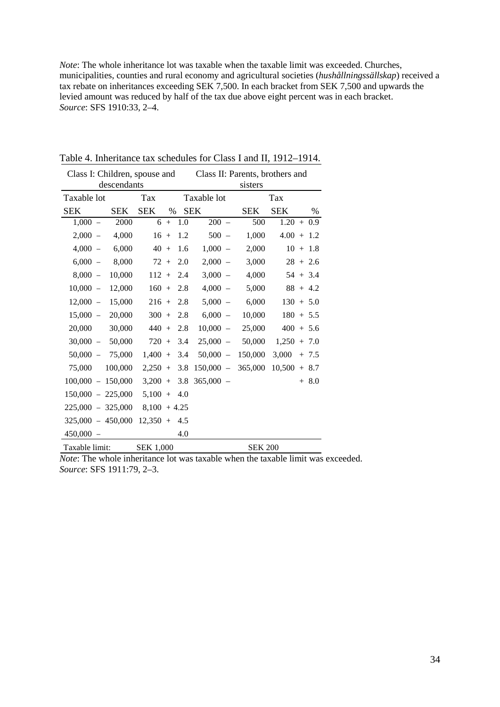*Note*: The whole inheritance lot was taxable when the taxable limit was exceeded. Churches, municipalities, counties and rural economy and agricultural societies (*hushållningssällskap*) received a tax rebate on inheritances exceeding SEK 7,500. In each bracket from SEK 7,500 and upwards the levied amount was reduced by half of the tax due above eight percent was in each bracket. *Source*: SFS 1910:33, 2–4.

| Class I: Children, spouse and |             |                  |      |     | Class II: Parents, brothers and |                |               |              |  |  |  |
|-------------------------------|-------------|------------------|------|-----|---------------------------------|----------------|---------------|--------------|--|--|--|
|                               | descendants |                  |      |     | sisters                         |                |               |              |  |  |  |
| Taxable lot                   |             | Tax              |      |     | Taxable lot                     |                | Tax           |              |  |  |  |
| <b>SEK</b>                    | <b>SEK</b>  | <b>SEK</b>       | $\%$ |     | <b>SEK</b>                      | <b>SEK</b>     | <b>SEK</b>    | $\%$         |  |  |  |
| $1,000 -$                     | 2000        | 6                | $+$  | 1.0 | $200 -$                         | 500            |               | $1.20 + 0.9$ |  |  |  |
| $2,000 -$                     | 4,000       | $16 +$           |      | 1.2 | $500 -$                         | 1,000          |               | $4.00 + 1.2$ |  |  |  |
| $4,000 -$                     | 6,000       | $40 +$           |      | 1.6 | $1,000 -$                       | 2,000          |               | $10 + 1.8$   |  |  |  |
| $6,000 -$                     | 8,000       | $72+$            |      | 2.0 | $2,000 -$                       | 3,000          |               | $28 + 2.6$   |  |  |  |
| $8,000 -$                     | 10,000      | $112 +$          |      | 2.4 | $3,000 -$                       | 4,000          |               | $54 + 3.4$   |  |  |  |
| $10,000 -$                    | 12,000      | $160 +$          |      | 2.8 | $4,000 -$                       | 5,000          |               | $88 + 4.2$   |  |  |  |
| $12,000 -$                    | 15,000      | $216 +$          |      | 2.8 | $5,000 -$                       | 6,000          |               | $130 + 5.0$  |  |  |  |
| $15,000 -$                    | 20,000      | $300 +$          |      | 2.8 | 6,000<br>$\sim$                 | 10,000         |               | $180 + 5.5$  |  |  |  |
| 20,000                        | 30,000      | $440 +$          |      | 2.8 | $10,000 -$                      | 25,000         |               | $400 + 5.6$  |  |  |  |
| $30,000 -$                    | 50,000      | $720 +$          |      | 3.4 | $25,000 -$                      | 50,000         | $1,250 + 7.0$ |              |  |  |  |
| $50,000 -$                    | 75,000      | $1,400 +$        |      | 3.4 | $50,000 -$                      | 150,000        | 3,000         | $+ 7.5$      |  |  |  |
| 75,000                        | 100,000     | $2,250 +$        |      | 3.8 | $150,000 -$                     | 365,000        | 10,500        | $+8.7$       |  |  |  |
| $100,000 -$                   | 150,000     | $3,200 +$        |      | 3.8 | $365,000 -$                     |                |               | $+8.0$       |  |  |  |
| $150,000 - 225,000$           |             | $5,100 +$        |      | 4.0 |                                 |                |               |              |  |  |  |
| $225,000 - 325,000$           |             | $8,100 + 4.25$   |      |     |                                 |                |               |              |  |  |  |
| $325,000 - 450,000$           |             | $12,350 + 4.5$   |      |     |                                 |                |               |              |  |  |  |
| $450,000 -$                   |             |                  |      | 4.0 |                                 |                |               |              |  |  |  |
| Taxable limit:                |             | <b>SEK 1,000</b> |      |     |                                 | <b>SEK 200</b> |               |              |  |  |  |

Table 4. Inheritance tax schedules for Class I and II, 1912–1914.

*Note*: The whole inheritance lot was taxable when the taxable limit was exceeded. *Source*: SFS 1911:79, 2–3.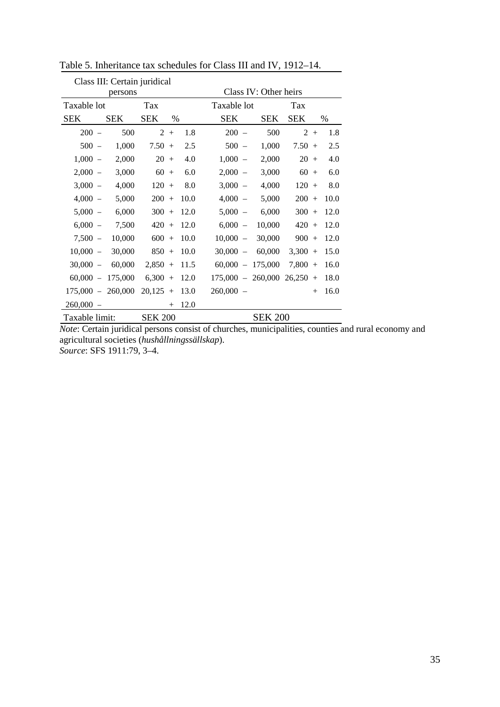|                |            | Class III: Certain juridical |      |                                          |                       |                       |      |
|----------------|------------|------------------------------|------|------------------------------------------|-----------------------|-----------------------|------|
|                | persons    |                              |      |                                          | Class IV: Other heirs |                       |      |
| Taxable lot    |            | Tax                          |      | Taxable lot                              |                       | Tax                   |      |
| SEK            | <b>SEK</b> | <b>SEK</b>                   | $\%$ | <b>SEK</b>                               | <b>SEK</b>            | <b>SEK</b>            | %    |
| $200 -$        | 500        | $\overline{2}$<br>$^{+}$     | 1.8  | 200<br>$\overline{\phantom{a}}$          | 500                   | $2^{\circ}$<br>$^{+}$ | 1.8  |
| $500 -$        | 1,000      | $7.50 +$                     | 2.5  | 500<br>$\overline{\phantom{a}}$          | 1,000                 | $7.50 +$              | 2.5  |
| $1,000 -$      | 2,000      | 20<br>$+$                    | 4.0  | 1,000<br>$\overline{\phantom{a}}$        | 2,000                 | 20<br>$+$             | 4.0  |
| $2,000 -$      | 3,000      | 60<br>$+$                    | 6.0  | 2,000<br>$\overline{\phantom{a}}$        | 3,000                 | 60<br>$+$             | 6.0  |
| $3,000 -$      | 4,000      | $120 +$                      | 8.0  | 3,000<br>$\hspace{0.1mm}-\hspace{0.1mm}$ | 4,000                 | $120 +$               | 8.0  |
| $4,000 -$      | 5,000      | $200 +$                      | 10.0 | $4,000 -$                                | 5,000                 | $200 +$               | 10.0 |
| $5,000 -$      | 6,000      | $300 +$                      | 12.0 | $5,000 -$                                | 6,000                 | $300 +$               | 12.0 |
| $6,000 -$      | 7,500      | $420 +$                      | 12.0 | $6,000 -$                                | 10,000                | $420 +$               | 12.0 |
| $7,500 -$      | 10,000     | $600 +$                      | 10.0 | $10,000 -$                               | 30,000                | $900 +$               | 12.0 |
| $10,000 -$     | 30,000     | $850 +$                      | 10.0 | 30,000<br>$\overline{\phantom{a}}$       | 60,000                | $3,300 +$             | 15.0 |
| $30,000 -$     | 60,000     | $2,850 +$                    | 11.5 | 60,000<br>$\overline{\phantom{a}}$       | 175,000               | $7,800 +$             | 16.0 |
| $60,000 -$     | 175,000    | $6,300 +$                    | 12.0 | $175,000 -$                              | 260,000               | 26,250<br>$+$         | 18.0 |
| $175,000 -$    | 260,000    | $20,125 +$                   | 13.0 | $260,000 -$                              |                       | $+$                   | 16.0 |
| $260,000 -$    |            | $^{+}$                       | 12.0 |                                          |                       |                       |      |
| Taxable limit: |            | <b>SEK 200</b>               |      |                                          | <b>SEK 200</b>        |                       |      |

Table 5. Inheritance tax schedules for Class III and IV, 1912–14.

*Note*: Certain juridical persons consist of churches, municipalities, counties and rural economy and agricultural societies (*hushållningssällskap*). *Source*: SFS 1911:79, 3–4.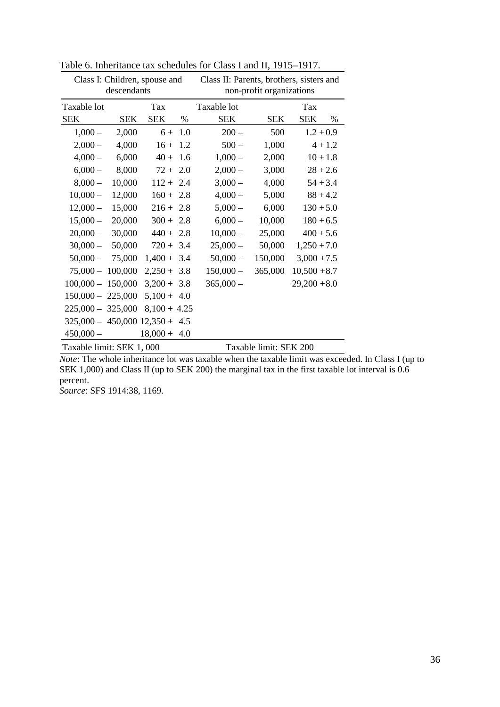|                                    |             | Class I: Children, spouse and |      | Class II: Parents, brothers, sisters and |                          |                 |  |  |  |  |
|------------------------------------|-------------|-------------------------------|------|------------------------------------------|--------------------------|-----------------|--|--|--|--|
|                                    | descendants |                               |      |                                          | non-profit organizations |                 |  |  |  |  |
| Taxable lot                        |             | Tax                           |      | Taxable lot                              |                          | Tax             |  |  |  |  |
| <b>SEK</b>                         | <b>SEK</b>  | <b>SEK</b>                    | $\%$ | <b>SEK</b>                               | <b>SEK</b>               | <b>SEK</b><br>% |  |  |  |  |
| $1,000-$                           | 2,000       | $6 + 1.0$                     |      | $200 -$                                  | 500                      | $1.2 + 0.9$     |  |  |  |  |
| $2,000-$                           | 4,000       | $16 + 1.2$                    |      | $500 -$                                  | 1,000                    | $4 + 1.2$       |  |  |  |  |
| $4,000-$                           | 6,000       | $40 + 1.6$                    |      | $1,000-$                                 | 2,000                    | $10 + 1.8$      |  |  |  |  |
| $6,000-$                           | 8,000       | $72 + 2.0$                    |      | $2,000-$                                 | 3,000                    | $28 + 2.6$      |  |  |  |  |
| $8,000-$                           | 10,000      | $112 + 2.4$                   |      | $3,000 -$                                | 4,000                    | $54 + 3.4$      |  |  |  |  |
| $10,000 -$                         | 12,000      | $160 + 2.8$                   |      | $4,000-$                                 | 5,000                    | $88 + 4.2$      |  |  |  |  |
| $12,000-$                          | 15,000      | $216 + 2.8$                   |      | $5,000-$                                 | 6,000                    | $130 + 5.0$     |  |  |  |  |
| $15,000 -$                         | 20,000      | $300 + 2.8$                   |      | $6,000-$                                 | 10,000                   | $180 + 6.5$     |  |  |  |  |
| $20,000-$                          | 30,000      | $440 + 2.8$                   |      | $10,000 -$                               | 25,000                   | $400 + 5.6$     |  |  |  |  |
| $30,000 -$                         | 50,000      | $720 + 3.4$                   |      | $25,000 -$                               | 50,000                   | $1,250 + 7.0$   |  |  |  |  |
| $50,000 -$                         | 75,000      | $1,400 + 3.4$                 |      | $50,000 -$                               | 150,000                  | $3,000 + 7.5$   |  |  |  |  |
| $75,000 - 100,000$                 |             | $2,250 + 3.8$                 |      | $150,000 -$                              | 365,000                  | $10,500 + 8.7$  |  |  |  |  |
| $100,000 - 150,000$                |             | $3,200 + 3.8$                 |      | $365,000 -$                              |                          | $29,200 + 8.0$  |  |  |  |  |
| $150,000 - 225,000$                |             | $5,100 + 4.0$                 |      |                                          |                          |                 |  |  |  |  |
| $225,000 - 325,000$                |             | $8,100 + 4.25$                |      |                                          |                          |                 |  |  |  |  |
| $325,000 - 450,000$ $12,350 + 4.5$ |             |                               |      |                                          |                          |                 |  |  |  |  |
| $450,000 -$                        |             | $18,000 + 4.0$                |      |                                          |                          |                 |  |  |  |  |
| Taxable limit: SEK 1,000           |             |                               |      | Taxable limit: SEK 200                   |                          |                 |  |  |  |  |

Table 6. Inheritance tax schedules for Class I and II, 1915–1917.

*Note*: The whole inheritance lot was taxable when the taxable limit was exceeded. In Class I (up to SEK 1,000) and Class II (up to SEK 200) the marginal tax in the first taxable lot interval is  $0.6$ percent.

*Source*: SFS 1914:38, 1169.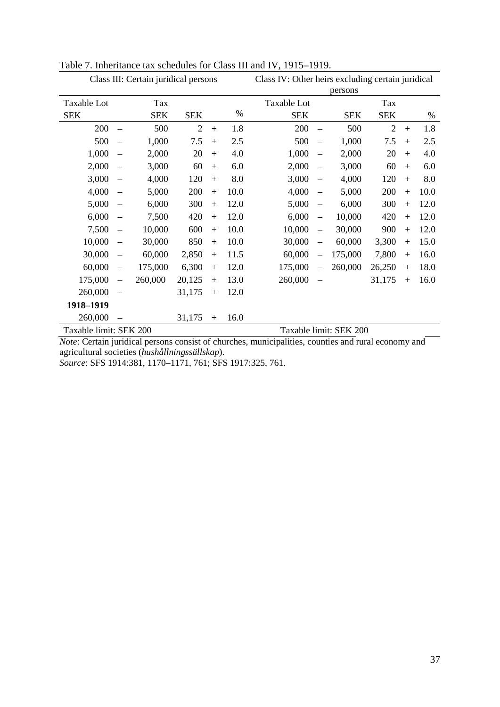|                        |                          | Class III: Certain juridical persons |                |     |      | Class IV: Other heirs excluding certain juridical<br>persons |                          |                        |                |     |      |  |
|------------------------|--------------------------|--------------------------------------|----------------|-----|------|--------------------------------------------------------------|--------------------------|------------------------|----------------|-----|------|--|
| Taxable Lot            |                          | Tax                                  |                |     |      | Taxable Lot                                                  |                          |                        | Tax            |     |      |  |
| <b>SEK</b>             |                          | <b>SEK</b>                           | <b>SEK</b>     |     | %    | <b>SEK</b>                                                   |                          | <b>SEK</b>             | <b>SEK</b>     |     | %    |  |
| 200                    | $\equiv$                 | 500                                  | $\overline{2}$ | $+$ | 1.8  | 200                                                          |                          | 500                    | $\overline{2}$ | $+$ | 1.8  |  |
| 500                    | $\equiv$                 | 1,000                                | 7.5            | $+$ | 2.5  | 500                                                          | $\overline{\phantom{m}}$ | 1,000                  | 7.5            | $+$ | 2.5  |  |
| 1,000                  | $\qquad \qquad -$        | 2,000                                | 20             | $+$ | 4.0  | 1,000                                                        | $\equiv$                 | 2,000                  | 20             | $+$ | 4.0  |  |
| 2,000                  | $\overline{\phantom{0}}$ | 3,000                                | 60             | $+$ | 6.0  | 2,000                                                        | $\overline{\phantom{0}}$ | 3,000                  | 60             | $+$ | 6.0  |  |
| 3,000                  | $\equiv$                 | 4,000                                | 120            | $+$ | 8.0  | 3,000                                                        | $\equiv$                 | 4,000                  | 120            | $+$ | 8.0  |  |
| 4,000                  |                          | 5,000                                | 200            | $+$ | 10.0 | 4,000                                                        | $\equiv$                 | 5,000                  | 200            | $+$ | 10.0 |  |
| 5,000                  |                          | 6,000                                | 300            | $+$ | 12.0 | 5,000                                                        | $\overline{\phantom{m}}$ | 6,000                  | 300            | $+$ | 12.0 |  |
| 6,000                  | $\equiv$                 | 7,500                                | 420            | $+$ | 12.0 | 6,000                                                        | $\overline{\phantom{m}}$ | 10,000                 | 420            | $+$ | 12.0 |  |
| 7,500                  | $\equiv$                 | 10,000                               | 600            | $+$ | 10.0 | 10,000                                                       | $\overline{\phantom{m}}$ | 30,000                 | 900            | $+$ | 12.0 |  |
| 10,000                 | $\equiv$                 | 30,000                               | 850            | $+$ | 10.0 | 30,000                                                       | $\overline{\phantom{m}}$ | 60,000                 | 3,300          | $+$ | 15.0 |  |
| 30,000                 | $\equiv$                 | 60,000                               | 2,850          | $+$ | 11.5 | 60,000                                                       | $\overline{\phantom{0}}$ | 175,000                | 7,800          | $+$ | 16.0 |  |
| 60,000                 | $\qquad \qquad -$        | 175,000                              | 6,300          | $+$ | 12.0 | 175,000                                                      | $\qquad \qquad -$        | 260,000                | 26,250         | $+$ | 18.0 |  |
| 175,000                | $\equiv$                 | 260,000                              | 20,125         | $+$ | 13.0 | 260,000                                                      | $\overline{\phantom{m}}$ |                        | 31,175         | $+$ | 16.0 |  |
| 260,000                | $\overline{\phantom{0}}$ |                                      | 31,175         | $+$ | 12.0 |                                                              |                          |                        |                |     |      |  |
| 1918-1919              |                          |                                      |                |     |      |                                                              |                          |                        |                |     |      |  |
| 260,000                |                          |                                      | 31,175         | $+$ | 16.0 |                                                              |                          |                        |                |     |      |  |
| Taxable limit: SEK 200 |                          |                                      |                |     |      |                                                              |                          | Taxable limit: SEK 200 |                |     |      |  |

# Table 7. Inheritance tax schedules for Class III and IV, 1915–1919.

*Note*: Certain juridical persons consist of churches, municipalities, counties and rural economy and agricultural societies (*hushållningssällskap*).

*Source*: SFS 1914:381, 1170–1171, 761; SFS 1917:325, 761.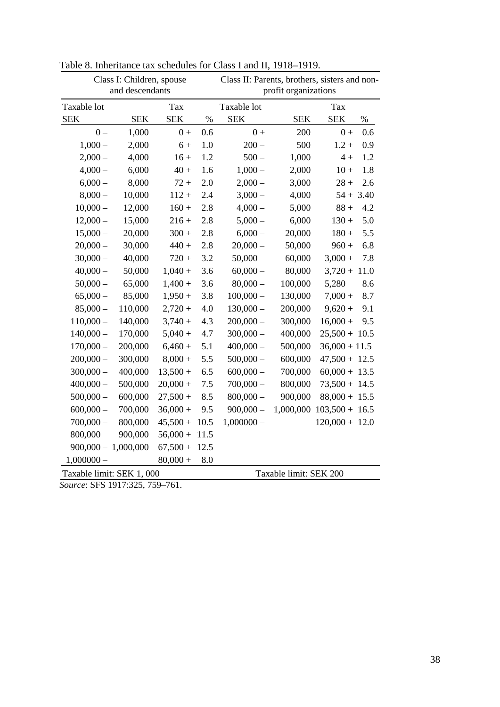|                           | Class I: Children, spouse |            |      | Class II: Parents, brothers, sisters and non- |            |                  |      |  |  |
|---------------------------|---------------------------|------------|------|-----------------------------------------------|------------|------------------|------|--|--|
|                           | and descendants           |            |      | profit organizations                          |            |                  |      |  |  |
| Taxable lot               |                           | Tax        |      | Taxable lot                                   |            | Tax              |      |  |  |
| <b>SEK</b>                | <b>SEK</b>                | <b>SEK</b> | $\%$ | <b>SEK</b>                                    | <b>SEK</b> | <b>SEK</b>       | $\%$ |  |  |
| $0 -$                     | 1,000                     | $0+$       | 0.6  | $0+$                                          | 200        | $0+$             | 0.6  |  |  |
| $1,000-$                  | 2,000                     | $6+$       | 1.0  | $200 -$                                       | 500        | $1.2 +$          | 0.9  |  |  |
| $2,000 -$                 | 4,000                     | $16 +$     | 1.2  | $500 -$                                       | 1,000      | $4 +$            | 1.2  |  |  |
| $4,000-$                  | 6,000                     | $40 +$     | 1.6  | $1,000-$                                      | 2,000      | $10 +$           | 1.8  |  |  |
| $6,000-$                  | 8,000                     | $72 +$     | 2.0  | $2,000-$                                      | 3,000      | $28 +$           | 2.6  |  |  |
| $8,000-$                  | 10,000                    | $112 +$    | 2.4  | $3,000-$                                      | 4,000      | $54 + 3.40$      |      |  |  |
| $10,000 -$                | 12,000                    | $160 +$    | 2.8  | $4,000-$                                      | 5,000      | $88 +$           | 4.2  |  |  |
| $12,000 -$                | 15,000                    | $216 +$    | 2.8  | $5,000 -$                                     | 6,000      | $130 +$          | 5.0  |  |  |
| $15,000 -$                | 20,000                    | $300 +$    | 2.8  | $6,000 -$                                     | 20,000     | $180 +$          | 5.5  |  |  |
| $20,000 -$                | 30,000                    | $440 +$    | 2.8  | $20,000 -$                                    | 50,000     | $960 +$          | 6.8  |  |  |
| $30,000 -$                | 40,000                    | $720 +$    | 3.2  | 50,000                                        | 60,000     | $3,000 +$        | 7.8  |  |  |
| $40,000 -$                | 50,000                    | $1,040 +$  | 3.6  | $60,000 -$                                    | 80,000     | $3,720 +$        | 11.0 |  |  |
| $50,000 -$                | 65,000                    | $1,400 +$  | 3.6  | $80,000 -$                                    | 100,000    | 5,280            | 8.6  |  |  |
| $65,000 -$                | 85,000                    | $1,950+$   | 3.8  | $100,000 -$                                   | 130,000    | $7,000 +$        | 8.7  |  |  |
| $85,000 -$                | 110,000                   | $2,720 +$  | 4.0  | $130,000 -$                                   | 200,000    | $9,620 +$        | 9.1  |  |  |
| $110,000 -$               | 140,000                   | $3,740 +$  | 4.3  | $200,000 -$                                   | 300,000    | $16,000 +$       | 9.5  |  |  |
| $140,000 -$               | 170,000                   | $5,040+$   | 4.7  | $300,000 -$                                   | 400,000    | $25,500 + 10.5$  |      |  |  |
| $170,000 -$               | 200,000                   | $6,460+$   | 5.1  | $400,000 -$                                   | 500,000    | $36,000 + 11.5$  |      |  |  |
| $200,000 -$               | 300,000                   | $8,000 +$  | 5.5  | $500,000 -$                                   | 600,000    | $47,500 + 12.5$  |      |  |  |
| $300,000 -$               | 400,000                   | $13,500 +$ | 6.5  | $600,000 -$                                   | 700,000    | $60,000 + 13.5$  |      |  |  |
| $400,000 -$               | 500,000                   | $20,000 +$ | 7.5  | $700,000 -$                                   | 800,000    | $73,500 + 14.5$  |      |  |  |
| $500,000 -$               | 600,000                   | $27,500+$  | 8.5  | $800,000 -$                                   | 900,000    | $88,000 + 15.5$  |      |  |  |
| $600,000 -$               | 700,000                   | $36,000 +$ | 9.5  | $900,000 -$                                   | 1,000,000  | $103,500 + 16.5$ |      |  |  |
| $700,000 -$               | 800,000                   | $45,500+$  | 10.5 | $1,000000 -$                                  |            | $120,000 + 12.0$ |      |  |  |
| 800,000                   | 900,000                   | $56,000 +$ | 11.5 |                                               |            |                  |      |  |  |
| $900,000 - 1,000,000$     |                           | $67,500+$  | 12.5 |                                               |            |                  |      |  |  |
| $1,000000 -$              |                           | $80,000 +$ | 8.0  |                                               |            |                  |      |  |  |
| Taxable limit: SEK 1, 000 |                           |            |      | Taxable limit: SEK 200                        |            |                  |      |  |  |

Table 8. Inheritance tax schedules for Class I and II, 1918–1919.

*Source*: SFS 1917:325, 759–761.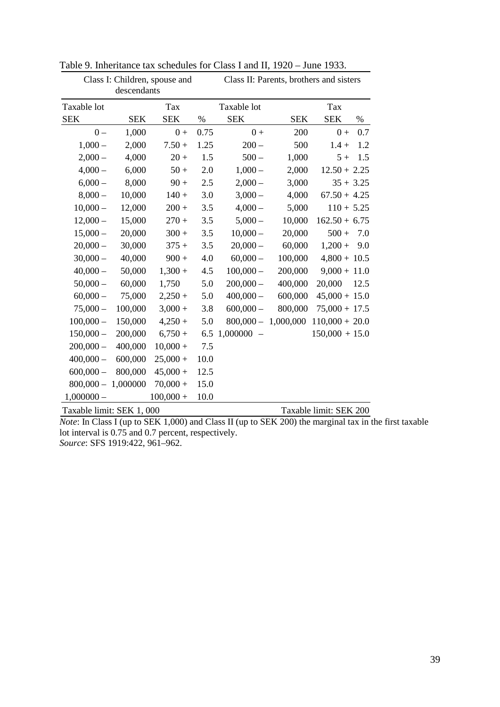|              |             | Class I: Children, spouse and | Class II: Parents, brothers and sisters |                                      |            |                    |  |  |  |
|--------------|-------------|-------------------------------|-----------------------------------------|--------------------------------------|------------|--------------------|--|--|--|
|              | descendants |                               |                                         |                                      |            |                    |  |  |  |
| Taxable lot  |             | Tax                           |                                         | Taxable lot                          |            | Tax                |  |  |  |
| <b>SEK</b>   | <b>SEK</b>  | <b>SEK</b>                    | $\%$                                    | <b>SEK</b>                           | <b>SEK</b> | <b>SEK</b><br>$\%$ |  |  |  |
| $0 -$        | 1,000       | $0+$                          | 0.75                                    | $0+$                                 | 200        | 0.7<br>$0 +$       |  |  |  |
| $1,000-$     | 2,000       | $7.50 +$                      | 1.25                                    | $200 -$                              | 500        | 1.2<br>$1.4 +$     |  |  |  |
| $2,000-$     | 4,000       | $20 +$                        | 1.5                                     | $500 -$                              | 1,000      | $5+$<br>1.5        |  |  |  |
| $4,000-$     | 6,000       | $50 +$                        | 2.0                                     | $1,000-$                             | 2,000      | $12.50 + 2.25$     |  |  |  |
| $6,000-$     | 8,000       | $90 +$                        | 2.5                                     | $2,000 -$                            | 3,000      | $35 + 3.25$        |  |  |  |
| $8,000 -$    | 10,000      | $140 +$                       | 3.0                                     | $3,000 -$                            | 4,000      | $67.50 + 4.25$     |  |  |  |
| $10,000 -$   | 12,000      | $200 +$                       | 3.5                                     | $4,000-$                             | 5,000      | $110 + 5.25$       |  |  |  |
| $12,000 -$   | 15,000      | $270 +$                       | 3.5                                     | $5,000 -$                            | 10,000     | $162.50 + 6.75$    |  |  |  |
| $15,000 -$   | 20,000      | $300 +$                       | 3.5                                     | $10,000 -$                           | 20,000     | $500 +$<br>7.0     |  |  |  |
| $20,000 -$   | 30,000      | $375 +$                       | 3.5                                     | $20,000 -$                           | 60,000     | $1,200 +$<br>9.0   |  |  |  |
| $30,000 -$   | 40,000      | $900 +$                       | 4.0                                     | $60,000 -$                           | 100,000    | $4,800 + 10.5$     |  |  |  |
| $40,000 -$   | 50,000      | $1,300 +$                     | 4.5                                     | $100,000 -$                          | 200,000    | $9,000 + 11.0$     |  |  |  |
| $50,000 -$   | 60,000      | 1,750                         | 5.0                                     | $200,000 -$                          | 400,000    | 20,000<br>12.5     |  |  |  |
| $60,000 -$   | 75,000      | $2,250+$                      | 5.0                                     | $400,000 -$                          | 600,000    | $45,000 + 15.0$    |  |  |  |
| $75,000 -$   | 100,000     | $3,000 +$                     | 3.8                                     | $600,000 -$                          | 800,000    | $75,000 + 17.5$    |  |  |  |
| $100,000 -$  | 150,000     | $4,250+$                      | 5.0                                     | $800,000 - 1,000,000$                |            | $110,000 + 20.0$   |  |  |  |
| $150,000 -$  | 200,000     | $6,750+$                      | 6.5                                     | 1,000000<br>$\overline{\phantom{a}}$ |            | $150,000 + 15.0$   |  |  |  |
| $200,000 -$  | 400,000     | $10,000 +$                    | 7.5                                     |                                      |            |                    |  |  |  |
| $400,000 -$  | 600,000     | $25,000 +$                    | 10.0                                    |                                      |            |                    |  |  |  |
| $600,000 -$  | 800,000     | $45,000 +$                    | 12.5                                    |                                      |            |                    |  |  |  |
| $800,000 -$  | 1,000000    | $70,000 +$                    | 15.0                                    |                                      |            |                    |  |  |  |
| $1,000000 -$ |             | $100,000 +$                   | 10.0                                    |                                      |            |                    |  |  |  |

Table 9. Inheritance tax schedules for Class I and II, 1920 – June 1933.

Taxable limit: SEK 1, 000 Taxable limit: SEK 200 *Note*: In Class I (up to SEK 1,000) and Class II (up to SEK 200) the marginal tax in the first taxable lot interval is 0.75 and 0.7 percent, respectively. *Source*: SFS 1919:422, 961–962.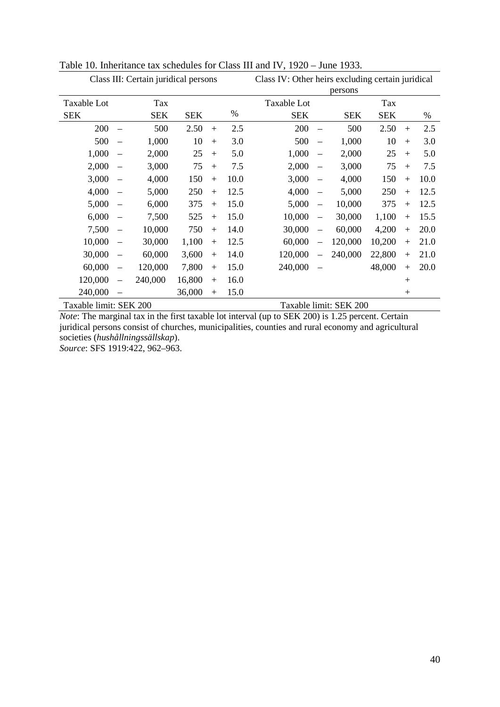| Class III: Certain juridical persons |                          |            |            |     |      | Class IV: Other heirs excluding certain juridical<br>persons |                          |                        |            |     |      |
|--------------------------------------|--------------------------|------------|------------|-----|------|--------------------------------------------------------------|--------------------------|------------------------|------------|-----|------|
| <b>Taxable Lot</b>                   |                          | Tax        |            |     |      | Taxable Lot                                                  |                          |                        | Tax        |     |      |
| <b>SEK</b>                           |                          | <b>SEK</b> | <b>SEK</b> |     | $\%$ | <b>SEK</b>                                                   |                          | <b>SEK</b>             | <b>SEK</b> |     | %    |
| 200                                  | $\overline{\phantom{0}}$ | 500        | 2.50       | $+$ | 2.5  | 200                                                          | $\equiv$                 | 500                    | 2.50       | $+$ | 2.5  |
| 500                                  | $\equiv$                 | 1,000      | 10         | $+$ | 3.0  | 500                                                          | $\equiv$                 | 1,000                  | 10         | $+$ | 3.0  |
| 1,000                                |                          | 2,000      | 25         | $+$ | 5.0  | 1,000                                                        | $\equiv$                 | 2,000                  | 25         | $+$ | 5.0  |
| 2,000                                |                          | 3,000      | 75         | $+$ | 7.5  | 2,000                                                        | $\equiv$                 | 3,000                  | 75         | $+$ | 7.5  |
| 3,000                                |                          | 4,000      | 150        | $+$ | 10.0 | 3,000                                                        | $\overline{\phantom{0}}$ | 4,000                  | 150        | $+$ | 10.0 |
| 4,000                                |                          | 5,000      | 250        | $+$ | 12.5 | 4,000                                                        | $\overline{\phantom{m}}$ | 5,000                  | 250        | $+$ | 12.5 |
| 5,000                                |                          | 6,000      | 375        | $+$ | 15.0 | 5,000                                                        | $\overline{\phantom{0}}$ | 10,000                 | 375        | $+$ | 12.5 |
| 6,000                                |                          | 7,500      | 525        | $+$ | 15.0 | 10,000                                                       | $\qquad \qquad -$        | 30,000                 | 1,100      | $+$ | 15.5 |
| 7,500                                | $\qquad \qquad -$        | 10,000     | 750        | $+$ | 14.0 | 30,000                                                       | $\overline{\phantom{0}}$ | 60,000                 | 4,200      | $+$ | 20.0 |
| 10,000                               | $\overline{\phantom{0}}$ | 30,000     | 1,100      | $+$ | 12.5 | 60,000                                                       |                          | 120,000                | 10,200     | $+$ | 21.0 |
| 30,000                               | $\overline{\phantom{m}}$ | 60,000     | 3,600      | $+$ | 14.0 | 120,000                                                      |                          | 240,000                | 22,800     | $+$ | 21.0 |
| 60,000                               | $\qquad \qquad -$        | 120,000    | 7,800      | $+$ | 15.0 | 240,000                                                      | $\qquad \qquad -$        |                        | 48,000     | $+$ | 20.0 |
| 120,000                              | $\equiv$                 | 240,000    | 16,800     | $+$ | 16.0 |                                                              |                          |                        |            | $+$ |      |
| 240,000                              |                          |            | 36,000     | $+$ | 15.0 |                                                              |                          |                        |            | $+$ |      |
| Taxable limit: SEK 200               |                          |            |            |     |      |                                                              |                          | Taxable limit: SEK 200 |            |     |      |

Table 10. Inheritance tax schedules for Class III and IV, 1920 – June 1933.

*Note*: The marginal tax in the first taxable lot interval (up to SEK 200) is 1.25 percent. Certain juridical persons consist of churches, municipalities, counties and rural economy and agricultural societies (*hushållningssällskap*).

*Source*: SFS 1919:422, 962–963.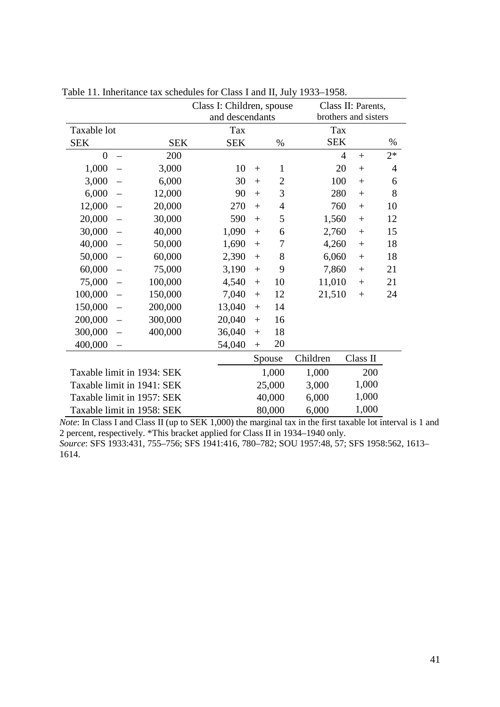|                            |            | Class I: Children, spouse | Class II: Parents, |                      |            |                       |                |
|----------------------------|------------|---------------------------|--------------------|----------------------|------------|-----------------------|----------------|
|                            |            | and descendants           |                    | brothers and sisters |            |                       |                |
| Taxable lot                |            | Tax                       |                    |                      | Tax        |                       |                |
| <b>SEK</b>                 | <b>SEK</b> | <b>SEK</b>                |                    | $\%$                 | <b>SEK</b> |                       | $\%$           |
| $\overline{0}$             | 200        |                           |                    |                      |            | $\overline{4}$<br>$+$ | $2*$           |
| 1,000                      | 3,000      | 10                        | $^{+}$             | $\mathbf{1}$         |            | 20<br>$+$             | $\overline{4}$ |
| 3,000                      | 6,000      | 30                        | $+$                | $\overline{2}$       | 100        | $+$                   | 6              |
| 6,000                      | 12,000     | 90                        | $+$                | 3                    | 280        | $+$                   | 8              |
| 12,000                     | 20,000     | 270                       | $+$                | $\overline{4}$       | 760        | $^{+}$                | 10             |
| 20,000                     | 30,000     | 590                       | $+$                | 5                    | 1,560      | $+$                   | 12             |
| 30,000                     | 40,000     | 1,090                     | $\! +$             | 6                    | 2,760      | $+$                   | 15             |
| 40,000                     | 50,000     | 1,690                     | $+$                | 7                    | 4,260      | $+$                   | 18             |
| 50,000                     | 60,000     | 2,390                     | $^{+}$             | 8                    | 6,060      | $+$                   | 18             |
| 60,000                     | 75,000     | 3,190                     | $^{+}$             | 9                    | 7,860      | $+$                   | 21             |
| 75,000<br>$\equiv$         | 100,000    | 4,540                     | $+$                | 10                   | 11,010     | $+$                   | 21             |
| 100,000                    | 150,000    | 7,040                     | $^{+}$             | 12                   | 21,510     | $^{+}$                | 24             |
| 150,000                    | 200,000    | 13,040                    | $+$                | 14                   |            |                       |                |
| 200,000                    | 300,000    | 20,040                    | $+$                | 16                   |            |                       |                |
| 300,000                    | 400,000    | 36,040                    | $+$                | 18                   |            |                       |                |
| 400,000<br>$\equiv$        |            | 54,040                    | $^{+}$             | 20                   |            |                       |                |
|                            |            |                           |                    | Spouse               | Children   | Class II              |                |
| Taxable limit in 1934: SEK |            |                           |                    | 1,000                | 1,000      |                       | 200            |
| Taxable limit in 1941: SEK |            |                           |                    | 25,000               | 3,000      | 1,000                 |                |
| Taxable limit in 1957: SEK |            |                           | 40,000             |                      | 6,000      | 1,000                 |                |
| Taxable limit in 1958: SEK |            |                           |                    | 80,000               | 6,000      | 1,000                 |                |

Table 11. Inheritance tax schedules for Class I and II, July 1933–1958.

*Note*: In Class I and Class II (up to SEK 1,000) the marginal tax in the first taxable lot interval is 1 and 2 percent, respectively. \*This bracket applied for Class II in 1934–1940 only. *Source*: SFS 1933:431, 755–756; SFS 1941:416, 780–782; SOU 1957:48, 57; SFS 1958:562, 1613– 1614.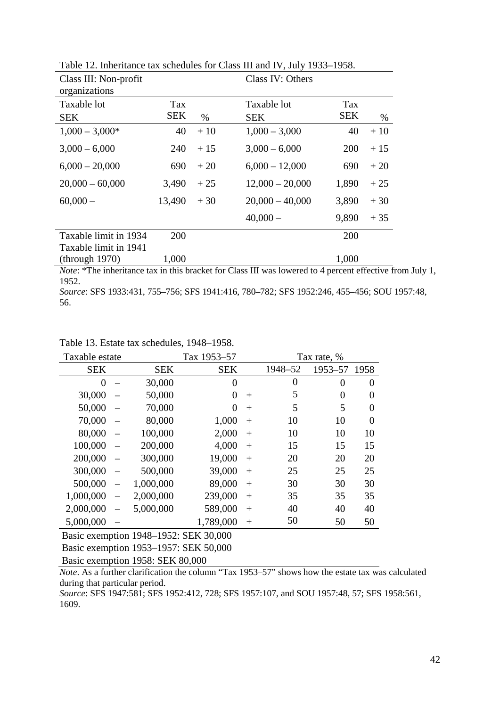| Class III: Non-profit |            |               | Class IV: Others  |            |       |
|-----------------------|------------|---------------|-------------------|------------|-------|
| organizations         |            |               |                   |            |       |
| Taxable lot           | Tax        |               | Taxable lot       | Tax        |       |
| <b>SEK</b>            | <b>SEK</b> | $\frac{0}{0}$ | <b>SEK</b>        | <b>SEK</b> | $\%$  |
| $1,000 - 3,000*$      | 40         | $+10$         | $1,000 - 3,000$   | 40         | $+10$ |
| $3,000 - 6,000$       | 240        | $+15$         | $3,000 - 6,000$   | 200        | $+15$ |
| $6,000 - 20,000$      | 690        | $+20$         | $6,000 - 12,000$  | 690        | $+20$ |
| $20,000 - 60,000$     | 3,490      | $+25$         | $12,000 - 20,000$ | 1,890      | $+25$ |
| $60,000 -$            | 13,490     | $+30$         | $20,000 - 40,000$ | 3,890      | $+30$ |
|                       |            |               | $40,000 -$        | 9,890      | $+35$ |
| Taxable limit in 1934 | 200        |               |                   | 200        |       |
| Taxable limit in 1941 |            |               |                   |            |       |
| (throught 1970)       | 1,000      |               |                   | 1,000      |       |

Table 12. Inheritance tax schedules for Class III and IV, July 1933–1958.

*Note*: \*The inheritance tax in this bracket for Class III was lowered to 4 percent effective from July 1, 1952.

*Source*: SFS 1933:431, 755–756; SFS 1941:416, 780–782; SFS 1952:246, 455–456; SOU 1957:48, 56.

| Taxable estate |            | Tax 1953-57 |        |         | Tax rate, % |          |
|----------------|------------|-------------|--------|---------|-------------|----------|
| <b>SEK</b>     | <b>SEK</b> | <b>SEK</b>  |        | 1948-52 | 1953–57     | 1958     |
| $\overline{0}$ | 30,000     | $\Omega$    |        | 0       | 0           | 0        |
| 30,000         | 50,000     | $\Omega$    | $^{+}$ | 5       | 0           | 0        |
| 50,000         | 70,000     | $\Omega$    | $+$    | 5       | 5           | 0        |
| 70,000         | 80,000     | 1,000       | $^{+}$ | 10      | 10          | $\Omega$ |
| 80,000         | 100,000    | 2,000       | $^{+}$ | 10      | 10          | 10       |
| 100,000        | 200,000    | 4,000       | $^{+}$ | 15      | 15          | 15       |
| 200,000        | 300,000    | 19,000      | $^{+}$ | 20      | 20          | 20       |
| 300,000        | 500,000    | 39,000      | $^{+}$ | 25      | 25          | 25       |
| 500,000        | 1,000,000  | 89,000      | $^{+}$ | 30      | 30          | 30       |
| 1,000,000      | 2,000,000  | 239,000     | $^{+}$ | 35      | 35          | 35       |
| 2,000,000      | 5,000,000  | 589,000     | $^{+}$ | 40      | 40          | 40       |
| 5,000,000      |            | 1,789,000   | $^{+}$ | 50      | 50          | 50       |

Table 13. Estate tax schedules, 1948–1958.

Basic exemption 1948–1952: SEK 30,000

Basic exemption 1953–1957: SEK 50,000

Basic exemption 1958: SEK 80,000

*Note*. As a further clarification the column "Tax 1953–57" shows how the estate tax was calculated during that particular period.

*Source*: SFS 1947:581; SFS 1952:412, 728; SFS 1957:107, and SOU 1957:48, 57; SFS 1958:561, 1609.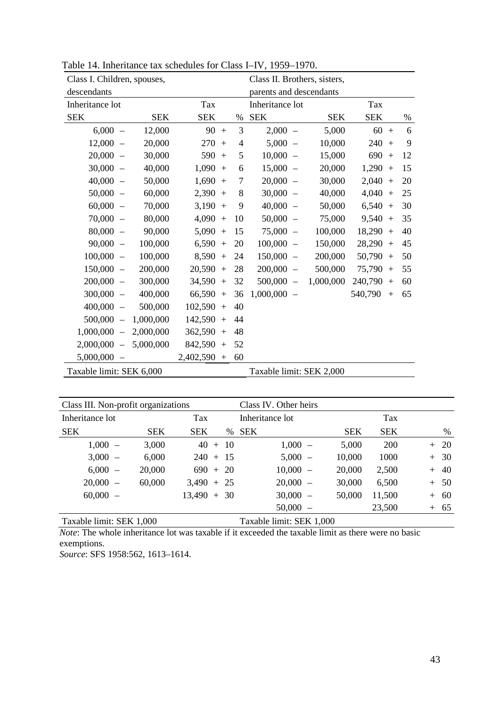| Class I. Children, spouses,                          |            | Class II. Brothers, sisters, |    |                                       |            |                |      |  |
|------------------------------------------------------|------------|------------------------------|----|---------------------------------------|------------|----------------|------|--|
| descendants                                          |            |                              |    | parents and descendants               |            |                |      |  |
| Inheritance lot                                      |            | Tax                          |    | Inheritance lot                       |            | Tax            |      |  |
| <b>SEK</b>                                           | <b>SEK</b> | <b>SEK</b>                   | %  | <b>SEK</b>                            | <b>SEK</b> | <b>SEK</b>     | $\%$ |  |
| $6,000 -$                                            | 12,000     | 90<br>$+$                    | 3  | $2,000 -$                             | 5,000      | 60<br>$+$      | 6    |  |
| $12,000 -$                                           | 20,000     | 270<br>$+$                   | 4  | 5,000<br>$\equiv$                     | 10,000     | 240<br>$+$     | 9    |  |
| $20,000 -$                                           | 30,000     | 590<br>$+$                   | 5  | 10,000<br>$\equiv$                    | 15,000     | 690<br>$+$     | 12   |  |
| $30,000 -$                                           | 40,000     | $1,090 +$                    | 6  | 15,000<br>$\equiv$                    | 20,000     | 1,290<br>$+$   | 15   |  |
| $40,000 -$                                           | 50,000     | $1,690 +$                    | 7  | 20,000<br>$\overline{\phantom{0}}$    | 30,000     | 2,040<br>$+$   | 20   |  |
| $50,000 -$                                           | 60,000     | $2,390 +$                    | 8  | 30,000<br>$\equiv$                    | 40,000     | 4,040<br>$+$   | 25   |  |
| $60,000 -$                                           | 70,000     | $3,190 +$                    | 9  | 40,000<br>$\overline{\phantom{0}}$    | 50,000     | $6,540 +$      | 30   |  |
| $70,000 -$                                           | 80,000     | $4,090 +$                    | 10 | 50,000<br>$\equiv$                    | 75,000     | 9,540<br>$+$   | 35   |  |
| $80,000 -$                                           | 90,000     | $5,090 +$                    | 15 | 75,000<br>$\equiv$                    | 100,000    | 18,290<br>$+$  | 40   |  |
| $90,000 -$                                           | 100,000    | $6,590 +$                    | 20 | $100,000 -$                           | 150,000    | $28,290 +$     | 45   |  |
| $100,000 -$                                          | 100,000    | $8,590 +$                    | 24 | $150,000 -$                           | 200,000    | 50,790<br>$+$  | 50   |  |
| $150,000 -$                                          | 200,000    | $20,590 +$                   | 28 | $200,000 -$                           | 500,000    | $75,790 +$     | 55   |  |
| $200,000 -$                                          | 300,000    | $34,590 +$                   | 32 | $500,000 -$                           | 1,000,000  | 240,790<br>$+$ | 60   |  |
| $300,000 -$                                          | 400,000    | $66,590 +$                   | 36 | 1,000,000<br>$\overline{\phantom{0}}$ |            | 540,790<br>$+$ | 65   |  |
| $400,000 -$                                          | 500,000    | $102,590 +$                  | 40 |                                       |            |                |      |  |
| $500,000 -$                                          | 1,000,000  | $142,590 +$                  | 44 |                                       |            |                |      |  |
| $1,000,000 -$                                        | 2,000,000  | $362,590 +$                  | 48 |                                       |            |                |      |  |
| $2,000,000 -$                                        | 5,000,000  | $842,590 +$                  | 52 |                                       |            |                |      |  |
| $5,000,000 -$                                        |            | $2,402,590 +$                | 60 |                                       |            |                |      |  |
| Taxable limit: SEK 6,000<br>Taxable limit: SEK 2,000 |            |                              |    |                                       |            |                |      |  |

| Table 14. Inheritance tax schedules for Class I–IV, 1959–1970. |  |  |  |
|----------------------------------------------------------------|--|--|--|
|----------------------------------------------------------------|--|--|--|

| Class III. Non-profit organizations |            |               |      | Class IV. Other heirs    |            |            |            |
|-------------------------------------|------------|---------------|------|--------------------------|------------|------------|------------|
| Inheritance lot                     |            | Tax           |      | Inheritance lot          |            | <b>Tax</b> |            |
| <b>SEK</b>                          | <b>SEK</b> | <b>SEK</b>    | $\%$ | <b>SEK</b>               | <b>SEK</b> | <b>SEK</b> | %          |
| $1,000 -$                           | 3,000      | $40 + 10$     |      | $1,000 -$                | 5,000      | <b>200</b> | $+20$      |
| $3,000 -$                           | 6,000      | $240 + 15$    |      | $5,000 -$                | 10,000     | 1000       | $+30$      |
| $6,000 -$                           | 20,000     | $690 + 20$    |      | $10,000 -$               | 20,000     | 2,500      | 40<br>$+$  |
| $20,000 -$                          | 60,000     | $3,490 + 25$  |      | $20,000 -$               | 30,000     | 6,500      | $+ 50$     |
| $60,000 -$                          |            | $13,490 + 30$ |      | $30,000 -$               | 50,000     | 11,500     | -60<br>$+$ |
|                                     |            |               |      | $50,000 -$               |            | 23,500     | $+ 65$     |
| Taxable limit: SEK 1,000            |            |               |      | Taxable limit: SEK 1,000 |            |            |            |

*Note*: The whole inheritance lot was taxable if it exceeded the taxable limit as there were no basic exemptions.

*Source*: SFS 1958:562, 1613–1614.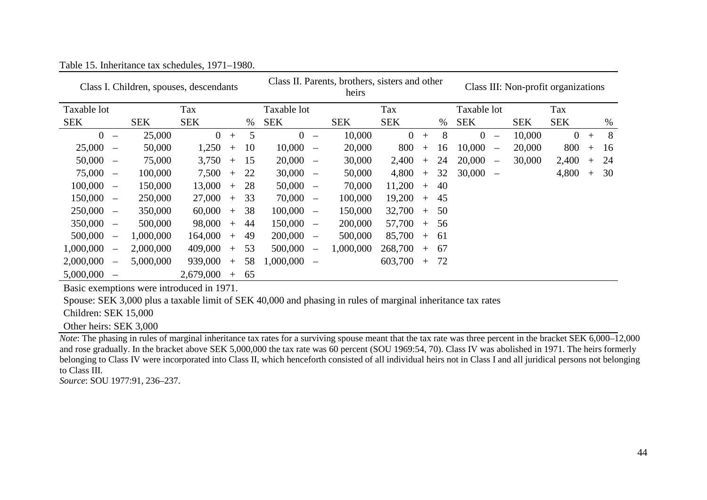|                                            |                          |            | Class I. Children, spouses, descendants |     |    | Class II. Parents, brothers, sisters and other<br>heirs |                                 |            |                |     | Class III: Non-profit organizations |                                            |            |                |        |      |
|--------------------------------------------|--------------------------|------------|-----------------------------------------|-----|----|---------------------------------------------------------|---------------------------------|------------|----------------|-----|-------------------------------------|--------------------------------------------|------------|----------------|--------|------|
| Taxable lot                                |                          |            | Tax                                     |     |    | Taxable lot                                             |                                 |            | Tax            |     |                                     | Taxable lot                                |            | Tax            |        |      |
| <b>SEK</b>                                 |                          | <b>SEK</b> | <b>SEK</b>                              |     | %  | <b>SEK</b>                                              |                                 | <b>SEK</b> | <b>SEK</b>     |     | $\%$                                | <b>SEK</b>                                 | <b>SEK</b> | <b>SEK</b>     |        | $\%$ |
| $\overline{0}$<br>$\overline{\phantom{a}}$ |                          | 25,000     | $\overline{0}$                          | $+$ | 5  | $\overline{0}$                                          | $\overline{\phantom{a}}$        | 10,000     | $\overline{0}$ | $+$ | 8                                   | $\overline{0}$<br>$\overline{\phantom{a}}$ | 10,000     | $\overline{0}$ | $+$    | 8    |
| 25,000<br>$\overline{\phantom{a}}$         |                          | 50,000     | 1,250                                   | $+$ | 10 | 10,000                                                  | $\overline{\phantom{m}}$        | 20,000     | 800            | $+$ | 16                                  | 10,000<br>$\overline{\phantom{a}}$         | 20,000     | 800            | $+$    | 16   |
| 50,000<br>$\overline{\phantom{a}}$         |                          | 75,000     | 3,750                                   | $+$ | 15 | 20,000                                                  | $\overline{\phantom{a}}$        | 30,000     | 2,400          | $+$ | 24                                  | 20,000<br>$\overline{\phantom{a}}$         | 30,000     | 2,400          | $^{+}$ | 24   |
| $75,000 -$                                 |                          | 100,000    | 7,500                                   | $+$ | 22 | 30,000                                                  | $\overline{\phantom{a}}$        | 50,000     | 4,800          | $+$ | 32                                  | $30,000 -$                                 |            | 4,800          | $+$    | 30   |
| $100,000 -$                                |                          | 150,000    | 13,000                                  | $+$ | 28 | 50,000                                                  | $\hspace{0.1mm}-\hspace{0.1mm}$ | 70,000     | 11,200         | $+$ | 40                                  |                                            |            |                |        |      |
| 150,000<br>$\overline{\phantom{a}}$        |                          | 250,000    | 27,000                                  | $+$ | 33 | 70,000                                                  | $\overline{\phantom{a}}$        | 100,000    | 19,200         | $+$ | 45                                  |                                            |            |                |        |      |
| $250,000 -$                                |                          | 350,000    | 60,000                                  | $+$ | 38 | 100,000                                                 | $\overline{\phantom{a}}$        | 150,000    | 32,700         | $+$ | 50                                  |                                            |            |                |        |      |
| $350,000 -$                                |                          | 500,000    | 98,000                                  | $+$ | 44 | 150,000                                                 | $\overline{\phantom{m}}$        | 200,000    | 57,700         | $+$ | 56                                  |                                            |            |                |        |      |
| 500,000<br>$\hspace{0.1mm}-\hspace{0.1mm}$ |                          | 1,000,000  | 164,000                                 | $+$ | 49 | 200,000                                                 | $\overline{\phantom{m}}$        | 500,000    | 85,700         | $+$ | -61                                 |                                            |            |                |        |      |
| 1,000,000<br>$\overline{\phantom{a}}$      |                          | 2,000,000  | 409,000                                 | $+$ | 53 | 500,000                                                 | $\overline{\phantom{0}}$        | 1,000,000  | 268,700        | $+$ | -67                                 |                                            |            |                |        |      |
| 2,000,000                                  | $\overline{\phantom{a}}$ | 5,000,000  | 939,000                                 | $+$ | 58 | 1,000,000                                               | $\overline{\phantom{m}}$        |            | 603,700        | $+$ | 72                                  |                                            |            |                |        |      |
| 5,000,000                                  |                          |            | 2,679,000                               | $+$ | 65 |                                                         |                                 |            |                |     |                                     |                                            |            |                |        |      |

Table 15. Inheritance tax schedules, 1971–1980.

Basic exemptions were introduced in 1971.

Spouse: SEK 3,000 plus a taxable limit of SEK 40,000 and phasing in rules of marginal inheritance tax rates

Children: SEK 15,000

Other heirs: SEK 3,000

*Note*: The phasing in rules of marginal inheritance tax rates for a surviving spouse meant that the tax rate was three percent in the bracket SEK 6,000–12,000 and rose gradually. In the bracket above SEK 5,000,000 the tax rate was 60 percent (SOU 1969:54, 70). Class IV was abolished in 1971. The heirs formerly belonging to Class IV were incorporated into Class II, which henceforth consisted of all individual heirs not in Class I and all juridical persons not belonging to Class III.

*Source*: SOU 1977:91, 236–237.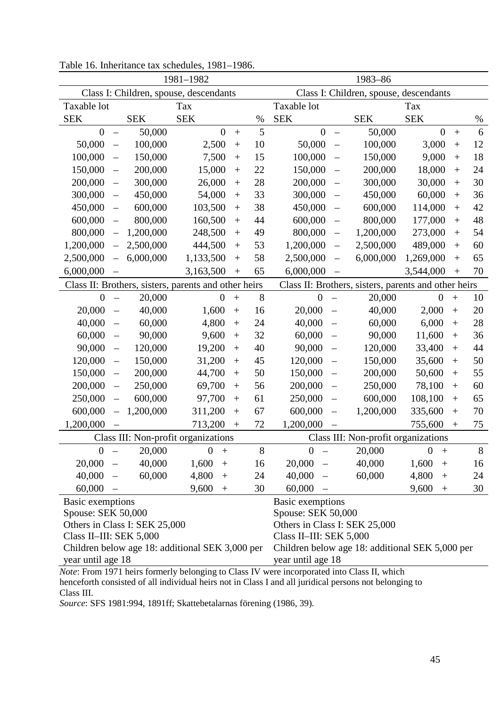| Class I: Children, spouse, descendants<br>Class I: Children, spouse, descendants<br>Taxable lot<br>Taxable lot<br>Tax<br>Tax<br><b>SEK</b><br><b>SEK</b><br><b>SEK</b><br><b>SEK</b><br><b>SEK</b><br><b>SEK</b><br>$\%$<br>$\%$<br>5<br>$\boldsymbol{0}$<br>50,000<br>$\overline{0}$<br>$\overline{0}$<br>50,000<br>$\overline{0}$<br>6<br>$\ddot{}$<br>$^{+}$<br>$\overline{\phantom{0}}$<br>$\overline{\phantom{0}}$<br>12<br>50,000<br>100,000<br>2,500<br>10<br>50,000<br>100,000<br>3,000<br>$^{+}$<br>$^{+}$<br>$\overline{\phantom{0}}$<br>$\overline{\phantom{0}}$<br>18<br>100,000<br>150,000<br>7,500<br>15<br>100,000<br>150,000<br>9,000<br>$+$<br>$+$<br>$\overline{\phantom{0}}$<br>$\qquad \qquad -$<br>150,000<br>200,000<br>15,000<br>22<br>150,000<br>200,000<br>18,000<br>24<br>$^{+}$<br>$^{+}$<br>$\overline{\phantom{0}}$<br>$\qquad \qquad -$<br>28<br>300,000<br>200,000<br>300,000<br>30<br>200,000<br>26,000<br>30,000<br>$+$<br>$^{+}$<br>$\overline{\phantom{0}}$<br>$\overline{\phantom{0}}$<br>33<br>300,000<br>450,000<br>54,000<br>300,000<br>450,000<br>36<br>60,000<br>$^{+}$<br>$^{+}$<br>$\overline{\phantom{0}}$<br>$\qquad \qquad -$<br>38<br>42<br>450,000<br>600,000<br>103,500<br>450,000<br>600,000<br>114,000<br>$+$<br>$+$<br>$\overline{\phantom{0}}$<br>$\qquad \qquad -$<br>48<br>600,000<br>800,000<br>160,500<br>44<br>600,000<br>800,000<br>177,000<br>$+$<br>$+$<br>$\overline{\phantom{0}}$<br>$\overline{\phantom{0}}$<br>1,200,000<br>248,500<br>49<br>800,000<br>54<br>800,000<br>1,200,000<br>273,000<br>$+$<br>$+$<br>$\overline{\phantom{0}}$<br>$\overline{\phantom{0}}$<br>53<br>1,200,000<br>2,500,000<br>444,500<br>1,200,000<br>2,500,000<br>489,000<br>60<br>$+$<br>$^{+}$<br>$\overline{\phantom{0}}$<br>$\qquad \qquad -$<br>58<br>6,000,000<br>1,133,500<br>6,000,000<br>1,269,000<br>65<br>2,500,000<br>2,500,000<br>$+$<br>$+$<br>$\overline{\phantom{0}}$<br>6,000,000<br>3,163,500<br>65<br>6,000,000<br>3,544,000<br>70<br>$+$<br>$+$<br>Class II: Brothers, sisters, parents and other heirs<br>Class II: Brothers, sisters, parents and other heirs<br>8<br>20,000<br>20,000<br>10<br>$\theta$<br>$\overline{0}$<br>$\theta$<br>$\mathbf{0}$<br>$\ddot{}$<br>$+$<br>$\overline{\phantom{0}}$<br>$\overline{\phantom{0}}$<br>20,000<br>20,000<br>40,000<br>40,000<br>2,000<br>20<br>1,600<br>16<br>$+$<br>$+$<br>$\overline{\phantom{0}}$<br>$\overline{\phantom{0}}$<br>28<br>60,000<br>4,800<br>24<br>40,000<br>60,000<br>6,000<br>40,000<br>$+$<br>$\overline{\phantom{0}}$<br>$\overline{\phantom{0}}$<br>$^{+}$<br>90,000<br>32<br>60,000<br>90,000<br>11,600<br>36<br>60,000<br>9,600<br>$^{+}$<br>$^{+}$<br>$\qquad \qquad -$<br>$\overline{\phantom{m}}$<br>90,000<br>120,000<br>19,200<br>40<br>90,000<br>120,000<br>33,400<br>44<br>$+$<br>$+$<br>$\overline{\phantom{0}}$<br>$\overline{\phantom{0}}$<br>120,000<br>150,000<br>31,200<br>120,000<br>150,000<br>35,600<br>50<br>45<br>$+$<br>$\overline{\phantom{0}}$<br>$^{+}$<br>$\overline{\phantom{m}}$<br>200,000<br>44,700<br>50<br>150,000<br>200,000<br>50,600<br>55<br>150,000<br>$+$<br>$^{+}$<br>$\overline{\phantom{0}}$<br>$\overline{\phantom{m}}$<br>250,000<br>56<br>200,000<br>250,000<br>60<br>200,000<br>69,700<br>78,100<br>$^{+}$<br>$^{+}$<br>$\qquad \qquad -$<br>$\qquad \qquad -$<br>250,000<br>600,000<br>97,700<br>61<br>250,000<br>600,000<br>108,100<br>65<br>$+$<br>$^{+}$<br>$\qquad \qquad -$<br>$\qquad \qquad -$<br>600,000<br>1,200,000<br>311,200<br>600,000<br>1,200,000<br>335,600<br>70<br>67<br>$\overline{\phantom{0}}$<br>$^{+}$<br>$^{+}$<br>$\overline{\phantom{0}}$<br>1,200,000<br>713,200<br>72<br>1,200,000<br>755,600<br>75<br>$+$<br>$+$<br>Class III: Non-profit organizations<br>Class III: Non-profit organizations<br>$0 -$<br>20,000<br>$\overline{0}$<br>8<br>$0 -$<br>20,000<br>$\boldsymbol{0}$<br>8<br>$^{+}$<br>$^{+}$<br>40,000<br>40,000<br>$20,000 -$<br>20,000<br>1,600<br>1,600<br>16<br>16<br>$+$<br>$\hspace{0.1cm}$ $\hspace{0.1cm}$<br>$+$<br>$40,000 -$<br>60,000<br>4,800<br>40,000<br>60,000<br>4,800<br>24<br>24<br>$^{+}$<br>$+$<br>$\overline{\phantom{0}}$<br>60,000<br>9,600<br>30<br>60,000<br>9,600<br>30<br>$+$<br>$+$<br>Basic exemptions<br>Basic exemptions<br>Spouse: SEK 50,000<br>Spouse: SEK 50,000<br>Others in Class I: SEK 25,000<br>Others in Class I: SEK 25,000<br>Class II-III: SEK 5,000<br>Class II-III: SEK 5,000<br>Children below age 18: additional SEK 3,000 per<br>Children below age 18: additional SEK 5,000 per | 1981-1982<br>1983-86 |  |  |  |  |  |  |  |  |  |
|--------------------------------------------------------------------------------------------------------------------------------------------------------------------------------------------------------------------------------------------------------------------------------------------------------------------------------------------------------------------------------------------------------------------------------------------------------------------------------------------------------------------------------------------------------------------------------------------------------------------------------------------------------------------------------------------------------------------------------------------------------------------------------------------------------------------------------------------------------------------------------------------------------------------------------------------------------------------------------------------------------------------------------------------------------------------------------------------------------------------------------------------------------------------------------------------------------------------------------------------------------------------------------------------------------------------------------------------------------------------------------------------------------------------------------------------------------------------------------------------------------------------------------------------------------------------------------------------------------------------------------------------------------------------------------------------------------------------------------------------------------------------------------------------------------------------------------------------------------------------------------------------------------------------------------------------------------------------------------------------------------------------------------------------------------------------------------------------------------------------------------------------------------------------------------------------------------------------------------------------------------------------------------------------------------------------------------------------------------------------------------------------------------------------------------------------------------------------------------------------------------------------------------------------------------------------------------------------------------------------------------------------------------------------------------------------------------------------------------------------------------------------------------------------------------------------------------------------------------------------------------------------------------------------------------------------------------------------------------------------------------------------------------------------------------------------------------------------------------------------------------------------------------------------------------------------------------------------------------------------------------------------------------------------------------------------------------------------------------------------------------------------------------------------------------------------------------------------------------------------------------------------------------------------------------------------------------------------------------------------------------------------------------------------------------------------------------------------------------------------------------------------------------------------------------------------------------------------------------------------------------------------------------------------------------------------------------------------------------------------------------------------------------------------------------------------------------------------------------------------------------------------------------------------------------------------------------------------------------------------------------------------------------------------------------------------------------------------------------------------------------------------------------------------------------------------------------------------------------------------------------------------------------------------------------------|----------------------|--|--|--|--|--|--|--|--|--|
|                                                                                                                                                                                                                                                                                                                                                                                                                                                                                                                                                                                                                                                                                                                                                                                                                                                                                                                                                                                                                                                                                                                                                                                                                                                                                                                                                                                                                                                                                                                                                                                                                                                                                                                                                                                                                                                                                                                                                                                                                                                                                                                                                                                                                                                                                                                                                                                                                                                                                                                                                                                                                                                                                                                                                                                                                                                                                                                                                                                                                                                                                                                                                                                                                                                                                                                                                                                                                                                                                                                                                                                                                                                                                                                                                                                                                                                                                                                                                                                                                                                                                                                                                                                                                                                                                                                                                                                                                                                                                                                                                              |                      |  |  |  |  |  |  |  |  |  |
|                                                                                                                                                                                                                                                                                                                                                                                                                                                                                                                                                                                                                                                                                                                                                                                                                                                                                                                                                                                                                                                                                                                                                                                                                                                                                                                                                                                                                                                                                                                                                                                                                                                                                                                                                                                                                                                                                                                                                                                                                                                                                                                                                                                                                                                                                                                                                                                                                                                                                                                                                                                                                                                                                                                                                                                                                                                                                                                                                                                                                                                                                                                                                                                                                                                                                                                                                                                                                                                                                                                                                                                                                                                                                                                                                                                                                                                                                                                                                                                                                                                                                                                                                                                                                                                                                                                                                                                                                                                                                                                                                              |                      |  |  |  |  |  |  |  |  |  |
|                                                                                                                                                                                                                                                                                                                                                                                                                                                                                                                                                                                                                                                                                                                                                                                                                                                                                                                                                                                                                                                                                                                                                                                                                                                                                                                                                                                                                                                                                                                                                                                                                                                                                                                                                                                                                                                                                                                                                                                                                                                                                                                                                                                                                                                                                                                                                                                                                                                                                                                                                                                                                                                                                                                                                                                                                                                                                                                                                                                                                                                                                                                                                                                                                                                                                                                                                                                                                                                                                                                                                                                                                                                                                                                                                                                                                                                                                                                                                                                                                                                                                                                                                                                                                                                                                                                                                                                                                                                                                                                                                              |                      |  |  |  |  |  |  |  |  |  |
|                                                                                                                                                                                                                                                                                                                                                                                                                                                                                                                                                                                                                                                                                                                                                                                                                                                                                                                                                                                                                                                                                                                                                                                                                                                                                                                                                                                                                                                                                                                                                                                                                                                                                                                                                                                                                                                                                                                                                                                                                                                                                                                                                                                                                                                                                                                                                                                                                                                                                                                                                                                                                                                                                                                                                                                                                                                                                                                                                                                                                                                                                                                                                                                                                                                                                                                                                                                                                                                                                                                                                                                                                                                                                                                                                                                                                                                                                                                                                                                                                                                                                                                                                                                                                                                                                                                                                                                                                                                                                                                                                              |                      |  |  |  |  |  |  |  |  |  |
|                                                                                                                                                                                                                                                                                                                                                                                                                                                                                                                                                                                                                                                                                                                                                                                                                                                                                                                                                                                                                                                                                                                                                                                                                                                                                                                                                                                                                                                                                                                                                                                                                                                                                                                                                                                                                                                                                                                                                                                                                                                                                                                                                                                                                                                                                                                                                                                                                                                                                                                                                                                                                                                                                                                                                                                                                                                                                                                                                                                                                                                                                                                                                                                                                                                                                                                                                                                                                                                                                                                                                                                                                                                                                                                                                                                                                                                                                                                                                                                                                                                                                                                                                                                                                                                                                                                                                                                                                                                                                                                                                              |                      |  |  |  |  |  |  |  |  |  |
|                                                                                                                                                                                                                                                                                                                                                                                                                                                                                                                                                                                                                                                                                                                                                                                                                                                                                                                                                                                                                                                                                                                                                                                                                                                                                                                                                                                                                                                                                                                                                                                                                                                                                                                                                                                                                                                                                                                                                                                                                                                                                                                                                                                                                                                                                                                                                                                                                                                                                                                                                                                                                                                                                                                                                                                                                                                                                                                                                                                                                                                                                                                                                                                                                                                                                                                                                                                                                                                                                                                                                                                                                                                                                                                                                                                                                                                                                                                                                                                                                                                                                                                                                                                                                                                                                                                                                                                                                                                                                                                                                              |                      |  |  |  |  |  |  |  |  |  |
|                                                                                                                                                                                                                                                                                                                                                                                                                                                                                                                                                                                                                                                                                                                                                                                                                                                                                                                                                                                                                                                                                                                                                                                                                                                                                                                                                                                                                                                                                                                                                                                                                                                                                                                                                                                                                                                                                                                                                                                                                                                                                                                                                                                                                                                                                                                                                                                                                                                                                                                                                                                                                                                                                                                                                                                                                                                                                                                                                                                                                                                                                                                                                                                                                                                                                                                                                                                                                                                                                                                                                                                                                                                                                                                                                                                                                                                                                                                                                                                                                                                                                                                                                                                                                                                                                                                                                                                                                                                                                                                                                              |                      |  |  |  |  |  |  |  |  |  |
|                                                                                                                                                                                                                                                                                                                                                                                                                                                                                                                                                                                                                                                                                                                                                                                                                                                                                                                                                                                                                                                                                                                                                                                                                                                                                                                                                                                                                                                                                                                                                                                                                                                                                                                                                                                                                                                                                                                                                                                                                                                                                                                                                                                                                                                                                                                                                                                                                                                                                                                                                                                                                                                                                                                                                                                                                                                                                                                                                                                                                                                                                                                                                                                                                                                                                                                                                                                                                                                                                                                                                                                                                                                                                                                                                                                                                                                                                                                                                                                                                                                                                                                                                                                                                                                                                                                                                                                                                                                                                                                                                              |                      |  |  |  |  |  |  |  |  |  |
|                                                                                                                                                                                                                                                                                                                                                                                                                                                                                                                                                                                                                                                                                                                                                                                                                                                                                                                                                                                                                                                                                                                                                                                                                                                                                                                                                                                                                                                                                                                                                                                                                                                                                                                                                                                                                                                                                                                                                                                                                                                                                                                                                                                                                                                                                                                                                                                                                                                                                                                                                                                                                                                                                                                                                                                                                                                                                                                                                                                                                                                                                                                                                                                                                                                                                                                                                                                                                                                                                                                                                                                                                                                                                                                                                                                                                                                                                                                                                                                                                                                                                                                                                                                                                                                                                                                                                                                                                                                                                                                                                              |                      |  |  |  |  |  |  |  |  |  |
|                                                                                                                                                                                                                                                                                                                                                                                                                                                                                                                                                                                                                                                                                                                                                                                                                                                                                                                                                                                                                                                                                                                                                                                                                                                                                                                                                                                                                                                                                                                                                                                                                                                                                                                                                                                                                                                                                                                                                                                                                                                                                                                                                                                                                                                                                                                                                                                                                                                                                                                                                                                                                                                                                                                                                                                                                                                                                                                                                                                                                                                                                                                                                                                                                                                                                                                                                                                                                                                                                                                                                                                                                                                                                                                                                                                                                                                                                                                                                                                                                                                                                                                                                                                                                                                                                                                                                                                                                                                                                                                                                              |                      |  |  |  |  |  |  |  |  |  |
|                                                                                                                                                                                                                                                                                                                                                                                                                                                                                                                                                                                                                                                                                                                                                                                                                                                                                                                                                                                                                                                                                                                                                                                                                                                                                                                                                                                                                                                                                                                                                                                                                                                                                                                                                                                                                                                                                                                                                                                                                                                                                                                                                                                                                                                                                                                                                                                                                                                                                                                                                                                                                                                                                                                                                                                                                                                                                                                                                                                                                                                                                                                                                                                                                                                                                                                                                                                                                                                                                                                                                                                                                                                                                                                                                                                                                                                                                                                                                                                                                                                                                                                                                                                                                                                                                                                                                                                                                                                                                                                                                              |                      |  |  |  |  |  |  |  |  |  |
|                                                                                                                                                                                                                                                                                                                                                                                                                                                                                                                                                                                                                                                                                                                                                                                                                                                                                                                                                                                                                                                                                                                                                                                                                                                                                                                                                                                                                                                                                                                                                                                                                                                                                                                                                                                                                                                                                                                                                                                                                                                                                                                                                                                                                                                                                                                                                                                                                                                                                                                                                                                                                                                                                                                                                                                                                                                                                                                                                                                                                                                                                                                                                                                                                                                                                                                                                                                                                                                                                                                                                                                                                                                                                                                                                                                                                                                                                                                                                                                                                                                                                                                                                                                                                                                                                                                                                                                                                                                                                                                                                              |                      |  |  |  |  |  |  |  |  |  |
|                                                                                                                                                                                                                                                                                                                                                                                                                                                                                                                                                                                                                                                                                                                                                                                                                                                                                                                                                                                                                                                                                                                                                                                                                                                                                                                                                                                                                                                                                                                                                                                                                                                                                                                                                                                                                                                                                                                                                                                                                                                                                                                                                                                                                                                                                                                                                                                                                                                                                                                                                                                                                                                                                                                                                                                                                                                                                                                                                                                                                                                                                                                                                                                                                                                                                                                                                                                                                                                                                                                                                                                                                                                                                                                                                                                                                                                                                                                                                                                                                                                                                                                                                                                                                                                                                                                                                                                                                                                                                                                                                              |                      |  |  |  |  |  |  |  |  |  |
|                                                                                                                                                                                                                                                                                                                                                                                                                                                                                                                                                                                                                                                                                                                                                                                                                                                                                                                                                                                                                                                                                                                                                                                                                                                                                                                                                                                                                                                                                                                                                                                                                                                                                                                                                                                                                                                                                                                                                                                                                                                                                                                                                                                                                                                                                                                                                                                                                                                                                                                                                                                                                                                                                                                                                                                                                                                                                                                                                                                                                                                                                                                                                                                                                                                                                                                                                                                                                                                                                                                                                                                                                                                                                                                                                                                                                                                                                                                                                                                                                                                                                                                                                                                                                                                                                                                                                                                                                                                                                                                                                              |                      |  |  |  |  |  |  |  |  |  |
|                                                                                                                                                                                                                                                                                                                                                                                                                                                                                                                                                                                                                                                                                                                                                                                                                                                                                                                                                                                                                                                                                                                                                                                                                                                                                                                                                                                                                                                                                                                                                                                                                                                                                                                                                                                                                                                                                                                                                                                                                                                                                                                                                                                                                                                                                                                                                                                                                                                                                                                                                                                                                                                                                                                                                                                                                                                                                                                                                                                                                                                                                                                                                                                                                                                                                                                                                                                                                                                                                                                                                                                                                                                                                                                                                                                                                                                                                                                                                                                                                                                                                                                                                                                                                                                                                                                                                                                                                                                                                                                                                              |                      |  |  |  |  |  |  |  |  |  |
|                                                                                                                                                                                                                                                                                                                                                                                                                                                                                                                                                                                                                                                                                                                                                                                                                                                                                                                                                                                                                                                                                                                                                                                                                                                                                                                                                                                                                                                                                                                                                                                                                                                                                                                                                                                                                                                                                                                                                                                                                                                                                                                                                                                                                                                                                                                                                                                                                                                                                                                                                                                                                                                                                                                                                                                                                                                                                                                                                                                                                                                                                                                                                                                                                                                                                                                                                                                                                                                                                                                                                                                                                                                                                                                                                                                                                                                                                                                                                                                                                                                                                                                                                                                                                                                                                                                                                                                                                                                                                                                                                              |                      |  |  |  |  |  |  |  |  |  |
|                                                                                                                                                                                                                                                                                                                                                                                                                                                                                                                                                                                                                                                                                                                                                                                                                                                                                                                                                                                                                                                                                                                                                                                                                                                                                                                                                                                                                                                                                                                                                                                                                                                                                                                                                                                                                                                                                                                                                                                                                                                                                                                                                                                                                                                                                                                                                                                                                                                                                                                                                                                                                                                                                                                                                                                                                                                                                                                                                                                                                                                                                                                                                                                                                                                                                                                                                                                                                                                                                                                                                                                                                                                                                                                                                                                                                                                                                                                                                                                                                                                                                                                                                                                                                                                                                                                                                                                                                                                                                                                                                              |                      |  |  |  |  |  |  |  |  |  |
|                                                                                                                                                                                                                                                                                                                                                                                                                                                                                                                                                                                                                                                                                                                                                                                                                                                                                                                                                                                                                                                                                                                                                                                                                                                                                                                                                                                                                                                                                                                                                                                                                                                                                                                                                                                                                                                                                                                                                                                                                                                                                                                                                                                                                                                                                                                                                                                                                                                                                                                                                                                                                                                                                                                                                                                                                                                                                                                                                                                                                                                                                                                                                                                                                                                                                                                                                                                                                                                                                                                                                                                                                                                                                                                                                                                                                                                                                                                                                                                                                                                                                                                                                                                                                                                                                                                                                                                                                                                                                                                                                              |                      |  |  |  |  |  |  |  |  |  |
|                                                                                                                                                                                                                                                                                                                                                                                                                                                                                                                                                                                                                                                                                                                                                                                                                                                                                                                                                                                                                                                                                                                                                                                                                                                                                                                                                                                                                                                                                                                                                                                                                                                                                                                                                                                                                                                                                                                                                                                                                                                                                                                                                                                                                                                                                                                                                                                                                                                                                                                                                                                                                                                                                                                                                                                                                                                                                                                                                                                                                                                                                                                                                                                                                                                                                                                                                                                                                                                                                                                                                                                                                                                                                                                                                                                                                                                                                                                                                                                                                                                                                                                                                                                                                                                                                                                                                                                                                                                                                                                                                              |                      |  |  |  |  |  |  |  |  |  |
|                                                                                                                                                                                                                                                                                                                                                                                                                                                                                                                                                                                                                                                                                                                                                                                                                                                                                                                                                                                                                                                                                                                                                                                                                                                                                                                                                                                                                                                                                                                                                                                                                                                                                                                                                                                                                                                                                                                                                                                                                                                                                                                                                                                                                                                                                                                                                                                                                                                                                                                                                                                                                                                                                                                                                                                                                                                                                                                                                                                                                                                                                                                                                                                                                                                                                                                                                                                                                                                                                                                                                                                                                                                                                                                                                                                                                                                                                                                                                                                                                                                                                                                                                                                                                                                                                                                                                                                                                                                                                                                                                              |                      |  |  |  |  |  |  |  |  |  |
|                                                                                                                                                                                                                                                                                                                                                                                                                                                                                                                                                                                                                                                                                                                                                                                                                                                                                                                                                                                                                                                                                                                                                                                                                                                                                                                                                                                                                                                                                                                                                                                                                                                                                                                                                                                                                                                                                                                                                                                                                                                                                                                                                                                                                                                                                                                                                                                                                                                                                                                                                                                                                                                                                                                                                                                                                                                                                                                                                                                                                                                                                                                                                                                                                                                                                                                                                                                                                                                                                                                                                                                                                                                                                                                                                                                                                                                                                                                                                                                                                                                                                                                                                                                                                                                                                                                                                                                                                                                                                                                                                              |                      |  |  |  |  |  |  |  |  |  |
|                                                                                                                                                                                                                                                                                                                                                                                                                                                                                                                                                                                                                                                                                                                                                                                                                                                                                                                                                                                                                                                                                                                                                                                                                                                                                                                                                                                                                                                                                                                                                                                                                                                                                                                                                                                                                                                                                                                                                                                                                                                                                                                                                                                                                                                                                                                                                                                                                                                                                                                                                                                                                                                                                                                                                                                                                                                                                                                                                                                                                                                                                                                                                                                                                                                                                                                                                                                                                                                                                                                                                                                                                                                                                                                                                                                                                                                                                                                                                                                                                                                                                                                                                                                                                                                                                                                                                                                                                                                                                                                                                              |                      |  |  |  |  |  |  |  |  |  |
|                                                                                                                                                                                                                                                                                                                                                                                                                                                                                                                                                                                                                                                                                                                                                                                                                                                                                                                                                                                                                                                                                                                                                                                                                                                                                                                                                                                                                                                                                                                                                                                                                                                                                                                                                                                                                                                                                                                                                                                                                                                                                                                                                                                                                                                                                                                                                                                                                                                                                                                                                                                                                                                                                                                                                                                                                                                                                                                                                                                                                                                                                                                                                                                                                                                                                                                                                                                                                                                                                                                                                                                                                                                                                                                                                                                                                                                                                                                                                                                                                                                                                                                                                                                                                                                                                                                                                                                                                                                                                                                                                              |                      |  |  |  |  |  |  |  |  |  |
|                                                                                                                                                                                                                                                                                                                                                                                                                                                                                                                                                                                                                                                                                                                                                                                                                                                                                                                                                                                                                                                                                                                                                                                                                                                                                                                                                                                                                                                                                                                                                                                                                                                                                                                                                                                                                                                                                                                                                                                                                                                                                                                                                                                                                                                                                                                                                                                                                                                                                                                                                                                                                                                                                                                                                                                                                                                                                                                                                                                                                                                                                                                                                                                                                                                                                                                                                                                                                                                                                                                                                                                                                                                                                                                                                                                                                                                                                                                                                                                                                                                                                                                                                                                                                                                                                                                                                                                                                                                                                                                                                              |                      |  |  |  |  |  |  |  |  |  |
|                                                                                                                                                                                                                                                                                                                                                                                                                                                                                                                                                                                                                                                                                                                                                                                                                                                                                                                                                                                                                                                                                                                                                                                                                                                                                                                                                                                                                                                                                                                                                                                                                                                                                                                                                                                                                                                                                                                                                                                                                                                                                                                                                                                                                                                                                                                                                                                                                                                                                                                                                                                                                                                                                                                                                                                                                                                                                                                                                                                                                                                                                                                                                                                                                                                                                                                                                                                                                                                                                                                                                                                                                                                                                                                                                                                                                                                                                                                                                                                                                                                                                                                                                                                                                                                                                                                                                                                                                                                                                                                                                              |                      |  |  |  |  |  |  |  |  |  |
|                                                                                                                                                                                                                                                                                                                                                                                                                                                                                                                                                                                                                                                                                                                                                                                                                                                                                                                                                                                                                                                                                                                                                                                                                                                                                                                                                                                                                                                                                                                                                                                                                                                                                                                                                                                                                                                                                                                                                                                                                                                                                                                                                                                                                                                                                                                                                                                                                                                                                                                                                                                                                                                                                                                                                                                                                                                                                                                                                                                                                                                                                                                                                                                                                                                                                                                                                                                                                                                                                                                                                                                                                                                                                                                                                                                                                                                                                                                                                                                                                                                                                                                                                                                                                                                                                                                                                                                                                                                                                                                                                              |                      |  |  |  |  |  |  |  |  |  |
|                                                                                                                                                                                                                                                                                                                                                                                                                                                                                                                                                                                                                                                                                                                                                                                                                                                                                                                                                                                                                                                                                                                                                                                                                                                                                                                                                                                                                                                                                                                                                                                                                                                                                                                                                                                                                                                                                                                                                                                                                                                                                                                                                                                                                                                                                                                                                                                                                                                                                                                                                                                                                                                                                                                                                                                                                                                                                                                                                                                                                                                                                                                                                                                                                                                                                                                                                                                                                                                                                                                                                                                                                                                                                                                                                                                                                                                                                                                                                                                                                                                                                                                                                                                                                                                                                                                                                                                                                                                                                                                                                              |                      |  |  |  |  |  |  |  |  |  |
|                                                                                                                                                                                                                                                                                                                                                                                                                                                                                                                                                                                                                                                                                                                                                                                                                                                                                                                                                                                                                                                                                                                                                                                                                                                                                                                                                                                                                                                                                                                                                                                                                                                                                                                                                                                                                                                                                                                                                                                                                                                                                                                                                                                                                                                                                                                                                                                                                                                                                                                                                                                                                                                                                                                                                                                                                                                                                                                                                                                                                                                                                                                                                                                                                                                                                                                                                                                                                                                                                                                                                                                                                                                                                                                                                                                                                                                                                                                                                                                                                                                                                                                                                                                                                                                                                                                                                                                                                                                                                                                                                              |                      |  |  |  |  |  |  |  |  |  |
|                                                                                                                                                                                                                                                                                                                                                                                                                                                                                                                                                                                                                                                                                                                                                                                                                                                                                                                                                                                                                                                                                                                                                                                                                                                                                                                                                                                                                                                                                                                                                                                                                                                                                                                                                                                                                                                                                                                                                                                                                                                                                                                                                                                                                                                                                                                                                                                                                                                                                                                                                                                                                                                                                                                                                                                                                                                                                                                                                                                                                                                                                                                                                                                                                                                                                                                                                                                                                                                                                                                                                                                                                                                                                                                                                                                                                                                                                                                                                                                                                                                                                                                                                                                                                                                                                                                                                                                                                                                                                                                                                              |                      |  |  |  |  |  |  |  |  |  |
|                                                                                                                                                                                                                                                                                                                                                                                                                                                                                                                                                                                                                                                                                                                                                                                                                                                                                                                                                                                                                                                                                                                                                                                                                                                                                                                                                                                                                                                                                                                                                                                                                                                                                                                                                                                                                                                                                                                                                                                                                                                                                                                                                                                                                                                                                                                                                                                                                                                                                                                                                                                                                                                                                                                                                                                                                                                                                                                                                                                                                                                                                                                                                                                                                                                                                                                                                                                                                                                                                                                                                                                                                                                                                                                                                                                                                                                                                                                                                                                                                                                                                                                                                                                                                                                                                                                                                                                                                                                                                                                                                              |                      |  |  |  |  |  |  |  |  |  |
|                                                                                                                                                                                                                                                                                                                                                                                                                                                                                                                                                                                                                                                                                                                                                                                                                                                                                                                                                                                                                                                                                                                                                                                                                                                                                                                                                                                                                                                                                                                                                                                                                                                                                                                                                                                                                                                                                                                                                                                                                                                                                                                                                                                                                                                                                                                                                                                                                                                                                                                                                                                                                                                                                                                                                                                                                                                                                                                                                                                                                                                                                                                                                                                                                                                                                                                                                                                                                                                                                                                                                                                                                                                                                                                                                                                                                                                                                                                                                                                                                                                                                                                                                                                                                                                                                                                                                                                                                                                                                                                                                              |                      |  |  |  |  |  |  |  |  |  |
|                                                                                                                                                                                                                                                                                                                                                                                                                                                                                                                                                                                                                                                                                                                                                                                                                                                                                                                                                                                                                                                                                                                                                                                                                                                                                                                                                                                                                                                                                                                                                                                                                                                                                                                                                                                                                                                                                                                                                                                                                                                                                                                                                                                                                                                                                                                                                                                                                                                                                                                                                                                                                                                                                                                                                                                                                                                                                                                                                                                                                                                                                                                                                                                                                                                                                                                                                                                                                                                                                                                                                                                                                                                                                                                                                                                                                                                                                                                                                                                                                                                                                                                                                                                                                                                                                                                                                                                                                                                                                                                                                              |                      |  |  |  |  |  |  |  |  |  |
|                                                                                                                                                                                                                                                                                                                                                                                                                                                                                                                                                                                                                                                                                                                                                                                                                                                                                                                                                                                                                                                                                                                                                                                                                                                                                                                                                                                                                                                                                                                                                                                                                                                                                                                                                                                                                                                                                                                                                                                                                                                                                                                                                                                                                                                                                                                                                                                                                                                                                                                                                                                                                                                                                                                                                                                                                                                                                                                                                                                                                                                                                                                                                                                                                                                                                                                                                                                                                                                                                                                                                                                                                                                                                                                                                                                                                                                                                                                                                                                                                                                                                                                                                                                                                                                                                                                                                                                                                                                                                                                                                              |                      |  |  |  |  |  |  |  |  |  |
|                                                                                                                                                                                                                                                                                                                                                                                                                                                                                                                                                                                                                                                                                                                                                                                                                                                                                                                                                                                                                                                                                                                                                                                                                                                                                                                                                                                                                                                                                                                                                                                                                                                                                                                                                                                                                                                                                                                                                                                                                                                                                                                                                                                                                                                                                                                                                                                                                                                                                                                                                                                                                                                                                                                                                                                                                                                                                                                                                                                                                                                                                                                                                                                                                                                                                                                                                                                                                                                                                                                                                                                                                                                                                                                                                                                                                                                                                                                                                                                                                                                                                                                                                                                                                                                                                                                                                                                                                                                                                                                                                              |                      |  |  |  |  |  |  |  |  |  |
|                                                                                                                                                                                                                                                                                                                                                                                                                                                                                                                                                                                                                                                                                                                                                                                                                                                                                                                                                                                                                                                                                                                                                                                                                                                                                                                                                                                                                                                                                                                                                                                                                                                                                                                                                                                                                                                                                                                                                                                                                                                                                                                                                                                                                                                                                                                                                                                                                                                                                                                                                                                                                                                                                                                                                                                                                                                                                                                                                                                                                                                                                                                                                                                                                                                                                                                                                                                                                                                                                                                                                                                                                                                                                                                                                                                                                                                                                                                                                                                                                                                                                                                                                                                                                                                                                                                                                                                                                                                                                                                                                              |                      |  |  |  |  |  |  |  |  |  |
|                                                                                                                                                                                                                                                                                                                                                                                                                                                                                                                                                                                                                                                                                                                                                                                                                                                                                                                                                                                                                                                                                                                                                                                                                                                                                                                                                                                                                                                                                                                                                                                                                                                                                                                                                                                                                                                                                                                                                                                                                                                                                                                                                                                                                                                                                                                                                                                                                                                                                                                                                                                                                                                                                                                                                                                                                                                                                                                                                                                                                                                                                                                                                                                                                                                                                                                                                                                                                                                                                                                                                                                                                                                                                                                                                                                                                                                                                                                                                                                                                                                                                                                                                                                                                                                                                                                                                                                                                                                                                                                                                              |                      |  |  |  |  |  |  |  |  |  |
|                                                                                                                                                                                                                                                                                                                                                                                                                                                                                                                                                                                                                                                                                                                                                                                                                                                                                                                                                                                                                                                                                                                                                                                                                                                                                                                                                                                                                                                                                                                                                                                                                                                                                                                                                                                                                                                                                                                                                                                                                                                                                                                                                                                                                                                                                                                                                                                                                                                                                                                                                                                                                                                                                                                                                                                                                                                                                                                                                                                                                                                                                                                                                                                                                                                                                                                                                                                                                                                                                                                                                                                                                                                                                                                                                                                                                                                                                                                                                                                                                                                                                                                                                                                                                                                                                                                                                                                                                                                                                                                                                              |                      |  |  |  |  |  |  |  |  |  |
| year until age 18<br>year until age 18<br>Note: From 1971 heirs formerly belonging to Class IV were incorporated into Class II, which                                                                                                                                                                                                                                                                                                                                                                                                                                                                                                                                                                                                                                                                                                                                                                                                                                                                                                                                                                                                                                                                                                                                                                                                                                                                                                                                                                                                                                                                                                                                                                                                                                                                                                                                                                                                                                                                                                                                                                                                                                                                                                                                                                                                                                                                                                                                                                                                                                                                                                                                                                                                                                                                                                                                                                                                                                                                                                                                                                                                                                                                                                                                                                                                                                                                                                                                                                                                                                                                                                                                                                                                                                                                                                                                                                                                                                                                                                                                                                                                                                                                                                                                                                                                                                                                                                                                                                                                                        |                      |  |  |  |  |  |  |  |  |  |

Table 16. Inheritance tax schedules, 1981–1986.

*Source*: SFS 1981:994, 1891ff; Skattebetalarnas förening (1986, 39).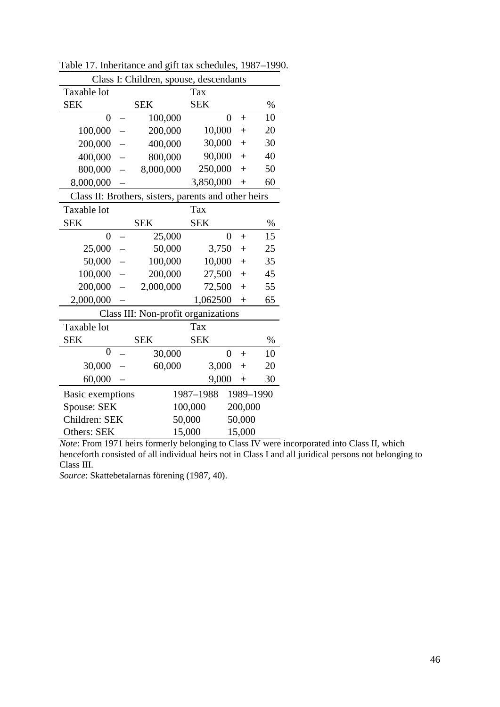|                  | Class I: Children, spouse, descendants               |                |         |           |
|------------------|------------------------------------------------------|----------------|---------|-----------|
| Taxable lot      |                                                      | Tax            |         |           |
| <b>SEK</b>       | <b>SEK</b>                                           | <b>SEK</b>     |         | $\%$      |
| $\overline{0}$   | 100,000                                              | $\overline{0}$ | $+$     | 10        |
| 100,000          | 200,000                                              | 10,000         | $^{+}$  | 20        |
| 200,000          | 400,000                                              | 30,000         | $+$     | 30        |
| 400,000          | 800,000                                              | 90,000         | $+$     | 40        |
| 800,000          | 8,000,000                                            | 250,000        | $^{+}$  | 50        |
| 8,000,000        |                                                      | 3,850,000      | $^{+}$  | 60        |
|                  | Class II: Brothers, sisters, parents and other heirs |                |         |           |
| Taxable lot      |                                                      | Tax            |         |           |
| <b>SEK</b>       | <b>SEK</b>                                           | <b>SEK</b>     |         | $\%$      |
| $\overline{0}$   | 25,000                                               | $\overline{0}$ | $+$     | 15        |
| 25,000           | 50,000                                               | 3,750          | $+$     | 25        |
| 50,000           | 100,000<br>$\equiv$                                  | 10,000         | $+$     | 35        |
| 100,000          | 200,000                                              | 27,500         | $+$     | 45        |
| 200,000          | 2,000,000<br>$\equiv$                                | 72,500         | $+$     | 55        |
| 2,000,000        |                                                      | 1,062500       | $^{+}$  | 65        |
|                  | Class III: Non-profit organizations                  |                |         |           |
| Taxable lot      |                                                      | Tax            |         |           |
| <b>SEK</b>       | <b>SEK</b>                                           | <b>SEK</b>     |         | $\%$      |
| $\overline{0}$   | 30,000                                               | $\overline{0}$ | $+$     | 10        |
| 30,000           | 60,000                                               | 3,000          | $^{+}$  | 20        |
| 60,000           |                                                      | 9,000          | $^{+}$  | 30        |
| Basic exemptions |                                                      | 1987-1988      |         | 1989-1990 |
| Spouse: SEK      |                                                      | 100,000        | 200,000 |           |
| Children: SEK    |                                                      | 50,000         | 50,000  |           |
| Others: SEK      |                                                      | 15,000         | 15,000  |           |

Table 17. Inheritance and gift tax schedules, 1987–1990.

*Source*: Skattebetalarnas förening (1987, 40).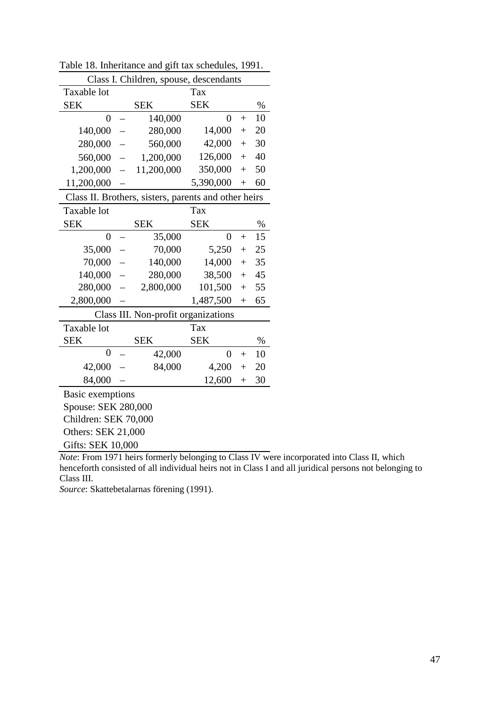| Class I. Children, spouse, descendants               |            |                |        |      |  |  |  |
|------------------------------------------------------|------------|----------------|--------|------|--|--|--|
| Taxable lot                                          | Tax        |                |        |      |  |  |  |
| <b>SEK</b>                                           | <b>SEK</b> | <b>SEK</b>     |        | $\%$ |  |  |  |
| $\overline{0}$                                       | 140,000    | $\overline{0}$ | $^{+}$ | 10   |  |  |  |
| 140,000                                              | 280,000    | 14,000         | $^{+}$ | 20   |  |  |  |
| 280,000                                              | 560,000    | 42,000         | $^{+}$ | 30   |  |  |  |
| 560,000<br>$\overline{\phantom{0}}$                  | 1,200,000  | 126,000        | $^{+}$ | 40   |  |  |  |
| 1,200,000                                            | 11,200,000 | 350,000        | $^{+}$ | 50   |  |  |  |
| 11,200,000                                           |            | 5,390,000      | $^{+}$ | 60   |  |  |  |
| Class II. Brothers, sisters, parents and other heirs |            |                |        |      |  |  |  |
| Taxable lot                                          |            | Tax            |        |      |  |  |  |
| <b>SEK</b>                                           | <b>SEK</b> | <b>SEK</b>     |        | $\%$ |  |  |  |
| $\overline{0}$<br>$\overline{\phantom{0}}$           | 35,000     | $\overline{0}$ | $+$    | 15   |  |  |  |
| 35,000                                               | 70,000     | 5,250          | $^{+}$ | 25   |  |  |  |
| 70,000                                               | 140,000    | 14,000         | $^{+}$ | 35   |  |  |  |
| 140,000                                              | 280,000    | 38,500         | $^{+}$ | 45   |  |  |  |
| 280,000                                              | 2,800,000  | 101,500        | $^{+}$ | 55   |  |  |  |
| 2,800,000                                            | 1,487,500  |                |        | 65   |  |  |  |
| Class III. Non-profit organizations                  |            |                |        |      |  |  |  |
| Taxable lot                                          |            | Tax            |        |      |  |  |  |
| <b>SEK</b>                                           | <b>SEK</b> | <b>SEK</b>     |        | %    |  |  |  |
| $\overline{0}$                                       | 42,000     | $\overline{0}$ | $^{+}$ | 10   |  |  |  |
| 42,000                                               | 84,000     | 4,200          | $^{+}$ | 20   |  |  |  |
| 84,000                                               |            | 12,600         | $+$    | 30   |  |  |  |
| Basic exemptions                                     |            |                |        |      |  |  |  |
| Spouse: SEK 280,000                                  |            |                |        |      |  |  |  |
| Children: SEK 70,000                                 |            |                |        |      |  |  |  |
| <b>Others: SEK 21,000</b>                            |            |                |        |      |  |  |  |
| Gifts: SEK 10,000                                    |            |                |        |      |  |  |  |

Table 18. Inheritance and gift tax schedules, 1991.

*Source*: Skattebetalarnas förening (1991).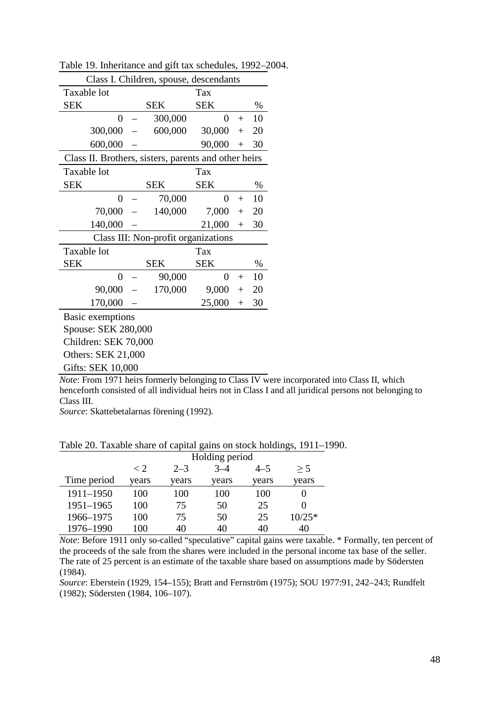| Class I. Children, spouse, descendants               |                          |            |        |      |  |  |  |  |
|------------------------------------------------------|--------------------------|------------|--------|------|--|--|--|--|
| Taxable lot                                          | Tax                      |            |        |      |  |  |  |  |
| <b>SEK</b>                                           | <b>SEK</b>               | <b>SEK</b> |        | $\%$ |  |  |  |  |
| 0                                                    | 300,000                  | $\theta$   | $+$    | 10   |  |  |  |  |
| 300,000                                              | 600,000                  | 30,000     | $+$    | 20   |  |  |  |  |
| 600,000                                              |                          | 90,000     | $^{+}$ | 30   |  |  |  |  |
| Class II. Brothers, sisters, parents and other heirs |                          |            |        |      |  |  |  |  |
| Taxable lot                                          | Tax                      |            |        |      |  |  |  |  |
| <b>SEK</b>                                           | <b>SEK</b><br><b>SEK</b> |            |        | $\%$ |  |  |  |  |
| 0                                                    | 70,000                   | 0          | $+$    | 10   |  |  |  |  |
| 70,000                                               | 140,000                  | 7,000      | $^{+}$ | 20   |  |  |  |  |
| 140,000                                              |                          | 21,000     | $^{+}$ | 30   |  |  |  |  |
| Class III: Non-profit organizations                  |                          |            |        |      |  |  |  |  |
| Taxable lot                                          | Tax                      |            |        |      |  |  |  |  |
| <b>SEK</b>                                           | SEK                      | <b>SEK</b> |        | $\%$ |  |  |  |  |
| $\overline{0}$                                       | 90,000                   | $\theta$   | $+$    | 10   |  |  |  |  |
| 90,000                                               | 170,000                  | 9,000      | $^{+}$ | 20   |  |  |  |  |
| 170,000                                              |                          | 25,000     | $+$    | 30   |  |  |  |  |
| Basic exemptions                                     |                          |            |        |      |  |  |  |  |
| Spouse: SEK 280,000                                  |                          |            |        |      |  |  |  |  |
| Children: SEK 70,000                                 |                          |            |        |      |  |  |  |  |
| <b>Others: SEK 21,000</b>                            |                          |            |        |      |  |  |  |  |
| Gifts: SEK 10,000                                    |                          |            |        |      |  |  |  |  |

Table 19. Inheritance and gift tax schedules, 1992–2004.

*Source*: Skattebetalarnas förening (1992).

Table 20. Taxable share of capital gains on stock holdings, 1911–1990.

|             | Holding period |         |         |         |          |  |
|-------------|----------------|---------|---------|---------|----------|--|
|             | $\langle$ 2.   | $2 - 3$ | $3 - 4$ | $4 - 5$ | > 5      |  |
| Time period | years          | years   | years   | years   | years    |  |
| 1911-1950   | 100            | 100     | 100     | 100     |          |  |
| 1951-1965   | 100            | 75      | 50      | 25      |          |  |
| 1966-1975   | 100            | 75      | 50      | 25      | $10/25*$ |  |
| 1976-1990   | 100            | 40      | 40      | 40      | 40       |  |

*Note*: Before 1911 only so-called "speculative" capital gains were taxable. \* Formally, ten percent of the proceeds of the sale from the shares were included in the personal income tax base of the seller. The rate of 25 percent is an estimate of the taxable share based on assumptions made by Södersten (1984).

*Source*: Eberstein (1929, 154–155); Bratt and Fernström (1975); SOU 1977:91, 242–243; Rundfelt (1982); Södersten (1984, 106–107).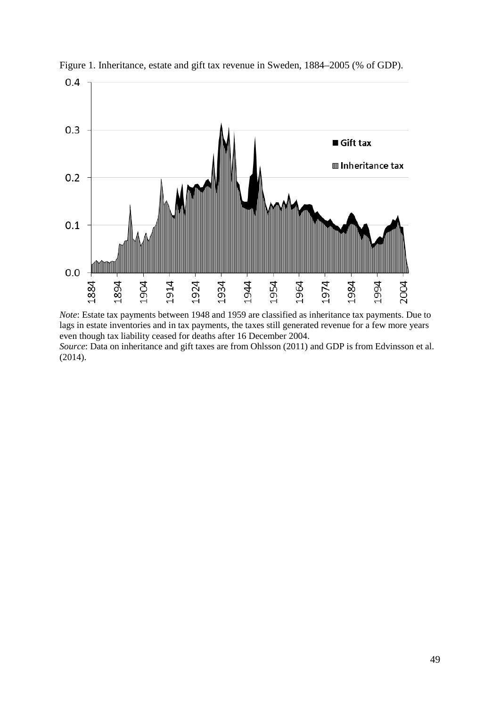

Figure 1. Inheritance, estate and gift tax revenue in Sweden, 1884–2005 (% of GDP).

*Note*: Estate tax payments between 1948 and 1959 are classified as inheritance tax payments. Due to lags in estate inventories and in tax payments, the taxes still generated revenue for a few more years even though tax liability ceased for deaths after 16 December 2004. *Source*: Data on inheritance and gift taxes are from Ohlsson (2011) and GDP is from Edvinsson et al. (2014).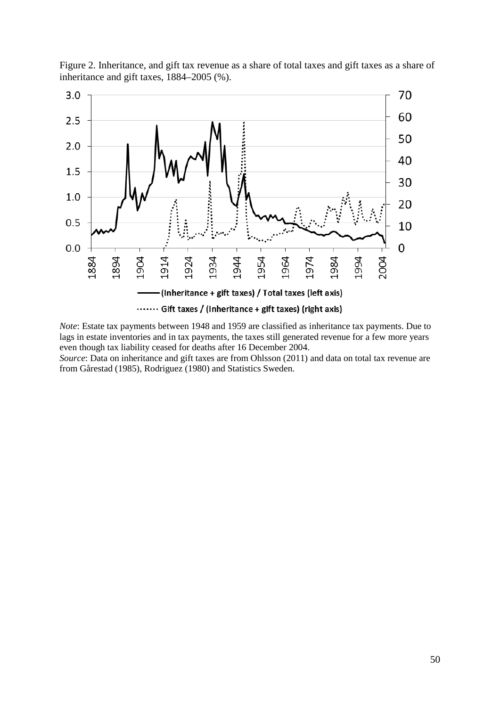

Figure 2. Inheritance, and gift tax revenue as a share of total taxes and gift taxes as a share of inheritance and gift taxes, 1884–2005 (%).

*Note*: Estate tax payments between 1948 and 1959 are classified as inheritance tax payments. Due to lags in estate inventories and in tax payments, the taxes still generated revenue for a few more years even though tax liability ceased for deaths after 16 December 2004.

*Source*: Data on inheritance and gift taxes are from Ohlsson (2011) and data on total tax revenue are from Gårestad (1985), Rodriguez (1980) and Statistics Sweden.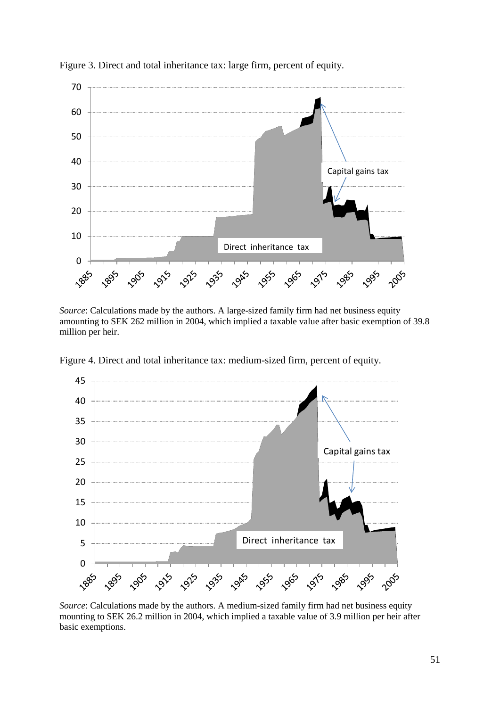

Figure 3. Direct and total inheritance tax: large firm, percent of equity.

*Source*: Calculations made by the authors. A large-sized family firm had net business equity amounting to SEK 262 million in 2004, which implied a taxable value after basic exemption of 39.8 million per heir.



Figure 4. Direct and total inheritance tax: medium-sized firm, percent of equity.

*Source*: Calculations made by the authors. A medium-sized family firm had net business equity mounting to SEK 26.2 million in 2004, which implied a taxable value of 3.9 million per heir after basic exemptions.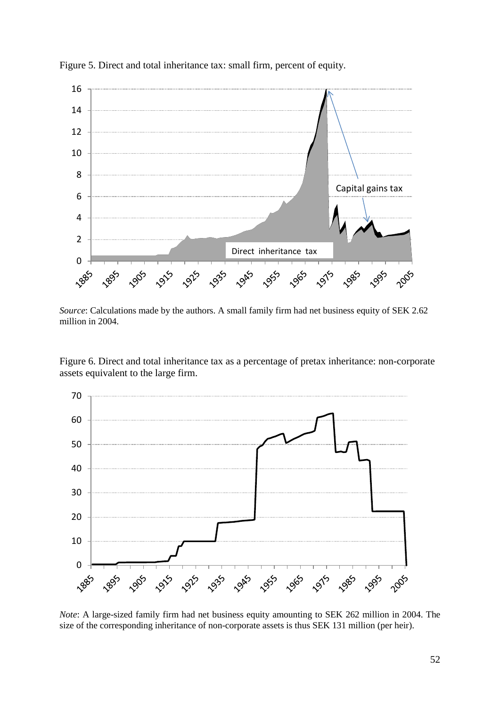

Figure 5. Direct and total inheritance tax: small firm, percent of equity.

*Source*: Calculations made by the authors. A small family firm had net business equity of SEK 2.62 million in 2004.

Figure 6. Direct and total inheritance tax as a percentage of pretax inheritance: non-corporate assets equivalent to the large firm.



*Note*: A large-sized family firm had net business equity amounting to SEK 262 million in 2004. The size of the corresponding inheritance of non-corporate assets is thus SEK 131 million (per heir).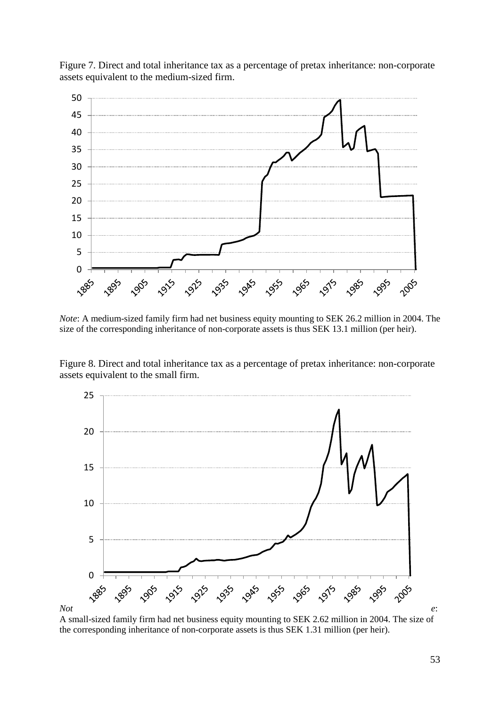

Figure 7. Direct and total inheritance tax as a percentage of pretax inheritance: non-corporate assets equivalent to the medium-sized firm.

*Note*: A medium-sized family firm had net business equity mounting to SEK 26.2 million in 2004. The size of the corresponding inheritance of non-corporate assets is thus SEK 13.1 million (per heir).

Figure 8. Direct and total inheritance tax as a percentage of pretax inheritance: non-corporate assets equivalent to the small firm.



A small-sized family firm had net business equity mounting to SEK 2.62 million in 2004. The size of the corresponding inheritance of non-corporate assets is thus SEK 1.31 million (per heir).